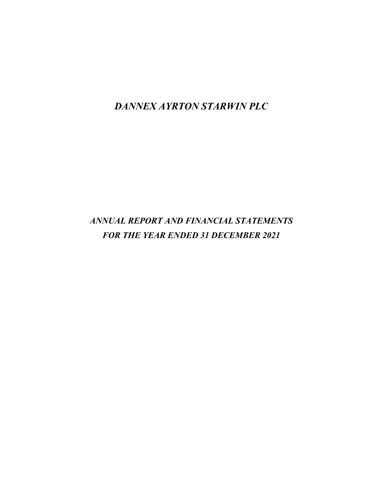*DANNEX AYRTON STARWIN PLC*

# *ANNUAL REPORT AND FINANCIAL STATEMENTS FOR THE YEAR ENDED 31 DECEMBER 2021*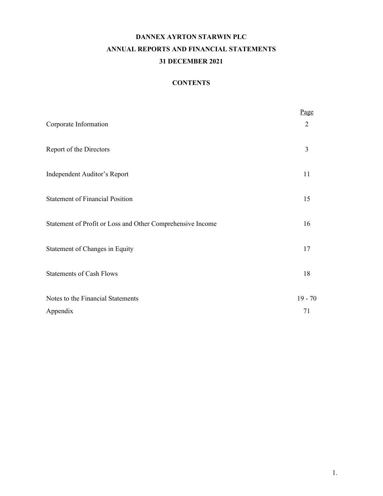# **DANNEX AYRTON STARWIN PLC ANNUAL REPORTS AND FINANCIAL STATEMENTS 31 DECEMBER 2021**

# **CONTENTS**

|                                                            | Page      |
|------------------------------------------------------------|-----------|
| Corporate Information                                      | 2         |
| Report of the Directors                                    | 3         |
| Independent Auditor's Report                               | 11        |
| <b>Statement of Financial Position</b>                     | 15        |
| Statement of Profit or Loss and Other Comprehensive Income | 16        |
| Statement of Changes in Equity                             | 17        |
| <b>Statements of Cash Flows</b>                            | 18        |
| Notes to the Financial Statements                          | $19 - 70$ |
| Appendix                                                   | 71        |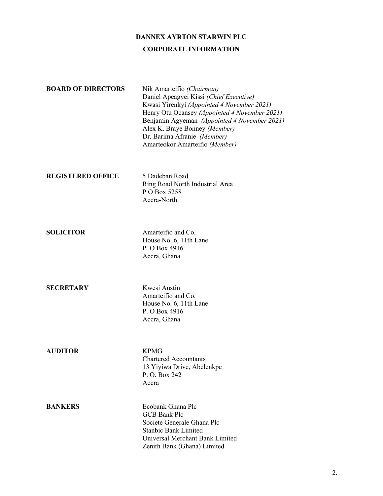## **DANNEX AYRTON STARWIN PLC**

#### **CORPORATE INFORMATION**

| <b>BOARD OF DIRECTORS</b> | Nik Amarteifio (Chairman)<br>Daniel Apeagyei Kissi (Chief Executive)<br>Kwasi Yirenkyi (Appointed 4 November 2021)<br>Henry Otu Ocansey (Appointed 4 November 2021)<br>Benjamin Agyeman (Appointed 4 November 2021)<br>Alex K. Braye Bonney (Member) |
|---------------------------|------------------------------------------------------------------------------------------------------------------------------------------------------------------------------------------------------------------------------------------------------|
|                           | Dr. Barima Afranie (Member)                                                                                                                                                                                                                          |
|                           | Amarteokor Amarteifio (Member)                                                                                                                                                                                                                       |

#### **REGISTERED OFFICE** 5 Dadeban Road

Ring Road North Industrial Area P O Box 5258 Accra-North

**SOLICITOR** Amarteifio and Co. House No. 6, 11th Lane P. O Box 4916 Accra, Ghana

**SECRETARY** Kwesi Austin Amarteifio and Co. House No. 6, 11th Lane P. O Box 4916 Accra, Ghana

**AUDITOR** KPMG

Chartered Accountants 13 Yiyiwa Drive, Abelenkpe P. O. Box 242 Accra

**BANKERS** Ecobank Ghana Plc GCB Bank Plc Societe Generale Ghana Plc Stanbic Bank Limited Universal Merchant Bank Limited Zenith Bank (Ghana) Limited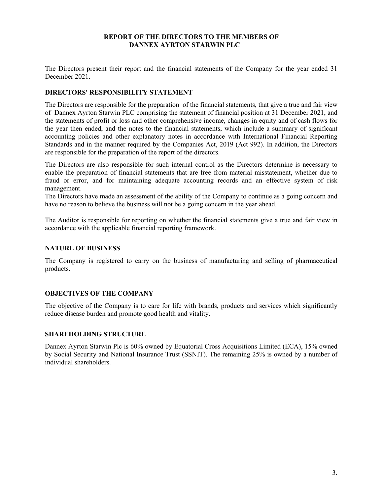### **REPORT OF THE DIRECTORS TO THE MEMBERS OF DANNEX AYRTON STARWIN PLC**

The Directors present their report and the financial statements of the Company for the year ended 31 December 2021.

### **DIRECTORS' RESPONSIBILITY STATEMENT**

The Directors are responsible for the preparation of the financial statements, that give a true and fair view of Dannex Ayrton Starwin PLC comprising the statement of financial position at 31 December 2021, and the statements of profit or loss and other comprehensive income, changes in equity and of cash flows for the year then ended, and the notes to the financial statements, which include a summary of significant accounting policies and other explanatory notes in accordance with International Financial Reporting Standards and in the manner required by the Companies Act, 2019 (Act 992). In addition, the Directors are responsible for the preparation of the report of the directors.

The Directors are also responsible for such internal control as the Directors determine is necessary to enable the preparation of financial statements that are free from material misstatement, whether due to fraud or error, and for maintaining adequate accounting records and an effective system of risk management.

The Directors have made an assessment of the ability of the Company to continue as a going concern and have no reason to believe the business will not be a going concern in the year ahead.

The Auditor is responsible for reporting on whether the financial statements give a true and fair view in accordance with the applicable financial reporting framework.

### **NATURE OF BUSINESS**

The Company is registered to carry on the business of manufacturing and selling of pharmaceutical products.

#### **OBJECTIVES OF THE COMPANY**

The objective of the Company is to care for life with brands, products and services which significantly reduce disease burden and promote good health and vitality.

#### **SHAREHOLDING STRUCTURE**

Dannex Ayrton Starwin Plc is 60% owned by Equatorial Cross Acquisitions Limited (ECA), 15% owned by Social Security and National Insurance Trust (SSNIT). The remaining 25% is owned by a number of individual shareholders.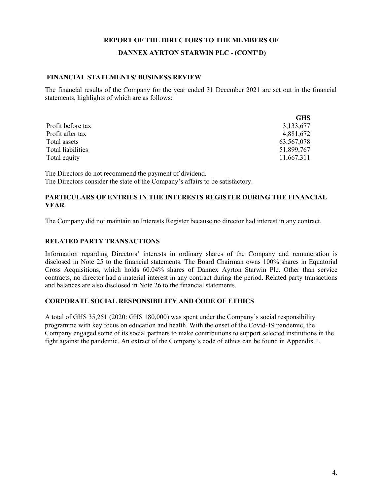### **DANNEX AYRTON STARWIN PLC - (CONT'D)**

### **FINANCIAL STATEMENTS/ BUSINESS REVIEW**

The financial results of the Company for the year ended 31 December 2021 are set out in the financial statements, highlights of which are as follows:

|                   | <b>GHS</b>  |
|-------------------|-------------|
| Profit before tax | 3, 133, 677 |
| Profit after tax  | 4,881,672   |
| Total assets      | 63,567,078  |
| Total liabilities | 51,899,767  |
| Total equity      | 11,667,311  |

The Directors do not recommend the payment of dividend. The Directors consider the state of the Company's affairs to be satisfactory.

### **PARTICULARS OF ENTRIES IN THE INTERESTS REGISTER DURING THE FINANCIAL YEAR**

The Company did not maintain an Interests Register because no director had interest in any contract.

### **RELATED PARTY TRANSACTIONS**

Information regarding Directors' interests in ordinary shares of the Company and remuneration is disclosed in Note 25 to the financial statements. The Board Chairman owns 100% shares in Equatorial Cross Acquisitions, which holds 60.04% shares of Dannex Ayrton Starwin Plc. Other than service contracts, no director had a material interest in any contract during the period. Related party transactions and balances are also disclosed in Note 26 to the financial statements.

### **CORPORATE SOCIAL RESPONSIBILITY AND CODE OF ETHICS**

A total of GHS 35,251 (2020: GHS 180,000) was spent under the Company's social responsibility programme with key focus on education and health. With the onset of the Covid-19 pandemic, the Company engaged some of its social partners to make contributions to support selected institutions in the fight against the pandemic. An extract of the Company's code of ethics can be found in Appendix 1.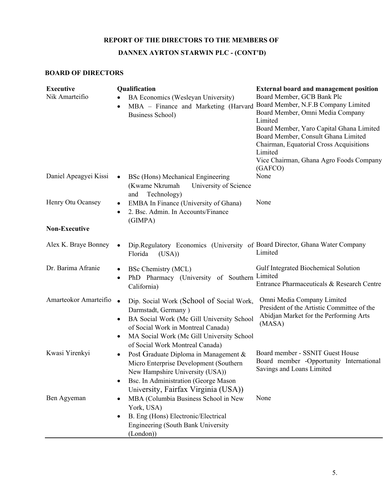# **DANNEX AYRTON STARWIN PLC - (CONT'D)**

## **BOARD OF DIRECTORS**

| <b>Executive</b><br>Nik Amarteifio | Qualification<br>BA Economics (Wesleyan University)<br>MBA - Finance and Marketing (Harvard<br>٠<br><b>Business School)</b>                                                                                                                                       | <b>External board and management position</b><br>Board Member, GCB Bank Plc<br>Board Member, N.F.B Company Limited<br>Board Member, Omni Media Company<br>Limited<br>Board Member, Yaro Capital Ghana Limited<br>Board Member, Consult Ghana Limited<br>Chairman, Equatorial Cross Acquisitions<br>Limited<br>Vice Chairman, Ghana Agro Foods Company<br>(GAFCO) |
|------------------------------------|-------------------------------------------------------------------------------------------------------------------------------------------------------------------------------------------------------------------------------------------------------------------|------------------------------------------------------------------------------------------------------------------------------------------------------------------------------------------------------------------------------------------------------------------------------------------------------------------------------------------------------------------|
| Daniel Apeagyei Kissi              | BSc (Hons) Mechanical Engineering<br>$\bullet$<br>(Kwame Nkrumah<br>University of Science<br>Technology)<br>and                                                                                                                                                   | None                                                                                                                                                                                                                                                                                                                                                             |
| Henry Otu Ocansey                  | EMBA In Finance (University of Ghana)<br>٠<br>2. Bsc. Admin. In Accounts/Finance<br>٠<br>(GIMPA)                                                                                                                                                                  | None                                                                                                                                                                                                                                                                                                                                                             |
| <b>Non-Executive</b>               |                                                                                                                                                                                                                                                                   |                                                                                                                                                                                                                                                                                                                                                                  |
| Alex K. Braye Bonney               | Dip.Regulatory Economics (University of Board Director, Ghana Water Company<br>$\bullet$<br>Florida<br>(USA)                                                                                                                                                      | Limited                                                                                                                                                                                                                                                                                                                                                          |
| Dr. Barima Afranie                 | <b>BSc Chemistry (MCL)</b><br>٠<br>PhD Pharmacy (University of Southern<br>$\bullet$<br>California)                                                                                                                                                               | Gulf Integrated Biochemical Solution<br>Limited<br>Entrance Pharmaceuticals & Research Centre                                                                                                                                                                                                                                                                    |
| Amarteokor Amarteifio              | Dip. Social Work (School of Social Work,<br>$\bullet$<br>Darmstadt, Germany)<br>BA Social Work (Mc Gill University School<br>٠<br>of Social Work in Montreal Canada)<br>MA Social Work (Mc Gill University School<br>$\bullet$<br>of Social Work Montreal Canada) | Omni Media Company Limited<br>President of the Artistic Committee of the<br>Abidjan Market for the Performing Arts<br>(MASA)                                                                                                                                                                                                                                     |
| Kwasi Yirenkyi                     | Post Graduate Diploma in Management &<br>٠<br>Micro Enterprise Development (Southern<br>New Hampshire University (USA))<br>Bsc. In Administration (George Mason<br>٠<br>University, Fairfax Virginia (USA))                                                       | Board member - SSNIT Guest House<br>Board member -Opportunity International<br>Savings and Loans Limited                                                                                                                                                                                                                                                         |
| Ben Agyeman                        | MBA (Columbia Business School in New<br>٠<br>York, USA)<br>B. Eng (Hons) Electronic/Electrical<br>٠<br><b>Engineering (South Bank University</b><br>(London))                                                                                                     | None                                                                                                                                                                                                                                                                                                                                                             |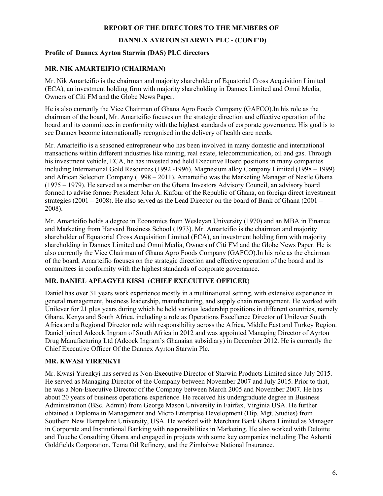### **DANNEX AYRTON STARWIN PLC - (CONT'D)**

### **Profile of Dannex Ayrton Starwin (DAS) PLC directors**

## **MR. NIK AMARTEIFIO (CHAIRMAN)**

Mr. Nik Amarteifio is the chairman and majority shareholder of Equatorial Cross Acquisition Limited (ECA), an investment holding firm with majority shareholding in Dannex Limited and Omni Media, Owners of Citi FM and the Globe News Paper.

He is also currently the Vice Chairman of Ghana Agro Foods Company (GAFCO).In his role as the chairman of the board, Mr. Amarteifio focuses on the strategic direction and effective operation of the board and its committees in conformity with the highest standards of corporate governance. His goal is to see Dannex become internationally recognised in the delivery of health care needs.

Mr. Amarteifio is a seasoned entrepreneur who has been involved in many domestic and international transactions within different industries like mining, real estate, telecommunication, oil and gas. Through his investment vehicle, ECA, he has invested and held Executive Board positions in many companies including International Gold Resources (1992 -1996), Magnesium alloy Company Limited (1998 – 1999) and African Selection Company (1998 – 2011). Amarteifio was the Marketing Manager of Nestle Ghana (1975 – 1979). He served as a member on the Ghana Investors Advisory Council, an advisory board formed to advise former President John A. Kufour of the Republic of Ghana, on foreign direct investment strategies (2001 – 2008). He also served as the Lead Director on the board of Bank of Ghana (2001 – 2008).

Mr. Amarteifio holds a degree in Economics from Wesleyan University (1970) and an MBA in Finance and Marketing from Harvard Business School (1973). Mr. Amarteifio is the chairman and majority shareholder of Equatorial Cross Acquisition Limited (ECA), an investment holding firm with majority shareholding in Dannex Limited and Omni Media, Owners of Citi FM and the Globe News Paper. He is also currently the Vice Chairman of Ghana Agro Foods Company (GAFCO).In his role as the chairman of the board, Amarteifio focuses on the strategic direction and effective operation of the board and its committees in conformity with the highest standards of corporate governance.

## **MR. DANIEL APEAGYEI KISSI** (**CHIEF EXECUTIVE OFFICER**)

Daniel has over 31 years work experience mostly in a multinational setting, with extensive experience in general management, business leadership, manufacturing, and supply chain management. He worked with Unilever for 21 plus years during which he held various leadership positions in different countries, namely Ghana, Kenya and South Africa, including a role as Operations Excellence Director of Unilever South Africa and a Regional Director role with responsibility across the Africa, Middle East and Turkey Region. Daniel joined Adcock Ingram of South Africa in 2012 and was appointed Managing Director of Ayrton Drug Manufacturing Ltd (Adcock Ingram's Ghanaian subsidiary) in December 2012. He is currently the Chief Executive Officer Of the Dannex Ayrton Starwin Plc.

### **MR. KWASI YIRENKYI**

Mr. Kwasi Yirenkyi has served as Non-Executive Director of Starwin Products Limited since July 2015. He served as Managing Director of the Company between November 2007 and July 2015. Prior to that, he was a Non-Executive Director of the Company between March 2005 and November 2007. He has about 20 years of business operations experience. He received his undergraduate degree in Business Administration (BSc. Admin) from George Mason University in Fairfax, Virginia USA. He further obtained a Diploma in Management and Micro Enterprise Development (Dip. Mgt. Studies) from Southern New Hampshire University, USA. He worked with Merchant Bank Ghana Limited as Manager in Corporate and Institutional Banking with responsibilities in Marketing. He also worked with Deloitte and Touche Consulting Ghana and engaged in projects with some key companies including The Ashanti Goldfields Corporation, Tema Oil Refinery, and the Zimbabwe National Insurance.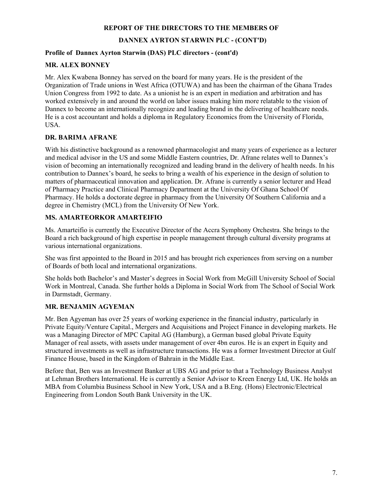## **DANNEX AYRTON STARWIN PLC - (CONT'D)**

### **Profile of Dannex Ayrton Starwin (DAS) PLC directors - (cont'd)**

### **MR. ALEX BONNEY**

Mr. Alex Kwabena Bonney has served on the board for many years. He is the president of the Organization of Trade unions in West Africa (OTUWA) and has been the chairman of the Ghana Trades Union Congress from 1992 to date. As a unionist he is an expert in mediation and arbitration and has worked extensively in and around the world on labor issues making him more relatable to the vision of Dannex to become an internationally recognize and leading brand in the delivering of healthcare needs. He is a cost accountant and holds a diploma in Regulatory Economics from the University of Florida, USA.

### **DR. BARIMA AFRANE**

With his distinctive background as a renowned pharmacologist and many years of experience as a lecturer and medical advisor in the US and some Middle Eastern countries, Dr. Afrane relates well to Dannex's vision of becoming an internationally recognized and leading brand in the delivery of health needs. In his contribution to Dannex's board, he seeks to bring a wealth of his experience in the design of solution to matters of pharmaceutical innovation and application. Dr. Afrane is currently a senior lecturer and Head of Pharmacy Practice and Clinical Pharmacy Department at the University Of Ghana School Of Pharmacy. He holds a doctorate degree in pharmacy from the University Of Southern California and a degree in Chemistry (MCL) from the University Of New York.

## **MS. AMARTEORKOR AMARTEIFIO**

Ms. Amarteifio is currently the Executive Director of the Accra Symphony Orchestra. She brings to the Board a rich background of high expertise in people management through cultural diversity programs at various international organizations.

She was first appointed to the Board in 2015 and has brought rich experiences from serving on a number of Boards of both local and international organizations.

She holds both Bachelor's and Master's degrees in Social Work from McGill University School of Social Work in Montreal, Canada. She further holds a Diploma in Social Work from The School of Social Work in Darmstadt, Germany.

## **MR. BENJAMIN AGYEMAN**

Mr. Ben Agyeman has over 25 years of working experience in the financial industry, particularly in Private Equity/Venture Capital., Mergers and Acquisitions and Project Finance in developing markets. He was a Managing Director of MPC Capital AG (Hamburg), a German based global Private Equity Manager of real assets, with assets under management of over 4bn euros. He is an expert in Equity and structured investments as well as infrastructure transactions. He was a former Investment Director at Gulf Finance House, based in the Kingdom of Bahrain in the Middle East.

Before that, Ben was an Investment Banker at UBS AG and prior to that a Technology Business Analyst at Lehman Brothers International. He is currently a Senior Advisor to Kreen Energy Ltd, UK. He holds an MBA from Columbia Business School in New York, USA and a B.Eng. (Hons) Electronic/Electrical Engineering from London South Bank University in the UK.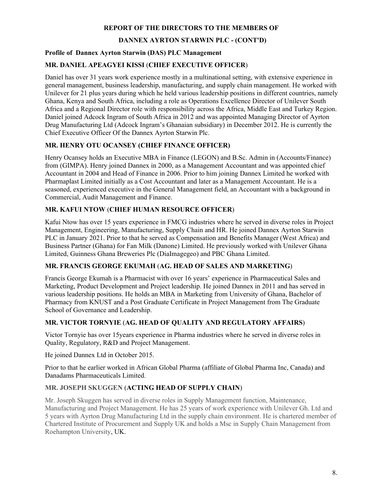## **DANNEX AYRTON STARWIN PLC - (CONT'D)**

### **Profile of Dannex Ayrton Starwin (DAS) PLC Management**

### **MR. DANIEL APEAGYEI KISSI** (**CHIEF EXECUTIVE OFFICER**)

Daniel has over 31 years work experience mostly in a multinational setting, with extensive experience in general management, business leadership, manufacturing, and supply chain management. He worked with Unilever for 21 plus years during which he held various leadership positions in different countries, namely Ghana, Kenya and South Africa, including a role as Operations Excellence Director of Unilever South Africa and a Regional Director role with responsibility across the Africa, Middle East and Turkey Region. Daniel joined Adcock Ingram of South Africa in 2012 and was appointed Managing Director of Ayrton Drug Manufacturing Ltd (Adcock Ingram's Ghanaian subsidiary) in December 2012. He is currently the Chief Executive Officer Of the Dannex Ayrton Starwin Plc.

## **MR. HENRY OTU OCANSEY (CHIEF FINANCE OFFICER)**

Henry Ocansey holds an Executive MBA in Finance (LEGON) and B.Sc. Admin in (Accounts/Finance) from (GIMPA). Henry joined Dannex in 2000, as a Management Accountant and was appointed chief Accountant in 2004 and Head of Finance in 2006. Prior to him joining Dannex Limited he worked with Pharmaplast Limited initially as a Cost Accountant and later as a Management Accountant. He is a seasoned, experienced executive in the General Management field, an Accountant with a background in Commercial, Audit Management and Finance.

### **MR. KAFUI NTOW** (**CHIEF HUMAN RESOURCE OFFICER**)

Kafui Ntow has over 15 years experience in FMCG industries where he served in diverse roles in Project Management, Engineering, Manufacturing, Supply Chain and HR. He joined Dannex Ayrton Starwin PLC in January 2021. Prior to that he served as Compensation and Benefits Manager (West Africa) and Business Partner (Ghana) for Fan Milk (Danone) Limited. He previously worked with Unilever Ghana Limited, Guinness Ghana Breweries Plc (DiaImagegeo) and PBC Ghana Limited.

### **MR. FRANCIS GEORGE EKUMAH** (**AG. HEAD OF SALES AND MARKETING**)

Francis George Ekumah is a Pharmacist with over 16 years' experience in Pharmaceutical Sales and Marketing, Product Development and Project leadership. He joined Dannex in 2011 and has served in various leadership positions. He holds an MBA in Marketing from University of Ghana, Bachelor of Pharmacy from KNUST and a Post Graduate Certificate in Project Management from The Graduate School of Governance and Leadership.

## **MR. VICTOR TORNYIE** (**AG. HEAD OF QUALITY AND REGULATORY AFFAIRS**)

Victor Tornyie has over 15years experience in Pharma industries where he served in diverse roles in Quality, Regulatory, R&D and Project Management.

He joined Dannex Ltd in October 2015.

Prior to that he earlier worked in African Global Pharma (affiliate of Global Pharma Inc, Canada) and Danadams Pharmaceuticals Limited.

## **MR. JOSEPH SKUGGEN** (**ACTING HEAD OF SUPPLY CHAIN**)

Mr. Joseph Skuggen has served in diverse roles in Supply Management function, Maintenance, Manufacturing and Project Management. He has 25 years of work experience with Unilever Gh. Ltd and 5 years with Ayrton Drug Manufacturing Ltd in the supply chain environment. He is chartered member of Chartered Institute of Procurement and Supply UK and holds a Msc in Supply Chain Management from Roehampton University, UK.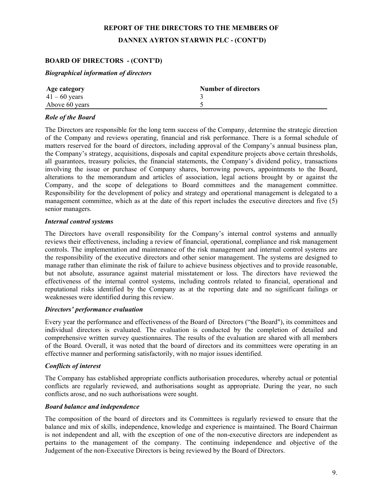# **REPORT OF THE DIRECTORS TO THE MEMBERS OF DANNEX AYRTON STARWIN PLC - (CONT'D)**

## **BOARD OF DIRECTORS - (CONT'D)**

### *Biographical information of directors*

| Age category    | <b>Number of directors</b> |
|-----------------|----------------------------|
| $41 - 60$ years |                            |
| Above 60 years  |                            |

### *Role of the Board*

The Directors are responsible for the long term success of the Company, determine the strategic direction of the Company and reviews operating, financial and risk performance. There is a formal schedule of matters reserved for the board of directors, including approval of the Company's annual business plan, the Company's strategy, acquisitions, disposals and capital expenditure projects above certain thresholds, all guarantees, treasury policies, the financial statements, the Company's dividend policy, transactions involving the issue or purchase of Company shares, borrowing powers, appointments to the Board, alterations to the memorandum and articles of association, legal actions brought by or against the Company, and the scope of delegations to Board committees and the management committee. Responsibility for the development of policy and strategy and operational management is delegated to a management committee, which as at the date of this report includes the executive directors and five (5) senior managers.

### *Internal control systems*

The Directors have overall responsibility for the Company's internal control systems and annually reviews their effectiveness, including a review of financial, operational, compliance and risk management controls. The implementation and maintenance of the risk management and internal control systems are the responsibility of the executive directors and other senior management. The systems are designed to manage rather than eliminate the risk of failure to achieve business objectives and to provide reasonable, but not absolute, assurance against material misstatement or loss. The directors have reviewed the effectiveness of the internal control systems, including controls related to financial, operational and reputational risks identified by the Company as at the reporting date and no significant failings or weaknesses were identified during this review.

### *Directors' performance evaluation*

Every year the performance and effectiveness of the Board of Directors ("the Board"), its committees and individual directors is evaluated. The evaluation is conducted by the completion of detailed and comprehensive written survey questionnaires. The results of the evaluation are shared with all members of the Board. Overall, it was noted that the board of directors and its committees were operating in an effective manner and performing satisfactorily, with no major issues identified.

### *Conflicts of interest*

The Company has established appropriate conflicts authorisation procedures, whereby actual or potential conflicts are regularly reviewed, and authorisations sought as appropriate. During the year, no such conflicts arose, and no such authorisations were sought.

### *Board balance and independence*

The composition of the board of directors and its Committees is regularly reviewed to ensure that the balance and mix of skills, independence, knowledge and experience is maintained. The Board Chairman is not independent and all, with the exception of one of the non-executive directors are independent as pertains to the management of the company. The continuing independence and objective of the Judgement of the non-Executive Directors is being reviewed by the Board of Directors.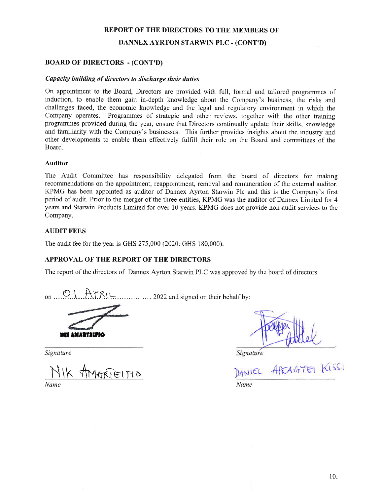DANNEX AYRTON STARWIN PLC - (CONT'D)

#### BOARD OF DIRECTORS - (CONT'D)

#### Capacity building of directors to discharge their duties

On appointment to the Board, Directors are provided with full, formal and tailored programmes of induction, to enable them gain in-depth knowledge about the Company's business, the risks and challenges faced, the economic knowledge and the legal and regulatory environment in which the Company operates. Programmes of strategic and other reviews, together with the other training programmes provided during the year, ensure that Directors continually update their skills, knowledge and familiarity with the Company's businesses. This further provides insights about the industry and other developments to enable them effectively fulfiI1 their role on the Board and committees of the Board.

#### Auditor

The Audit Committee has responsibility delegated from the board of directors for making recommendations on the appointment, reappointment, removal and remuneration of the extemal auditor. KPMG has been appointed as auditor of Dannex Ayrton Starwin Plc and this is the Company's first period of audit. Prior to the merger of the three entities, KPMG was the auditor of Dannex Limited for 4 years and Starwin Products Limited for over 10 years. KPMG does not provide non-audit services to the Company.

### **AUDIT FEES**

The audit fee for the year is GHS 275,000 (2020: GHS 180,000).

#### APPROVAL OF THE REPORT OF THE DIRECTORS

The report of the directors of Dannex Ayrton Starwin PLC was approved by the board of directors

rq I "Net on....Y..1.....|r.i.n].\* ....... 2022andsisnedontheirbehalfby:

rr anattiirio

Signature

 $\frac{|Y|K}{Name}$ Name Name

Signature

APEAGYEI KISSI DANIEL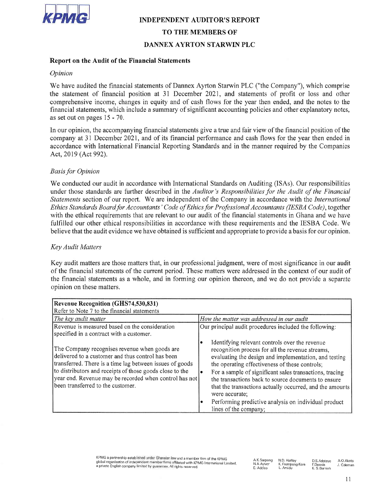

### INDEPENDENT AUDITOR'S REPORT

## TO THE MEMBERS OF

### DANNEX AYRTON STARWIN PLC

## Report on the Audit of the Financial Statements

#### Opinion

as set out on pages 15 - 70 financial statements, which include a summary of significant accounting policies and other explanatory notes, comprehensive income, changes in equity and of cash flows for the year then ended, and the notes to the the statement of financial position at 31 December 2021, and statements of profit or loss and other We have audited the financial statements of Dannex Ayrton Starwin PLC ("the Company"), which comprise

Act, 2019 (Act 992). accordance with International Financial Reporting Standards and in the manner required by the Companies company at 31 December 2021, and of its financial performance and cash flows for the year then ended in In our opinion, the accompanying financial statements give a true and fair view of the financial position of the

#### Basis for Opinion

believe that the audit evidence we have obtained is sufficient and appropriate to provide a basis for our opinion fulfilled our other ethical responsibilities in accordance with these requirements and the IESBA Code. We with the ethical requirements that are relevant to our audit of the financial statements in Ghana and we have Ethics Standards Board for Accountants' Code of Ethics for Professional Accountants (IESBA Code), together Statements section of our report. We are independent of the Company in accordance with the International under those standards are further described in the Auditor's Responsibilities for the Audit of the Financial We conducted our audit in accordance with International Standards on Auditing (ISAs). Our responsibilities

#### Key Audit Matters

opinion on these matters the financial statements as a whole, and in forming our opinion thereon, and we do not provide a separate of the financial statements of the current period. These matters were addressed in the context of our audit of Key audit matters are those matters that, in our professional judgment, were of most significance in our audit

| Revenue Recognition (GHS74,530,831)<br>Refer to Note 7 to the financial statements                                                                                                                                                                                                                                        |                                                                                                                                                                                                                                                                                                                                                                                                                                                                                                             |
|---------------------------------------------------------------------------------------------------------------------------------------------------------------------------------------------------------------------------------------------------------------------------------------------------------------------------|-------------------------------------------------------------------------------------------------------------------------------------------------------------------------------------------------------------------------------------------------------------------------------------------------------------------------------------------------------------------------------------------------------------------------------------------------------------------------------------------------------------|
| The key audit matter                                                                                                                                                                                                                                                                                                      | How the matter was addressed in our audit                                                                                                                                                                                                                                                                                                                                                                                                                                                                   |
| Revenue is measured based on the consideration<br>specified in a contract with a customer.                                                                                                                                                                                                                                | Our principal audit procedures included the following:                                                                                                                                                                                                                                                                                                                                                                                                                                                      |
| The Company recognises revenue when goods are<br>delivered to a customer and thus control has been<br>transferred. There is a time lag between issues of goods<br>to distributors and receipts of those goods close to the<br>year end. Revenue may be recorded when control has not<br>been transferred to the customer. | Identifying relevant controls over the revenue<br>recognition process for all the revenue streams,<br>evaluating the design and implementation, and testing<br>the operating effectiveness of these controls;<br>For a sample of significant sales transactions, tracing<br>$\bullet$<br>the transactions back to source documents to ensure<br>that the transactions actually occurred, and the amounts<br>were accurate;<br>Performing predictive analysis on individual product<br>lines of the company; |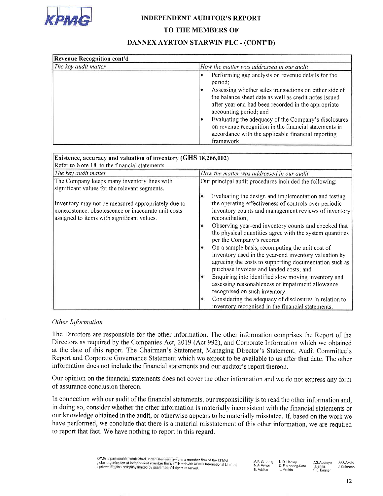

### INDEPENDENT AUDITOR'S REPORT

### TO THE MEMBERS OF

# DANNEX AYRTON STARWIN PLC - (CONT'D)

| <b>Revenue Recognition cont'd</b> |                                                                                                                                                                                                  |  |  |  |
|-----------------------------------|--------------------------------------------------------------------------------------------------------------------------------------------------------------------------------------------------|--|--|--|
| The key audit matter              | How the matter was addressed in our audit                                                                                                                                                        |  |  |  |
|                                   | Performing gap analysis on revenue details for the<br>period;                                                                                                                                    |  |  |  |
|                                   | Assessing whether sales transactions on either side of<br>the balance sheet date as well as credit notes issued<br>after year end had been recorded in the appropriate<br>accounting period; and |  |  |  |
|                                   | Evaluating the adequacy of the Company's disclosures<br>on revenue recognition in the financial statements in<br>accordance with the applicable financial reporting<br>framework.                |  |  |  |

| Existence, accuracy and valuation of inventory (GHS 18,266,002)                                                                                         |                                                                                                                                                                                                                                                                                                                                                                                                                                                                                                                                                                                                                                                                                                                                                                                                                                            |  |  |  |
|---------------------------------------------------------------------------------------------------------------------------------------------------------|--------------------------------------------------------------------------------------------------------------------------------------------------------------------------------------------------------------------------------------------------------------------------------------------------------------------------------------------------------------------------------------------------------------------------------------------------------------------------------------------------------------------------------------------------------------------------------------------------------------------------------------------------------------------------------------------------------------------------------------------------------------------------------------------------------------------------------------------|--|--|--|
| Refer to Note 18 to the financial statements                                                                                                            |                                                                                                                                                                                                                                                                                                                                                                                                                                                                                                                                                                                                                                                                                                                                                                                                                                            |  |  |  |
| The key audit matter                                                                                                                                    | How the matter was addressed in our audit                                                                                                                                                                                                                                                                                                                                                                                                                                                                                                                                                                                                                                                                                                                                                                                                  |  |  |  |
| The Company keeps many inventory lines with<br>significant values for the relevant segments.                                                            | Our principal audit procedures included the following:                                                                                                                                                                                                                                                                                                                                                                                                                                                                                                                                                                                                                                                                                                                                                                                     |  |  |  |
| Inventory may not be measured appropriately due to<br>nonexistence, obsolescence or inaccurate unit costs<br>assigned to items with significant values. | Evaluating the design and implementation and testing<br>۰<br>the operating effectiveness of controls over periodic<br>inventory counts and management reviews of inventory<br>reconciliation;<br>Observing year-end inventory counts and checked that<br>۰<br>the physical quantities agree with the system quantities<br>per the Company's records.<br>On a sample basis, recomputing the unit cost of<br>inventory used in the year-end inventory valuation by<br>agreeing the costs to supporting documentation such as<br>purchase invoices and landed costs; and<br>Enquiring into identified slow moving inventory and<br>٠<br>assessing reasonableness of impairment allowance<br>recognised on such inventory.<br>Considering the adequacy of disclosures in relation to<br>۰<br>inventory recognised in the financial statements. |  |  |  |

### Other Information

information does not include the financial statements and our auditor's report thereon Report and Corporate Governance Statement which we expect to be available to us after that date. The other at the date of this report. The Chairman's Statement, Managing Director's Statement, Audit Committee's Directors as required by the Companies Act, 2019 (Act 992), and Corporate Information which we obtained The Directors are responsible for the other information. The other information comprises the Report of the

of assurance conclusion thereon. Our opinion on the financial statements does not cover the other information and we do not express any form

to report that fact. We have nothing to report in this regard have performed, we conclude that there is a material misstatement of this other information, we are required our knowledge obtained in the audit, or otherwise appears to be materially misstated. If, based on the work we in doing so, consider whether the other information is materially inconsistent with the financial statements or In connection with our audit of the financial statements, our responsibility is to read the other information and.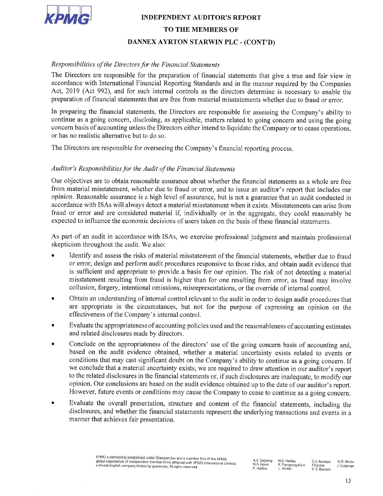

# DANNEX AYRTON STARWIN PLC - (CONT'D) TO THE MEMBERS OF INDEPENDENT AUDITOR'S REPORT

## Responsibilities of the Directors for the Financial Statements

preparation of financial statements that are free from material misstatements whether due to fraud or error Act, 2019 (Act 992), and for such internal controls as the directors determine is necessary to enable the accordance with International Financial Reporting Standards and in the manner required by the Companies The Directors are responsible for the preparation of financial statements that give a true and fair view in

or has no realistic alternative but to do so concern basis of accounting unless the Directors either intend to liquidate the Company or to cease operations continue as a going concern, disclosing, as applicable, matters related to going concern and using the going In preparing the financial statements, the Directors are responsible for assessing the Company's ability to

The Directors are responsible for overseeing the Company's financial reporting process

## Auditor's Responsibilities for the Audit of the Financial Statements

expected to influence the economic decisions of users taken on the basis of these financial statements fraud or error and are considered material if, individually or in the aggregate, they could reasonably be accordance with ISAs will always detect a material misstatement when it exists. Misstatements can arise from opinion. Reasonable assurance is a high level of assurance, but is not a guarantee that an audit conducted in from material misstatement, whether due to fraud or error, and to issue an auditor's report that includes our Our objectives are to obtain reasonable assurance about whether the financial statements as a whole are free

skepticism throughout the audit. We also: As part of an audit in accordance with ISAs, we exercise professional judgment and maintain professional

- collusion, forgery, intentional omissions, misrepresentations, or the override of internal control misstatement resulting from fraud is higher than for one resulting from error, as fraud may involve is sufficient and appropriate to provide a basis for our opinion. The risk of not detecting a material or error, design and perform audit procedures responsive to those risks, and obtain audit evidence that • Identify and assess the risks of material misstatement of the financial statements, whether due to fraud
- effectiveness of the Company's internal control. are appropriate in the circumstances, but not for the purpose of expressing an opinion on the · Obtain an understanding of internal control relevant to the audit in order to design audit procedures that
- In the the upper primaries of accounting • Evaluate the appropriateness of accounting policies used and the reasonableness of accounting estimates
- However, future events or conditions may cause the Company to cease to continue as a going concern opinion. Our conclusions are based on the audit evidence obtained up to the date of our auditor's report to the related disclosures in the financial statements or, if such disclosures are inadequate, to modify our we conclude that a material uncertainty exists, we are required to draw attention in our auditor's report conditions that may cast significant doubt on the Company's ability to continue as a going concern. If based on the audit evidence obtained, whether a material uncertainty exists related to events or • Conclude on the appropriateness of the directors' use of the going concern basis of accounting and
- manner that achieves fair presentation. disclosures, and whether the financial statements represent the underlying transactions and events in a • Evaluate the overall presentation, structure and content of the financial statements, including the statements,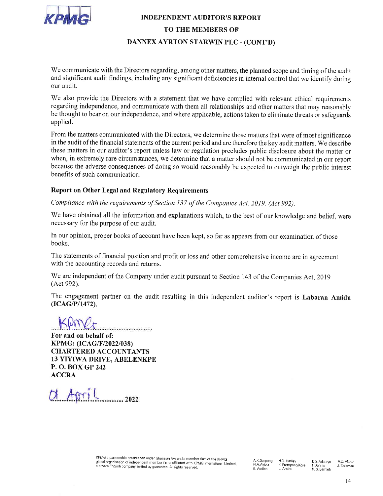

# DANNEX AYRTON STARWIN PLC - (CONT'D) TO THE MEMBERS OF INDEPENDENT AUDITOR'S REPORT

our audit. and significant audit findings, including any significant deficiencies in internal control that we identify during We communicate with the Directors regarding, among other matters, the planned scope and timing of the audit

applied. be thought to bear on our independence, and where applicable, actions taken to eliminate threats or safeguards regarding independence, and communicate with them all relationships and other matters that may reasonably We also provide the Directors with a statement that we have complied with relevant ethical requirements

benefits of such communication. because the adverse consequences of doing so would reasonably be expected to outweigh the public interest when, in extremely rare circumstances, we determine that a matter should not be communicated in our report these matters in our auditor's report unless law or regulation precludes public disclosure about the matter or in the audit of the financial statements of the current period and are therefore the key audit matters. We describe From the matters communicated with the Directors, we determine those matters that were of most significance

# Report on Other Legal and Regulatory Requirements

Compliance with the requirements of Section 137 of the Companies Act, 2019, (Act 992)

necessary for the purpose of our audit. We have obtained all the information and explanations which, to the best of our knowledge and belief, were

books. In our opinion, proper books of account have been kept, so far as appears from our examination of those

with the accounting records and returns. The statements of financial position and profit or loss and other comprehensive income are in agreement

(Act 992). We are independent of the Company under audit pursuant to Section 143 of the Companies Act, 2019

 $(ICAG/P/1472)$ . The engagement partner on the audit resulting in this independent auditor's report is Labaran Amidu

 $|\mathcal{V}|$ 

**ACCRA** P. O. BOX GP 242 13 YIYIWA DRIVE, ABELENKPE CHARTERED ACCOUNTANTS KPMG: (ICAG/F/2022/038) For and on behalf of:

 $O1$  April 2022

a private English company limited by guarantee. All rights reserved global organisation of independent member firms affiliated with KPMG International Limited kPMG a partnership established under Ghanaian law and a member firm of the KPMG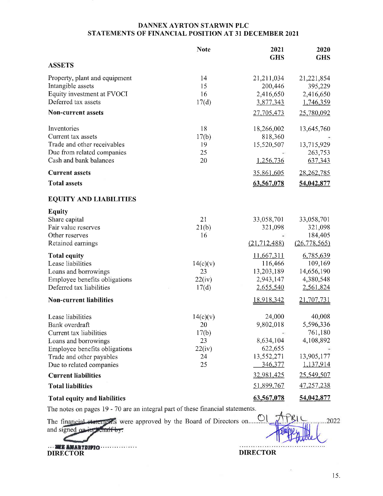### DANNEX AYRTON STARWIN PLC STATEMENTS OF FINANCIAL POSITION AT 31 DECEMBER 2021

|                                                                                                                                                                                 | <b>Note</b>                                         | 2021<br><b>GHS</b>                                                   | 2020<br><b>GHS</b>                                                         |
|---------------------------------------------------------------------------------------------------------------------------------------------------------------------------------|-----------------------------------------------------|----------------------------------------------------------------------|----------------------------------------------------------------------------|
| <b>ASSETS</b>                                                                                                                                                                   |                                                     |                                                                      |                                                                            |
| Property, plant and equipment<br>Intangible assets<br>Equity investment at FVOCI<br>Deferred tax assets<br>Non-current assets                                                   | 14<br>15<br>16<br>17(d)                             | 21,211,034<br>200,446<br>2,416,650<br>3,877,343<br>27,705,473        | 21,221,854<br>395,229<br>2,416,650<br>1,746,359<br>25,780,092              |
| Inventories<br>Current tax assets<br>Trade and other receivables<br>Due from related companies<br>Cash and bank balances                                                        | 18<br>17(b)<br>19<br>25<br>20                       | 18,266,002<br>818,360<br>15,520,507<br>1,256,736                     | 13,645,760<br>13,715,929<br>263,753<br>637,343                             |
| <b>Current assets</b>                                                                                                                                                           |                                                     | 35,861,605                                                           | 28,262,785                                                                 |
| <b>Total assets</b>                                                                                                                                                             |                                                     | 63,567,078                                                           | 54,042,877                                                                 |
| <b>EQUITY AND LIABILITIES</b>                                                                                                                                                   |                                                     |                                                                      |                                                                            |
| Equity<br>Share capital<br>Fair value reserves<br>Other reserves<br>Retained earnings<br><b>Total equity</b><br>Lease liabilities                                               | 21<br>21(b)<br>16<br>14(c)(v)                       | 33,058,701<br>321,098<br>(21, 712, 488)<br>11,667,311<br>116,466     | 33,058,701<br>321,098<br>184,405<br>(26, 778, 565)<br>6,785,639<br>109,169 |
| Loans and borrowings<br>Employee benefits obligations<br>Deferred tax liabilities                                                                                               | 23<br>22(iv)<br>17(d)                               | 13,203,189<br>2,943,147<br>2,655,540                                 | 14,656,190<br>4,380,548<br>2,561,824                                       |
| <b>Non-current liabilities</b>                                                                                                                                                  |                                                     | <u>18,918,342</u>                                                    | 21,707,731                                                                 |
| Lease liabilities<br>Bank overdraft<br>Current tax liabilities<br>Loans and borrowings<br>Employee benefits obligations<br>Trade and other payables<br>Due to related companies | 14(c)(v)<br>20<br>17(b)<br>23<br>22(iv)<br>24<br>25 | 24,000<br>9,802,018<br>8,634,104<br>622,655<br>13,552,271<br>346,377 | 40,008<br>5,596,336<br>761,180<br>4,108,892<br>13,905,177<br>1,137,914     |
| <b>Current liabilities</b>                                                                                                                                                      |                                                     | 32,981,425                                                           | 25,549,507                                                                 |
| <b>Total liabilities</b>                                                                                                                                                        |                                                     | 51,899,767                                                           | 47,257,238                                                                 |
| <b>Total equity and liabilities</b>                                                                                                                                             |                                                     | 63,567,078                                                           | 54,042,877                                                                 |

The notes on pages 19 - 70 are an integral part of these financial statements.

The final approved by the Board of Directors on......9 and signed on its behalf by:

ORE ANARTHIC CONTROL CONTROL CONTROL CONTROL CONTROL CONTROL CONTROL CONTROL CONTROL CONTROL CONTROL CONTROL CONTROL CONTROL CONTROL CONTROL CONTROL CONTROL CONTROL CONTROL CONTROL CONTROL CONTROL CONTROL CONTROL CONTROL C

. . . . . . . . . . . .

×

15.

.2022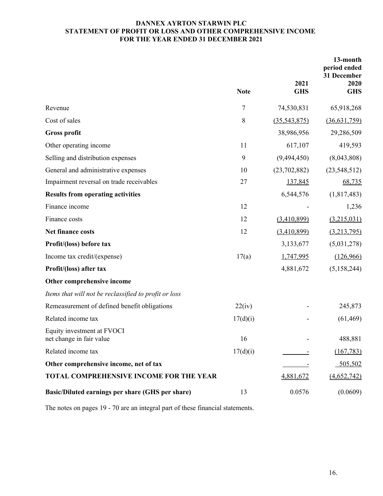## **DANNEX AYRTON STARWIN PLC STATEMENT OF PROFIT OR LOSS AND OTHER COMPREHENSIVE INCOME FOR THE YEAR ENDED 31 DECEMBER 2021**

|                                                        | <b>Note</b> | 2021<br><b>GHS</b> | 13-month<br>period ended<br>31 December<br>2020<br><b>GHS</b> |
|--------------------------------------------------------|-------------|--------------------|---------------------------------------------------------------|
| Revenue                                                | 7           | 74,530,831         | 65,918,268                                                    |
| Cost of sales                                          | 8           | (35,543,875)       | (36,631,759)                                                  |
| <b>Gross profit</b>                                    |             | 38,986,956         | 29,286,509                                                    |
| Other operating income                                 | 11          | 617,107            | 419,593                                                       |
| Selling and distribution expenses                      | 9           | (9,494,450)        | (8,043,808)                                                   |
| General and administrative expenses                    | 10          | (23,702,882)       | (23,548,512)                                                  |
| Impairment reversal on trade receivables               | 27          | 137,845            | 68,735                                                        |
| <b>Results from operating activities</b>               |             | 6,544,576          | (1,817,483)                                                   |
| Finance income                                         | 12          |                    | 1,236                                                         |
| Finance costs                                          | 12          | (3,410,899)        | (3,215,031)                                                   |
| Net finance costs                                      | 12          | (3,410,899)        | (3,213,795)                                                   |
| Profit/(loss) before tax                               |             | 3,133,677          | (5,031,278)                                                   |
| Income tax credit/(expense)                            | 17(a)       | 1,747,995          | (126,966)                                                     |
| Profit/(loss) after tax                                |             | 4,881,672          | (5,158,244)                                                   |
| Other comprehensive income                             |             |                    |                                                               |
| Items that will not be reclassified to profit or loss  |             |                    |                                                               |
| Remeasurement of defined benefit obligations           | 22(iv)      |                    | 245,873                                                       |
| Related income tax                                     | 17(d)(i)    |                    | (61, 469)                                                     |
| Equity investment at FVOCI<br>net change in fair value | 16          |                    | 488,881                                                       |
| Related income tax                                     | 17(d)(i)    |                    | (167, 783)                                                    |
| Other comprehensive income, net of tax                 |             |                    | 505,502                                                       |
| <b>TOTAL COMPREHENSIVE INCOME FOR THE YEAR</b>         |             | 4,881,672          | (4,652,742)                                                   |
| Basic/Diluted earnings per share (GHS per share)       | 13          | 0.0576             | (0.0609)                                                      |

The notes on pages 19 - 70 are an integral part of these financial statements.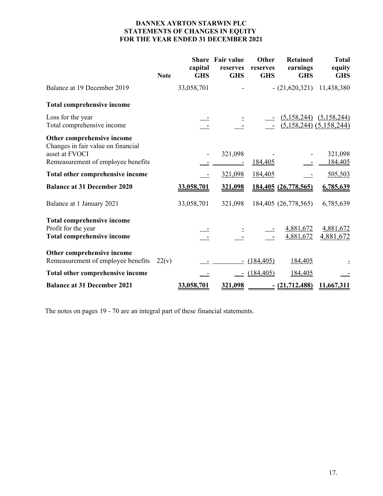## **DANNEX AYRTON STARWIN PLC STATEMENTS OF CHANGES IN EQUITY FOR THE YEAR ENDED 31 DECEMBER 2021**

|                                                                                               | <b>Note</b> | capital<br><b>GHS</b> | <b>Share</b> Fair value<br>reserves<br><b>GHS</b> | Other<br>reserves<br><b>GHS</b> | <b>Retained</b><br>earnings<br><b>GHS</b> | <b>Total</b><br>equity<br><b>GHS</b>                       |
|-----------------------------------------------------------------------------------------------|-------------|-----------------------|---------------------------------------------------|---------------------------------|-------------------------------------------|------------------------------------------------------------|
| Balance at 19 December 2019                                                                   |             | 33,058,701            |                                                   |                                 | $- (21,620,321)$                          | 11,438,380                                                 |
| <b>Total comprehensive income</b>                                                             |             |                       |                                                   |                                 |                                           |                                                            |
| Loss for the year<br>Total comprehensive income                                               |             |                       |                                                   |                                 |                                           | $(5,158,244)$ $(5,158,244)$<br>$(5,158,244)$ $(5,158,244)$ |
| Other comprehensive income<br>Changes in fair value on financial                              |             |                       |                                                   |                                 |                                           |                                                            |
| asset at FVOCI<br>Remeasurement of employee benefits                                          |             |                       | 321,098                                           | 184,405                         |                                           | 321,098<br>184,405                                         |
| Total other comprehensive income                                                              |             |                       | 321,098                                           | 184,405                         |                                           | 505,503                                                    |
| <b>Balance at 31 December 2020</b>                                                            |             | 33,058,701            | 321,098                                           |                                 | 184,405 (26,778,565)                      | 6,785,639                                                  |
| Balance at 1 January 2021                                                                     |             | 33,058,701            | 321,098                                           |                                 | 184,405 (26,778,565)                      | 6,785,639                                                  |
| <b>Total comprehensive income</b><br>Profit for the year<br><b>Total comprehensive income</b> |             |                       |                                                   |                                 | 4,881,672<br>4,881,672                    | 4,881,672<br>4,881,672                                     |
| Other comprehensive income<br>Remeasurement of employee benefits                              | 22(v)       |                       |                                                   | (184, 405)                      | 184,405                                   |                                                            |
| Total other comprehensive income                                                              |             |                       |                                                   | (184, 405)                      | 184,405                                   |                                                            |
| <b>Balance at 31 December 2021</b>                                                            |             | 33,058,701            | 321,098                                           |                                 | <u>- (21,712,488)</u>                     | 11,667,311                                                 |

The notes on pages 19 - 70 are an integral part of these financial statements.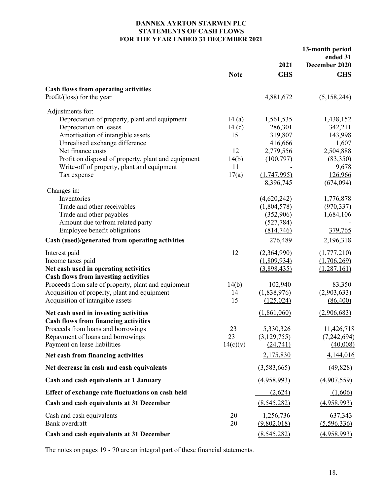### **DANNEX AYRTON STARWIN PLC STATEMENTS OF CASH FLOWS FOR THE YEAR ENDED 31 DECEMBER 2021**

|                                                     |             |                          | 13-month period<br>ended 31 |
|-----------------------------------------------------|-------------|--------------------------|-----------------------------|
|                                                     |             | 2021                     | December 2020               |
|                                                     | <b>Note</b> | <b>GHS</b>               | <b>GHS</b>                  |
| <b>Cash flows from operating activities</b>         |             |                          |                             |
| Profit/(loss) for the year                          |             | 4,881,672                | (5,158,244)                 |
| Adjustments for:                                    |             |                          |                             |
| Depreciation of property, plant and equipment       | 14(a)       | 1,561,535                | 1,438,152                   |
| Depreciation on leases                              | 14(c)       | 286,301                  | 342,211                     |
| Amortisation of intangible assets                   | 15          | 319,807                  | 143,998                     |
| Unrealised exchange difference                      |             | 416,666                  | 1,607                       |
| Net finance costs                                   | 12          | 2,779,556                | 2,504,888                   |
| Profit on disposal of property, plant and equipment | 14(b)       | (100, 797)               | (83,350)                    |
| Write-off of property, plant and equipment          | 11          |                          | 9,678                       |
| Tax expense                                         | 17(a)       | (1,747,995)<br>8,396,745 | 126,966<br>(674, 094)       |
| Changes in:                                         |             |                          |                             |
| Inventories                                         |             | (4,620,242)              | 1,776,878                   |
| Trade and other receivables                         |             | (1,804,578)              | (970, 337)                  |
| Trade and other payables                            |             | (352,906)                | 1,684,106                   |
| Amount due to/from related party                    |             | (527, 784)               |                             |
| Employee benefit obligations                        |             | (814,746)                | 379,765                     |
| Cash (used)/generated from operating activities     |             | 276,489                  | 2,196,318                   |
| Interest paid                                       | 12          | (2,364,990)              | (1,777,210)                 |
| Income taxes paid                                   |             | (1,809,934)              | (1,706,269)                 |
| Net cash used in operating activities               |             | (3,898,435)              | (1, 287, 161)               |
| <b>Cash flows from investing activities</b>         |             |                          |                             |
| Proceeds from sale of property, plant and equipment | 14(b)       | 102,940                  | 83,350                      |
| Acquisition of property, plant and equipment        | 14          | (1,838,976)              | (2,903,633)                 |
| Acquisition of intangible assets                    | 15          | (125, 024)               | (86,400)                    |
| Net cash used in investing activities               |             | (1,861,060)              | (2,906,683)                 |
| <b>Cash flows from financing activities</b>         |             |                          |                             |
| Proceeds from loans and borrowings                  | 23          | 5,330,326                | 11,426,718                  |
| Repayment of loans and borrowings                   | 23          | (3,129,755)              | (7, 242, 694)               |
| Payment on lease liabilities                        | 14(c)(v)    | (24,741)                 | (40,008)                    |
| Net cash from financing activities                  |             | 2,175,830                | 4,144,016                   |
| Net decrease in cash and cash equivalents           |             | (3,583,665)              | (49, 828)                   |
| Cash and cash equivalents at 1 January              |             | (4,958,993)              | (4,907,559)                 |
| Effect of exchange rate fluctuations on cash held   |             | (2,624)                  | (1,606)                     |
| Cash and cash equivalents at 31 December            |             | (8,545,282)              | (4,958,993)                 |
| Cash and cash equivalents                           | 20          | 1,256,736                | 637,343                     |
| Bank overdraft                                      | 20          | (9,802,018)              | (5,596,336)                 |
| Cash and cash equivalents at 31 December            |             | (8, 545, 282)            | (4,958,993)                 |
|                                                     |             |                          |                             |

The notes on pages 19 - 70 are an integral part of these financial statements.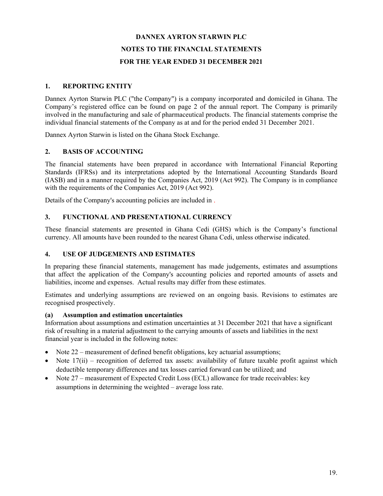## **1. REPORTING ENTITY**

Dannex Ayrton Starwin PLC ("the Company") is a company incorporated and domiciled in Ghana. The Company's registered office can be found on page 2 of the annual report. The Company is primarily involved in the manufacturing and sale of pharmaceutical products. The financial statements comprise the individual financial statements of the Company as at and for the period ended 31 December 2021.

Dannex Ayrton Starwin is listed on the Ghana Stock Exchange.

## **2. BASIS OF ACCOUNTING**

The financial statements have been prepared in accordance with International Financial Reporting Standards (IFRSs) and its interpretations adopted by the International Accounting Standards Board (IASB) and in a manner required by the Companies Act, 2019 (Act 992). The Company is in compliance with the requirements of the Companies Act, 2019 (Act 992).

Details of the Company's accounting policies are included in .

## **3. FUNCTIONAL AND PRESENTATIONAL CURRENCY**

These financial statements are presented in Ghana Cedi (GHS) which is the Company's functional currency. All amounts have been rounded to the nearest Ghana Cedi, unless otherwise indicated.

### **4. USE OF JUDGEMENTS AND ESTIMATES**

In preparing these financial statements, management has made judgements, estimates and assumptions that affect the application of the Company's accounting policies and reported amounts of assets and liabilities, income and expenses. Actual results may differ from these estimates.

Estimates and underlying assumptions are reviewed on an ongoing basis. Revisions to estimates are recognised prospectively.

### **(a) Assumption and estimation uncertainties**

Information about assumptions and estimation uncertainties at 31 December 2021 that have a significant risk of resulting in a material adjustment to the carrying amounts of assets and liabilities in the next financial year is included in the following notes:

- $\bullet$  Note 22 measurement of defined benefit obligations, key actuarial assumptions;
- $\bullet$  Note 17(ii) recognition of deferred tax assets: availability of future taxable profit against which deductible temporary differences and tax losses carried forward can be utilized; and
- Note 27 measurement of Expected Credit Loss (ECL) allowance for trade receivables: key assumptions in determining the weighted – average loss rate.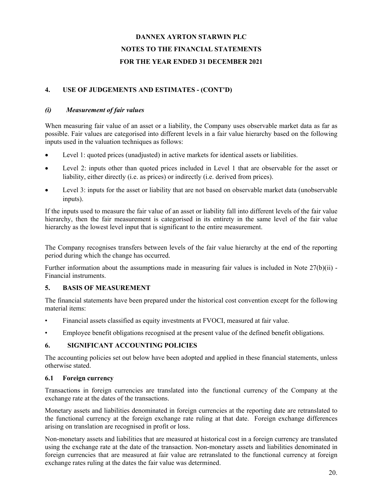## **4. USE OF JUDGEMENTS AND ESTIMATES - (CONT'D)**

### *(i) Measurement of fair values*

When measuring fair value of an asset or a liability, the Company uses observable market data as far as possible. Fair values are categorised into different levels in a fair value hierarchy based on the following inputs used in the valuation techniques as follows:

- Level 1: quoted prices (unadjusted) in active markets for identical assets or liabilities.
- Level 2: inputs other than quoted prices included in Level 1 that are observable for the asset or liability, either directly (i.e. as prices) or indirectly (i.e. derived from prices).
- Level 3: inputs for the asset or liability that are not based on observable market data (unobservable inputs).

If the inputs used to measure the fair value of an asset or liability fall into different levels of the fair value hierarchy, then the fair measurement is categorised in its entirety in the same level of the fair value hierarchy as the lowest level input that is significant to the entire measurement.

The Company recognises transfers between levels of the fair value hierarchy at the end of the reporting period during which the change has occurred.

Further information about the assumptions made in measuring fair values is included in Note 27(b)(ii) - Financial instruments.

## **5. BASIS OF MEASUREMENT**

The financial statements have been prepared under the historical cost convention except for the following material items:

- Financial assets classified as equity investments at FVOCI, measured at fair value.
- Employee benefit obligations recognised at the present value of the defined benefit obligations.

### **6. SIGNIFICANT ACCOUNTING POLICIES**

The accounting policies set out below have been adopted and applied in these financial statements, unless otherwise stated.

### **6.1 Foreign currency**

Transactions in foreign currencies are translated into the functional currency of the Company at the exchange rate at the dates of the transactions.

Monetary assets and liabilities denominated in foreign currencies at the reporting date are retranslated to the functional currency at the foreign exchange rate ruling at that date. Foreign exchange differences arising on translation are recognised in profit or loss.

Non-monetary assets and liabilities that are measured at historical cost in a foreign currency are translated using the exchange rate at the date of the transaction. Non-monetary assets and liabilities denominated in foreign currencies that are measured at fair value are retranslated to the functional currency at foreign exchange rates ruling at the dates the fair value was determined.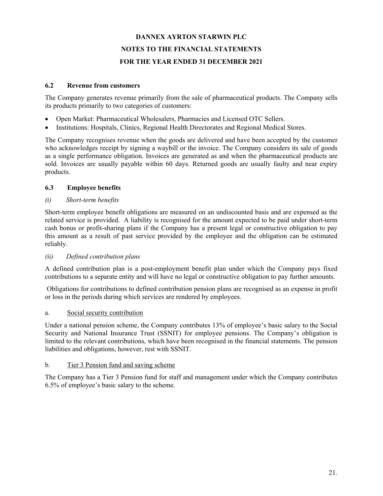### **6.2 Revenue from customers**

The Company generates revenue primarily from the sale of pharmaceutical products. The Company sells its products primarily to two categories of customers:

- Open Market: Pharmaceutical Wholesalers, Pharmacies and Licensed OTC Sellers.
- Institutions: Hospitals, Clinics, Regional Health Directorates and Regional Medical Stores.

The Company recognises revenue when the goods are delivered and have been accepted by the customer who acknowledges receipt by signing a waybill or the invoice. The Company considers its sale of goods as a single performance obligation. Invoices are generated as and when the pharmaceutical products are sold. Invoices are usually payable within 60 days. Returned goods are usually faulty and near expiry products.

### **6.3 Employee benefits**

### *(i) Short-term benefits*

Short-term employee benefit obligations are measured on an undiscounted basis and are expensed as the related service is provided. A liability is recognised for the amount expected to be paid under short-term cash bonus or profit-sharing plans if the Company has a present legal or constructive obligation to pay this amount as a result of past service provided by the employee and the obligation can be estimated reliably.

### *(ii) Defined contribution plans*

A defined contribution plan is a post-employment benefit plan under which the Company pays fixed contributions to a separate entity and will have no legal or constructive obligation to pay further amounts.

 Obligations for contributions to defined contribution pension plans are recognised as an expense in profit or loss in the periods during which services are rendered by employees.

### a. Social security contribution

Under a national pension scheme, the Company contributes 13% of employee's basic salary to the Social Security and National Insurance Trust (SSNIT) for employee pensions. The Company's obligation is limited to the relevant contributions, which have been recognised in the financial statements. The pension liabilities and obligations, however, rest with SSNIT.

### b. Tier 3 Pension fund and saving scheme

The Company has a Tier 3 Pension fund for staff and management under which the Company contributes 6.5% of employee's basic salary to the scheme.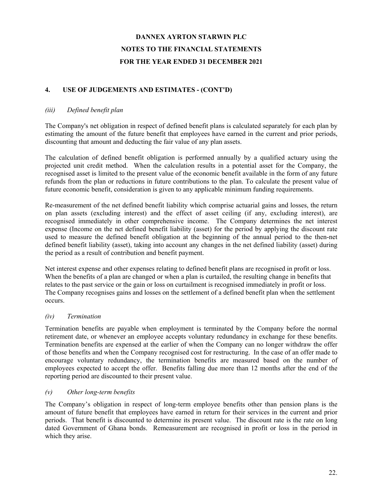## **4. USE OF JUDGEMENTS AND ESTIMATES - (CONT'D)**

### *(iii) Defined benefit plan*

The Company's net obligation in respect of defined benefit plans is calculated separately for each plan by estimating the amount of the future benefit that employees have earned in the current and prior periods, discounting that amount and deducting the fair value of any plan assets.

The calculation of defined benefit obligation is performed annually by a qualified actuary using the projected unit credit method. When the calculation results in a potential asset for the Company, the recognised asset is limited to the present value of the economic benefit available in the form of any future refunds from the plan or reductions in future contributions to the plan. To calculate the present value of future economic benefit, consideration is given to any applicable minimum funding requirements.

Re-measurement of the net defined benefit liability which comprise actuarial gains and losses, the return on plan assets (excluding interest) and the effect of asset ceiling (if any, excluding interest), are recognised immediately in other comprehensive income. The Company determines the net interest expense (Income on the net defined benefit liability (asset) for the period by applying the discount rate used to measure the defined benefit obligation at the beginning of the annual period to the then-net defined benefit liability (asset), taking into account any changes in the net defined liability (asset) during the period as a result of contribution and benefit payment.

Net interest expense and other expenses relating to defined benefit plans are recognised in profit or loss. When the benefits of a plan are changed or when a plan is curtailed, the resulting change in benefits that relates to the past service or the gain or loss on curtailment is recognised immediately in profit or loss. The Company recognises gains and losses on the settlement of a defined benefit plan when the settlement occurs.

### *(iv) Termination*

Termination benefits are payable when employment is terminated by the Company before the normal retirement date, or whenever an employee accepts voluntary redundancy in exchange for these benefits. Termination benefits are expensed at the earlier of when the Company can no longer withdraw the offer of those benefits and when the Company recognised cost for restructuring. In the case of an offer made to encourage voluntary redundancy, the termination benefits are measured based on the number of employees expected to accept the offer. Benefits falling due more than 12 months after the end of the reporting period are discounted to their present value.

### *(v) Other long-term benefits*

The Company's obligation in respect of long-term employee benefits other than pension plans is the amount of future benefit that employees have earned in return for their services in the current and prior periods. That benefit is discounted to determine its present value. The discount rate is the rate on long dated Government of Ghana bonds. Remeasurement are recognised in profit or loss in the period in which they arise.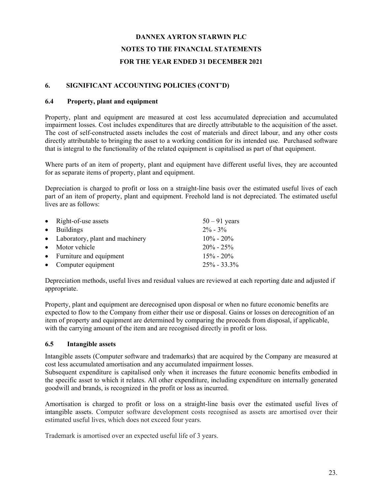## **6. SIGNIFICANT ACCOUNTING POLICIES (CONT'D)**

### **6.4 Property, plant and equipment**

Property, plant and equipment are measured at cost less accumulated depreciation and accumulated impairment losses. Cost includes expenditures that are directly attributable to the acquisition of the asset. The cost of self-constructed assets includes the cost of materials and direct labour, and any other costs directly attributable to bringing the asset to a working condition for its intended use. Purchased software that is integral to the functionality of the related equipment is capitalised as part of that equipment.

Where parts of an item of property, plant and equipment have different useful lives, they are accounted for as separate items of property, plant and equipment.

Depreciation is charged to profit or loss on a straight-line basis over the estimated useful lives of each part of an item of property, plant and equipment. Freehold land is not depreciated. The estimated useful lives are as follows:

| • Right-of-use assets             | $50 - 91$ years |
|-----------------------------------|-----------------|
| • Buildings                       | $2\% - 3\%$     |
| • Laboratory, plant and machinery | $10\% - 20\%$   |
| • Motor vehicle                   | $20\% - 25\%$   |
| • Furniture and equipment         | $15\% - 20\%$   |
| • Computer equipment              | $25\% - 33.3\%$ |

Depreciation methods, useful lives and residual values are reviewed at each reporting date and adjusted if appropriate.

Property, plant and equipment are derecognised upon disposal or when no future economic benefits are expected to flow to the Company from either their use or disposal. Gains or losses on derecognition of an item of property and equipment are determined by comparing the proceeds from disposal, if applicable, with the carrying amount of the item and are recognised directly in profit or loss.

## **6.5 Intangible assets**

Intangible assets (Computer software and trademarks) that are acquired by the Company are measured at cost less accumulated amortisation and any accumulated impairment losses.

Subsequent expenditure is capitalised only when it increases the future economic benefits embodied in the specific asset to which it relates. All other expenditure, including expenditure on internally generated goodwill and brands, is recognized in the profit or loss as incurred.

Amortisation is charged to profit or loss on a straight-line basis over the estimated useful lives of intangible assets. Computer software development costs recognised as assets are amortised over their estimated useful lives, which does not exceed four years.

Trademark is amortised over an expected useful life of 3 years.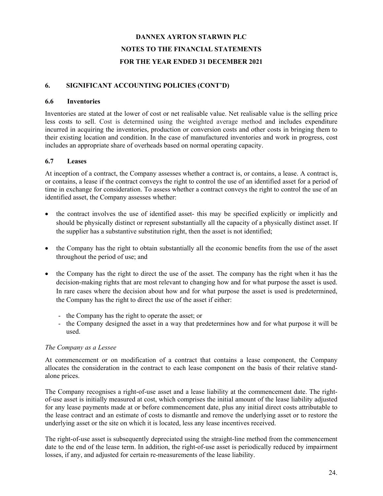### **6. SIGNIFICANT ACCOUNTING POLICIES (CONT'D)**

#### **6.6 Inventories**

Inventories are stated at the lower of cost or net realisable value. Net realisable value is the selling price less costs to sell. Cost is determined using the weighted average method and includes expenditure incurred in acquiring the inventories, production or conversion costs and other costs in bringing them to their existing location and condition. In the case of manufactured inventories and work in progress, cost includes an appropriate share of overheads based on normal operating capacity.

### **6.7 Leases**

At inception of a contract, the Company assesses whether a contract is, or contains, a lease. A contract is, or contains, a lease if the contract conveys the right to control the use of an identified asset for a period of time in exchange for consideration. To assess whether a contract conveys the right to control the use of an identified asset, the Company assesses whether:

- the contract involves the use of identified asset- this may be specified explicitly or implicitly and should be physically distinct or represent substantially all the capacity of a physically distinct asset. If the supplier has a substantive substitution right, then the asset is not identified;
- the Company has the right to obtain substantially all the economic benefits from the use of the asset throughout the period of use; and
- the Company has the right to direct the use of the asset. The company has the right when it has the decision-making rights that are most relevant to changing how and for what purpose the asset is used. In rare cases where the decision about how and for what purpose the asset is used is predetermined, the Company has the right to direct the use of the asset if either:
	- the Company has the right to operate the asset; or
	- the Company designed the asset in a way that predetermines how and for what purpose it will be used.

### *The Company as a Lessee*

At commencement or on modification of a contract that contains a lease component, the Company allocates the consideration in the contract to each lease component on the basis of their relative standalone prices.

The Company recognises a right-of-use asset and a lease liability at the commencement date. The rightof-use asset is initially measured at cost, which comprises the initial amount of the lease liability adjusted for any lease payments made at or before commencement date, plus any initial direct costs attributable to the lease contract and an estimate of costs to dismantle and remove the underlying asset or to restore the underlying asset or the site on which it is located, less any lease incentives received.

The right-of-use asset is subsequently depreciated using the straight-line method from the commencement date to the end of the lease term. In addition, the right-of-use asset is periodically reduced by impairment losses, if any, and adjusted for certain re-measurements of the lease liability.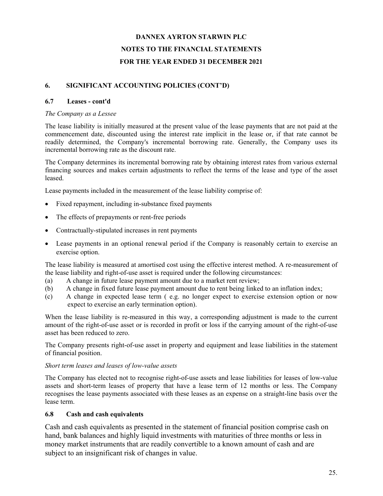## **6. SIGNIFICANT ACCOUNTING POLICIES (CONT'D)**

### **6.7 Leases - cont'd**

### *The Company as a Lessee*

The lease liability is initially measured at the present value of the lease payments that are not paid at the commencement date, discounted using the interest rate implicit in the lease or, if that rate cannot be readily determined, the Company's incremental borrowing rate. Generally, the Company uses its incremental borrowing rate as the discount rate.

The Company determines its incremental borrowing rate by obtaining interest rates from various external financing sources and makes certain adjustments to reflect the terms of the lease and type of the asset leased.

Lease payments included in the measurement of the lease liability comprise of:

- Fixed repayment, including in-substance fixed payments
- The effects of prepayments or rent-free periods
- Contractually-stipulated increases in rent payments
- Lease payments in an optional renewal period if the Company is reasonably certain to exercise an exercise option.

The lease liability is measured at amortised cost using the effective interest method. A re-measurement of the lease liability and right-of-use asset is required under the following circumstances:

- (a) A change in future lease payment amount due to a market rent review;
- (b) A change in fixed future lease payment amount due to rent being linked to an inflation index;
- (c) A change in expected lease term ( e.g. no longer expect to exercise extension option or now expect to exercise an early termination option).

When the lease liability is re-measured in this way, a corresponding adjustment is made to the current amount of the right-of-use asset or is recorded in profit or loss if the carrying amount of the right-of-use asset has been reduced to zero.

The Company presents right-of-use asset in property and equipment and lease liabilities in the statement of financial position.

### *Short term leases and leases of low-value assets*

The Company has elected not to recognise right-of-use assets and lease liabilities for leases of low-value assets and short-term leases of property that have a lease term of 12 months or less. The Company recognises the lease payments associated with these leases as an expense on a straight-line basis over the lease term.

### **6.8 Cash and cash equivalents**

Cash and cash equivalents as presented in the statement of financial position comprise cash on hand, bank balances and highly liquid investments with maturities of three months or less in money market instruments that are readily convertible to a known amount of cash and are subject to an insignificant risk of changes in value.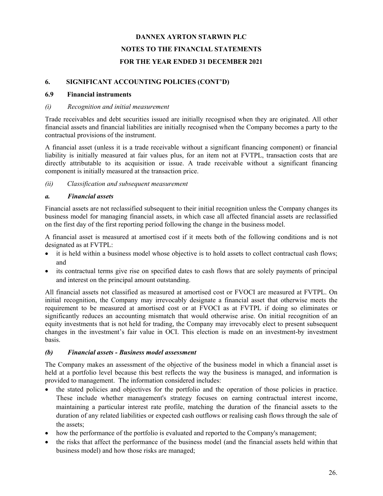### **6. SIGNIFICANT ACCOUNTING POLICIES (CONT'D)**

### **6.9 Financial instruments**

### *(i) Recognition and initial measurement*

Trade receivables and debt securities issued are initially recognised when they are originated. All other financial assets and financial liabilities are initially recognised when the Company becomes a party to the contractual provisions of the instrument.

A financial asset (unless it is a trade receivable without a significant financing component) or financial liability is initially measured at fair values plus, for an item not at FVTPL, transaction costs that are directly attributable to its acquisition or issue. A trade receivable without a significant financing component is initially measured at the transaction price.

### *(ii) Classification and subsequent measurement*

### *a. Financial assets*

Financial assets are not reclassified subsequent to their initial recognition unless the Company changes its business model for managing financial assets, in which case all affected financial assets are reclassified on the first day of the first reporting period following the change in the business model.

A financial asset is measured at amortised cost if it meets both of the following conditions and is not designated as at FVTPL:

- it is held within a business model whose objective is to hold assets to collect contractual cash flows; and
- its contractual terms give rise on specified dates to cash flows that are solely payments of principal and interest on the principal amount outstanding.

All financial assets not classified as measured at amortised cost or FVOCI are measured at FVTPL. On initial recognition, the Company may irrevocably designate a financial asset that otherwise meets the requirement to be measured at amortised cost or at FVOCI as at FVTPL if doing so eliminates or significantly reduces an accounting mismatch that would otherwise arise. On initial recognition of an equity investments that is not held for trading, the Company may irrevocably elect to present subsequent changes in the investment's fair value in OCI. This election is made on an investment-by investment basis.

### *(b) Financial assets - Business model assessment*

The Company makes an assessment of the objective of the business model in which a financial asset is held at a portfolio level because this best reflects the way the business is managed, and information is provided to management. The information considered includes:

- the stated policies and objectives for the portfolio and the operation of those policies in practice. These include whether management's strategy focuses on earning contractual interest income, maintaining a particular interest rate profile, matching the duration of the financial assets to the duration of any related liabilities or expected cash outflows or realising cash flows through the sale of the assets;
- how the performance of the portfolio is evaluated and reported to the Company's management;
- the risks that affect the performance of the business model (and the financial assets held within that business model) and how those risks are managed;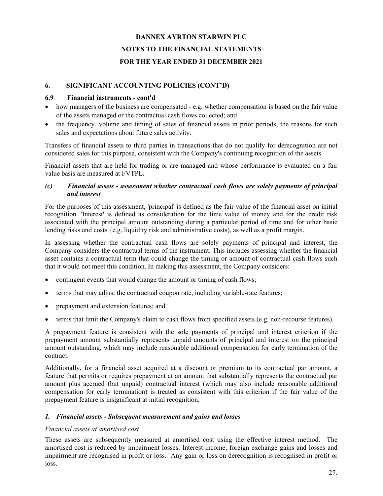### **6. SIGNIFICANT ACCOUNTING POLICIES (CONT'D)**

### **6.9 Financial instruments - cont'd**

- how managers of the business are compensated e.g. whether compensation is based on the fair value of the assets managed or the contractual cash flows collected; and
- the frequency, volume and timing of sales of financial assets in prior periods, the reasons for such sales and expectations about future sales activity.

Transfers of financial assets to third parties in transactions that do not qualify for derecognition are not considered sales for this purpose, consistent with the Company's continuing recognition of the assets.

Financial assets that are held for trading or are managed and whose performance is evaluated on a fair value basis are measured at FVTPL.

### *(c) Financial assets - assessment whether contractual cash flows are solely payments of principal and interest*

For the purposes of this assessment, 'principal' is defined as the fair value of the financial asset on initial recognition. 'Interest' is defined as consideration for the time value of money and for the credit risk associated with the principal amount outstanding during a particular period of time and for other basic lending risks and costs {e.g. liquidity risk and administrative costs), as well as a profit margin.

In assessing whether the contractual cash flows are solely payments of principal and interest, the Company considers the contractual terms of the instrument. This includes assessing whether the financial asset contains a contractual term that could change the timing or amount of contractual cash flows such that it would not meet this condition. In making this assessment, the Company considers:

- contingent events that would change the amount or timing of cash flows;
- terms that may adjust the contractual coupon rate, including variable-rate features;
- prepayment and extension features; and
- terms that limit the Company's claim to cash flows from specified assets (e.g. non-recourse features).

A prepayment feature is consistent with the sole payments of principal and interest criterion if the prepayment amount substantially represents unpaid amounts of principal and interest on the principal amount outstanding, which may include reasonable additional compensation for early termination of the contract.

Additionally, for a financial asset acquired at a discount or premium to its contractual par amount, a feature that permits or requires prepayment at an amount that substantially represents the contractual par amount plus accrued (but unpaid) contractual interest (which may also include reasonable additional compensation for early termination) is treated as consistent with this criterion if the fair value of the prepayment feature is insignificant at initial recognition.

### *1. Financial assets - Subsequent measurement and gains and losses*

### *Financial assets at amortised cost*

These assets are subsequently measured at amortised cost using the effective interest method. The amortised cost is reduced by impairment losses. Interest income, foreign exchange gains and losses and impairment are recognised in profit or loss. Any gain or loss on derecognition is recognised in profit or loss.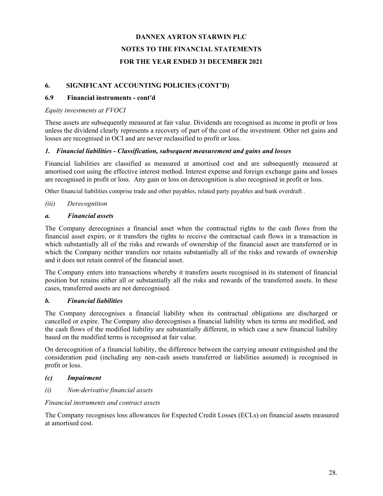## **6. SIGNIFICANT ACCOUNTING POLICIES (CONT'D)**

## **6.9 Financial instruments - cont'd**

## *Equity investments at FVOCI*

These assets are subsequently measured at fair value. Dividends are recognised as income in profit or loss unless the dividend clearly represents a recovery of part of the cost of the investment. Other net gains and losses are recognised in OCI and are never reclassified to profit or loss.

## *1. Financial liabilities - Classification, subsequent measurement and gains and losses*

Financial liabilities are classified as measured at amortised cost and are subsequently measured at amortised cost using the effective interest method. Interest expense and foreign exchange gains and losses are recognised in profit or loss. Any gain or loss on derecognition is also recognised in profit or loss.

Other financial liabilities comprise trade and other payables, related party payables and bank overdraft .

## *(iii) Derecognition*

## *a. Financial assets*

The Company derecognises a financial asset when the contractual rights to the cash flows from the financial asset expire, or it transfers the rights to receive the contractual cash flows in a transaction in which substantially all of the risks and rewards of ownership of the financial asset are transferred or in which the Company neither transfers nor retains substantially all of the risks and rewards of ownership and it does not retain control of the financial asset.

The Company enters into transactions whereby it transfers assets recognised in its statement of financial position but retains either all or substantially all the risks and rewards of the transferred assets. In these cases, transferred assets are not derecognised.

## *b. Financial liabilities*

The Company derecognises a financial liability when its contractual obligations are discharged or cancelled or expire. The Company also derecognises a financial liability when its terms are modified, and the cash flows of the modified liability are substantially different, in which case a new financial liability based on the modified terms is recognised at fair value.

On derecognition of a financial liability, the difference between the carrying amount extinguished and the consideration paid (including any non-cash assets transferred or liabilities assumed) is recognised in profit or loss.

## *(c) Impairment*

*(i) Non-derivative financial assets*

## *Financial instruments and contract assets*

The Company recognises loss allowances for Expected Credit Losses (ECLs) on financial assets measured at amortised cost.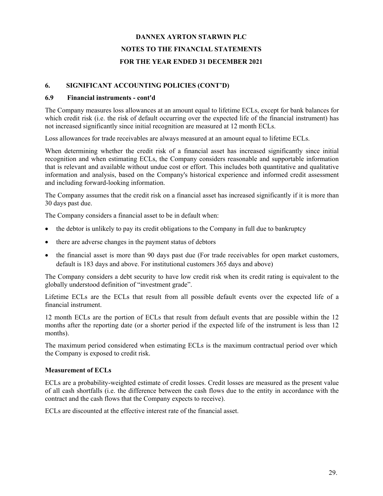### **6. SIGNIFICANT ACCOUNTING POLICIES (CONT'D)**

### **6.9 Financial instruments - cont'd**

The Company measures loss allowances at an amount equal to lifetime ECLs, except for bank balances for which credit risk (i.e. the risk of default occurring over the expected life of the financial instrument) has not increased significantly since initial recognition are measured at 12 month ECLs.

Loss allowances for trade receivables are always measured at an amount equal to lifetime ECLs.

When determining whether the credit risk of a financial asset has increased significantly since initial recognition and when estimating ECLs, the Company considers reasonable and supportable information that is relevant and available without undue cost or effort. This includes both quantitative and qualitative information and analysis, based on the Company's historical experience and informed credit assessment and including forward-looking information.

The Company assumes that the credit risk on a financial asset has increased significantly if it is more than 30 days past due.

The Company considers a financial asset to be in default when:

- the debtor is unlikely to pay its credit obligations to the Company in full due to bankruptcy
- there are adverse changes in the payment status of debtors
- the financial asset is more than 90 days past due (For trade receivables for open market customers, default is 183 days and above. For institutional customers 365 days and above)

The Company considers a debt security to have low credit risk when its credit rating is equivalent to the globally understood definition of "investment grade".

Lifetime ECLs are the ECLs that result from all possible default events over the expected life of a financial instrument.

12 month ECLs are the portion of ECLs that result from default events that are possible within the 12 months after the reporting date (or a shorter period if the expected life of the instrument is less than 12 months).

The maximum period considered when estimating ECLs is the maximum contractual period over which the Company is exposed to credit risk.

### **Measurement of ECLs**

ECLs are a probability-weighted estimate of credit losses. Credit losses are measured as the present value of all cash shortfalls (i.e. the difference between the cash flows due to the entity in accordance with the contract and the cash flows that the Company expects to receive).

ECLs are discounted at the effective interest rate of the financial asset.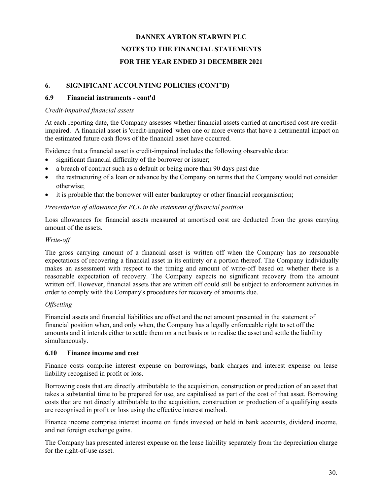## **6. SIGNIFICANT ACCOUNTING POLICIES (CONT'D)**

## **6.9 Financial instruments - cont'd**

## *Credit-impaired financial assets*

At each reporting date, the Company assesses whether financial assets carried at amortised cost are creditimpaired. A financial asset is 'credit-impaired' when one or more events that have a detrimental impact on the estimated future cash flows of the financial asset have occurred.

Evidence that a financial asset is credit-impaired includes the following observable data:

- significant financial difficulty of the borrower or issuer;
- a breach of contract such as a default or being more than 90 days past due
- the restructuring of a loan or advance by the Company on terms that the Company would not consider otherwise;
- it is probable that the borrower will enter bankruptcy or other financial reorganisation;

## *Presentation of allowance for ECL in the statement of financial position*

Loss allowances for financial assets measured at amortised cost are deducted from the gross carrying amount of the assets.

## *Write-off*

The gross carrying amount of a financial asset is written off when the Company has no reasonable expectations of recovering a financial asset in its entirety or a portion thereof. The Company individually makes an assessment with respect to the timing and amount of write-off based on whether there is a reasonable expectation of recovery. The Company expects no significant recovery from the amount written off. However, financial assets that are written off could still be subject to enforcement activities in order to comply with the Company's procedures for recovery of amounts due.

## *Offsetting*

Financial assets and financial liabilities are offset and the net amount presented in the statement of financial position when, and only when, the Company has a legally enforceable right to set off the amounts and it intends either to settle them on a net basis or to realise the asset and settle the liability simultaneously.

## **6.10 Finance income and cost**

Finance costs comprise interest expense on borrowings, bank charges and interest expense on lease liability recognised in profit or loss.

Borrowing costs that are directly attributable to the acquisition, construction or production of an asset that takes a substantial time to be prepared for use, are capitalised as part of the cost of that asset. Borrowing costs that are not directly attributable to the acquisition, construction or production of a qualifying assets are recognised in profit or loss using the effective interest method.

Finance income comprise interest income on funds invested or held in bank accounts, dividend income, and net foreign exchange gains.

The Company has presented interest expense on the lease liability separately from the depreciation charge for the right-of-use asset.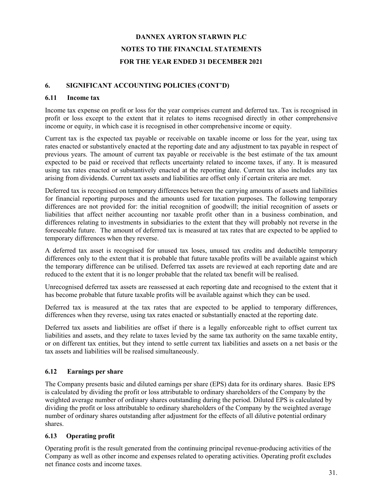### **6. SIGNIFICANT ACCOUNTING POLICIES (CONT'D)**

### **6.11 Income tax**

Income tax expense on profit or loss for the year comprises current and deferred tax. Tax is recognised in profit or loss except to the extent that it relates to items recognised directly in other comprehensive income or equity, in which case it is recognised in other comprehensive income or equity.

Current tax is the expected tax payable or receivable on taxable income or loss for the year, using tax rates enacted or substantively enacted at the reporting date and any adjustment to tax payable in respect of previous years. The amount of current tax payable or receivable is the best estimate of the tax amount expected to be paid or received that reflects uncertainty related to income taxes, if any. It is measured using tax rates enacted or substantively enacted at the reporting date. Current tax also includes any tax arising from dividends. Current tax assets and liabilities are offset only if certain criteria are met.

Deferred tax is recognised on temporary differences between the carrying amounts of assets and liabilities for financial reporting purposes and the amounts used for taxation purposes. The following temporary differences are not provided for: the initial recognition of goodwill; the initial recognition of assets or liabilities that affect neither accounting nor taxable profit other than in a business combination, and differences relating to investments in subsidiaries to the extent that they will probably not reverse in the foreseeable future. The amount of deferred tax is measured at tax rates that are expected to be applied to temporary differences when they reverse.

A deferred tax asset is recognised for unused tax loses, unused tax credits and deductible temporary differences only to the extent that it is probable that future taxable profits will be available against which the temporary difference can be utilised. Deferred tax assets are reviewed at each reporting date and are reduced to the extent that it is no longer probable that the related tax benefit will be realised.

Unrecognised deferred tax assets are reassessed at each reporting date and recognised to the extent that it has become probable that future taxable profits will be available against which they can be used.

Deferred tax is measured at the tax rates that are expected to be applied to temporary differences, differences when they reverse, using tax rates enacted or substantially enacted at the reporting date.

Deferred tax assets and liabilities are offset if there is a legally enforceable right to offset current tax liabilities and assets, and they relate to taxes levied by the same tax authority on the same taxable entity, or on different tax entities, but they intend to settle current tax liabilities and assets on a net basis or the tax assets and liabilities will be realised simultaneously.

### **6.12 Earnings per share**

The Company presents basic and diluted earnings per share (EPS) data for its ordinary shares. Basic EPS is calculated by dividing the profit or loss attributable to ordinary shareholders of the Company by the weighted average number of ordinary shares outstanding during the period. Diluted EPS is calculated by dividing the profit or loss attributable to ordinary shareholders of the Company by the weighted average number of ordinary shares outstanding after adjustment for the effects of all dilutive potential ordinary shares.

## **6.13 Operating profit**

Operating profit is the result generated from the continuing principal revenue-producing activities of the Company as well as other income and expenses related to operating activities. Operating profit excludes net finance costs and income taxes.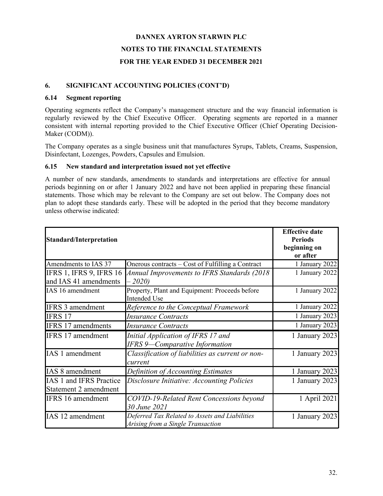### **6. SIGNIFICANT ACCOUNTING POLICIES (CONT'D)**

### **6.14 Segment reporting**

Operating segments reflect the Company's management structure and the way financial information is regularly reviewed by the Chief Executive Officer. Operating segments are reported in a manner consistent with internal reporting provided to the Chief Executive Officer (Chief Operating Decision-Maker (CODM)).

The Company operates as a single business unit that manufactures Syrups, Tablets, Creams, Suspension, Disinfectant, Lozenges, Powders, Capsules and Emulsion.

#### **6.15 New standard and interpretation issued not yet effective**

A number of new standards, amendments to standards and interpretations are effective for annual periods beginning on or after 1 January 2022 and have not been applied in preparing these financial statements. Those which may be relevant to the Company are set out below. The Company does not plan to adopt these standards early. These will be adopted in the period that they become mandatory unless otherwise indicated:

| <b>Standard/Interpretation</b>                          | <b>Effective date</b><br><b>Periods</b><br>beginning on<br>or after                 |                |
|---------------------------------------------------------|-------------------------------------------------------------------------------------|----------------|
| Amendments to IAS 37                                    | Onerous contracts – Cost of Fulfilling a Contract                                   | 1 January 2022 |
| <b>IFRS 1, IFRS 9, IFRS 16</b><br>and IAS 41 amendments | Annual Improvements to IFRS Standards (2018)<br>$-2020$                             | 1 January 2022 |
| IAS 16 amendment                                        | Property, Plant and Equipment: Proceeds before<br><b>Intended Use</b>               | 1 January 2022 |
| <b>IFRS 3 amendment</b>                                 | Reference to the Conceptual Framework                                               | 1 January 2022 |
| <b>IFRS 17</b>                                          | <b>Insurance Contracts</b>                                                          | 1 January 2023 |
| IFRS 17 amendments                                      | <b>Insurance Contracts</b>                                                          | 1 January 2023 |
| IFRS 17 amendment                                       | Initial Application of IFRS 17 and<br><b>IFRS 9-Comparative Information</b>         | 1 January 2023 |
| IAS 1 amendment                                         | Classification of liabilities as current or non-<br>current                         | 1 January 2023 |
| IAS 8 amendment                                         | Definition of Accounting Estimates                                                  | 1 January 2023 |
| IAS 1 and IFRS Practice<br>Statement 2 amendment        | Disclosure Initiative: Accounting Policies                                          | 1 January 2023 |
| <b>IFRS</b> 16 amendment                                | COVID-19-Related Rent Concessions beyond<br>30 June 2021                            | 1 April 2021   |
| IAS 12 amendment                                        | Deferred Tax Related to Assets and Liabilities<br>Arising from a Single Transaction | 1 January 2023 |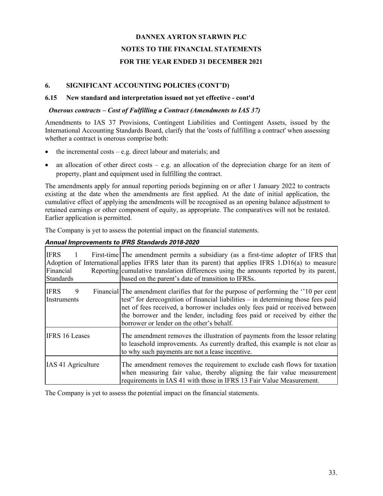### **6. SIGNIFICANT ACCOUNTING POLICIES (CONT'D)**

### **6.15 New standard and interpretation issued not yet effective - cont'd**

### *Onerous contracts – Cost of Fulfilling a Contract (Amendments to IAS 37)*

Amendments to IAS 37 Provisions, Contingent Liabilities and Contingent Assets, issued by the International Accounting Standards Board, clarify that the 'costs of fulfilling a contract' when assessing whether a contract is onerous comprise both:

- the incremental costs e.g. direct labour and materials; and
- an allocation of other direct costs e.g. an allocation of the depreciation charge for an item of property, plant and equipment used in fulfilling the contract.

The amendments apply for annual reporting periods beginning on or after 1 January 2022 to contracts existing at the date when the amendments are first applied. At the date of initial application, the cumulative effect of applying the amendments will be recognised as an opening balance adjustment to retained earnings or other component of equity, as appropriate. The comparatives will not be restated. Earlier application is permitted.

The Company is yet to assess the potential impact on the financial statements.

| <b>IFRS</b><br>Financial        | First-time The amendment permits a subsidiary (as a first-time adopter of IFRS that<br>Adoption of International applies IFRS later than its parent) that applies IFRS 1.D16(a) to measure<br>Reporting cumulative translation differences using the amounts reported by its parent,                                                                                                  |
|---------------------------------|---------------------------------------------------------------------------------------------------------------------------------------------------------------------------------------------------------------------------------------------------------------------------------------------------------------------------------------------------------------------------------------|
| <b>Standards</b>                | based on the parent's date of transition to IFRSs.                                                                                                                                                                                                                                                                                                                                    |
| <b>IFRS</b><br>9<br>Instruments | Financial The amendment clarifies that for the purpose of performing the "10 per cent<br>test" for derecognition of financial liabilities – in determining those fees paid<br>net of fees received, a borrower includes only fees paid or received between<br>the borrower and the lender, including fees paid or received by either the<br>borrower or lender on the other's behalf. |
| <b>IFRS 16 Leases</b>           | The amendment removes the illustration of payments from the lessor relating<br>to leasehold improvements. As currently drafted, this example is not clear as<br>to why such payments are not a lease incentive.                                                                                                                                                                       |
| IAS 41 Agriculture              | The amendment removes the requirement to exclude cash flows for taxation<br>when measuring fair value, thereby aligning the fair value measurement<br>requirements in IAS 41 with those in IFRS 13 Fair Value Measurement.                                                                                                                                                            |

#### *Annual Improvements to IFRS Standards 2018-2020*

The Company is yet to assess the potential impact on the financial statements.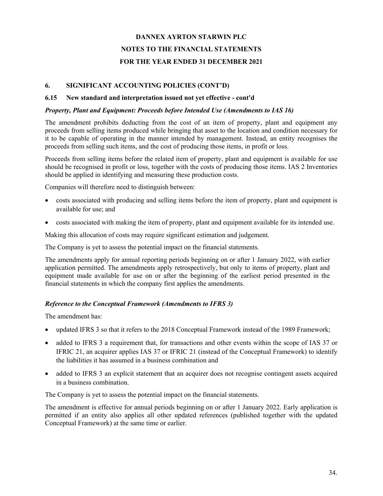### **6. SIGNIFICANT ACCOUNTING POLICIES (CONT'D)**

#### **6.15 New standard and interpretation issued not yet effective - cont'd**

### *Property, Plant and Equipment: Proceeds before Intended Use (Amendments to IAS 16)*

The amendment prohibits deducting from the cost of an item of property, plant and equipment any proceeds from selling items produced while bringing that asset to the location and condition necessary for it to be capable of operating in the manner intended by management. Instead, an entity recognises the proceeds from selling such items, and the cost of producing those items, in profit or loss.

Proceeds from selling items before the related item of property, plant and equipment is available for use should be recognised in profit or loss, together with the costs of producing those items. IAS 2 Inventories should be applied in identifying and measuring these production costs.

Companies will therefore need to distinguish between:

- costs associated with producing and selling items before the item of property, plant and equipment is available for use; and
- costs associated with making the item of property, plant and equipment available for its intended use.

Making this allocation of costs may require significant estimation and judgement.

The Company is yet to assess the potential impact on the financial statements.

The amendments apply for annual reporting periods beginning on or after 1 January 2022, with earlier application permitted. The amendments apply retrospectively, but only to items of property, plant and equipment made available for use on or after the beginning of the earliest period presented in the financial statements in which the company first applies the amendments.

### *Reference to the Conceptual Framework (Amendments to IFRS 3)*

The amendment has:

- updated IFRS 3 so that it refers to the 2018 Conceptual Framework instead of the 1989 Framework;
- added to IFRS 3 a requirement that, for transactions and other events within the scope of IAS 37 or IFRIC 21, an acquirer applies IAS 37 or IFRIC 21 (instead of the Conceptual Framework) to identify the liabilities it has assumed in a business combination and
- added to IFRS 3 an explicit statement that an acquirer does not recognise contingent assets acquired in a business combination.

The Company is yet to assess the potential impact on the financial statements.

The amendment is effective for annual periods beginning on or after 1 January 2022. Early application is permitted if an entity also applies all other updated references (published together with the updated Conceptual Framework) at the same time or earlier.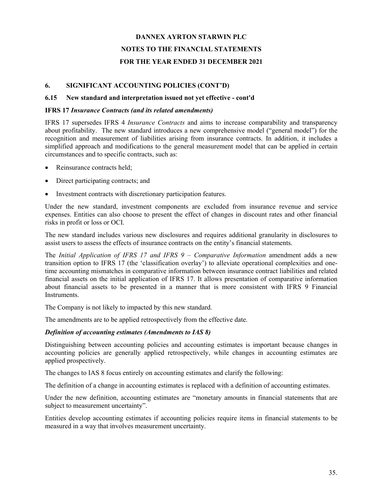### **6. SIGNIFICANT ACCOUNTING POLICIES (CONT'D)**

#### **6.15 New standard and interpretation issued not yet effective - cont'd**

#### **IFRS 17** *Insurance Contracts (and its related amendments)*

IFRS 17 supersedes IFRS 4 *Insurance Contracts* and aims to increase comparability and transparency about profitability. The new standard introduces a new comprehensive model ("general model") for the recognition and measurement of liabilities arising from insurance contracts. In addition, it includes a simplified approach and modifications to the general measurement model that can be applied in certain circumstances and to specific contracts, such as:

- Reinsurance contracts held;
- Direct participating contracts; and
- Investment contracts with discretionary participation features.

Under the new standard, investment components are excluded from insurance revenue and service expenses. Entities can also choose to present the effect of changes in discount rates and other financial risks in profit or loss or OCI.

The new standard includes various new disclosures and requires additional granularity in disclosures to assist users to assess the effects of insurance contracts on the entity's financial statements.

The *Initial Application of IFRS 17 and IFRS 9 – Comparative Information* amendment adds a new transition option to IFRS 17 (the 'classification overlay') to alleviate operational complexities and onetime accounting mismatches in comparative information between insurance contract liabilities and related financial assets on the initial application of IFRS 17. It allows presentation of comparative information about financial assets to be presented in a manner that is more consistent with IFRS 9 Financial Instruments.

The Company is not likely to impacted by this new standard.

The amendments are to be applied retrospectively from the effective date.

### *Definition of accounting estimates (Amendments to IAS 8)*

Distinguishing between accounting policies and accounting estimates is important because changes in accounting policies are generally applied retrospectively, while changes in accounting estimates are applied prospectively.

The changes to IAS 8 focus entirely on accounting estimates and clarify the following:

The definition of a change in accounting estimates is replaced with a definition of accounting estimates.

Under the new definition, accounting estimates are "monetary amounts in financial statements that are subject to measurement uncertainty".

Entities develop accounting estimates if accounting policies require items in financial statements to be measured in a way that involves measurement uncertainty.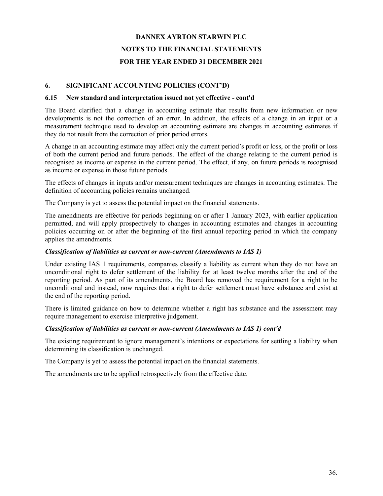### **6. SIGNIFICANT ACCOUNTING POLICIES (CONT'D)**

#### **6.15 New standard and interpretation issued not yet effective - cont'd**

The Board clarified that a change in accounting estimate that results from new information or new developments is not the correction of an error. In addition, the effects of a change in an input or a measurement technique used to develop an accounting estimate are changes in accounting estimates if they do not result from the correction of prior period errors.

A change in an accounting estimate may affect only the current period's profit or loss, or the profit or loss of both the current period and future periods. The effect of the change relating to the current period is recognised as income or expense in the current period. The effect, if any, on future periods is recognised as income or expense in those future periods.

The effects of changes in inputs and/or measurement techniques are changes in accounting estimates. The definition of accounting policies remains unchanged.

The Company is yet to assess the potential impact on the financial statements.

The amendments are effective for periods beginning on or after 1 January 2023, with earlier application permitted, and will apply prospectively to changes in accounting estimates and changes in accounting policies occurring on or after the beginning of the first annual reporting period in which the company applies the amendments.

### *Classification of liabilities as current or non-current (Amendments to IAS 1)*

Under existing IAS 1 requirements, companies classify a liability as current when they do not have an unconditional right to defer settlement of the liability for at least twelve months after the end of the reporting period. As part of its amendments, the Board has removed the requirement for a right to be unconditional and instead, now requires that a right to defer settlement must have substance and exist at the end of the reporting period.

There is limited guidance on how to determine whether a right has substance and the assessment may require management to exercise interpretive judgement.

### *Classification of liabilities as current or non-current (Amendments to IAS 1) cont'd*

The existing requirement to ignore management's intentions or expectations for settling a liability when determining its classification is unchanged.

The Company is yet to assess the potential impact on the financial statements.

The amendments are to be applied retrospectively from the effective date.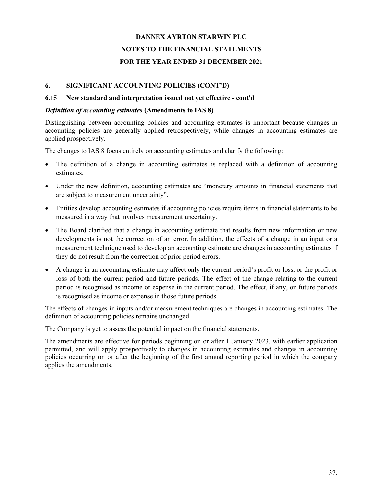### **6. SIGNIFICANT ACCOUNTING POLICIES (CONT'D)**

#### **6.15 New standard and interpretation issued not yet effective - cont'd**

#### *Definition of accounting estimates* **(Amendments to IAS 8)**

Distinguishing between accounting policies and accounting estimates is important because changes in accounting policies are generally applied retrospectively, while changes in accounting estimates are applied prospectively.

The changes to IAS 8 focus entirely on accounting estimates and clarify the following:

- The definition of a change in accounting estimates is replaced with a definition of accounting estimates.
- Under the new definition, accounting estimates are "monetary amounts in financial statements that are subject to measurement uncertainty".
- Entities develop accounting estimates if accounting policies require items in financial statements to be measured in a way that involves measurement uncertainty.
- The Board clarified that a change in accounting estimate that results from new information or new developments is not the correction of an error. In addition, the effects of a change in an input or a measurement technique used to develop an accounting estimate are changes in accounting estimates if they do not result from the correction of prior period errors.
- A change in an accounting estimate may affect only the current period's profit or loss, or the profit or loss of both the current period and future periods. The effect of the change relating to the current period is recognised as income or expense in the current period. The effect, if any, on future periods is recognised as income or expense in those future periods.

The effects of changes in inputs and/or measurement techniques are changes in accounting estimates. The definition of accounting policies remains unchanged.

The Company is yet to assess the potential impact on the financial statements.

The amendments are effective for periods beginning on or after 1 January 2023, with earlier application permitted, and will apply prospectively to changes in accounting estimates and changes in accounting policies occurring on or after the beginning of the first annual reporting period in which the company applies the amendments.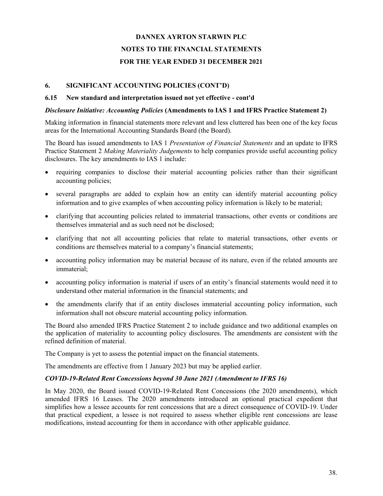### **6. SIGNIFICANT ACCOUNTING POLICIES (CONT'D)**

#### **6.15 New standard and interpretation issued not yet effective - cont'd**

### *Disclosure Initiative: Accounting Policies* **(Amendments to IAS 1 and IFRS Practice Statement 2)**

Making information in financial statements more relevant and less cluttered has been one of the key focus areas for the International Accounting Standards Board (the Board).

The Board has issued amendments to IAS 1 *Presentation of Financial Statements* and an update to IFRS Practice Statement 2 *Making Materiality Judgements* to help companies provide useful accounting policy disclosures. The key amendments to IAS 1 include:

- requiring companies to disclose their material accounting policies rather than their significant accounting policies;
- several paragraphs are added to explain how an entity can identify material accounting policy information and to give examples of when accounting policy information is likely to be material;
- clarifying that accounting policies related to immaterial transactions, other events or conditions are themselves immaterial and as such need not be disclosed;
- clarifying that not all accounting policies that relate to material transactions, other events or conditions are themselves material to a company's financial statements;
- accounting policy information may be material because of its nature, even if the related amounts are immaterial;
- accounting policy information is material if users of an entity's financial statements would need it to understand other material information in the financial statements; and
- the amendments clarify that if an entity discloses immaterial accounting policy information, such information shall not obscure material accounting policy information.

The Board also amended IFRS Practice Statement 2 to include guidance and two additional examples on the application of materiality to accounting policy disclosures. The amendments are consistent with the refined definition of material.

The Company is yet to assess the potential impact on the financial statements.

The amendments are effective from 1 January 2023 but may be applied earlier.

### *COVID-19-Related Rent Concessions beyond 30 June 2021 (Amendment to IFRS 16)*

In May 2020, the Board issued COVID-19-Related Rent Concessions (the 2020 amendments), which amended IFRS 16 Leases. The 2020 amendments introduced an optional practical expedient that simplifies how a lessee accounts for rent concessions that are a direct consequence of COVID-19. Under that practical expedient, a lessee is not required to assess whether eligible rent concessions are lease modifications, instead accounting for them in accordance with other applicable guidance.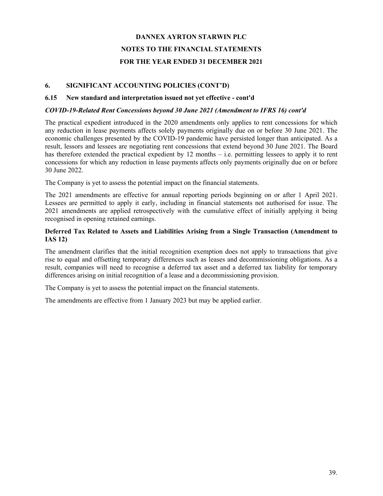### **6. SIGNIFICANT ACCOUNTING POLICIES (CONT'D)**

#### **6.15 New standard and interpretation issued not yet effective - cont'd**

#### *COVID-19-Related Rent Concessions beyond 30 June 2021 (Amendment to IFRS 16) cont'd*

The practical expedient introduced in the 2020 amendments only applies to rent concessions for which any reduction in lease payments affects solely payments originally due on or before 30 June 2021. The economic challenges presented by the COVID-19 pandemic have persisted longer than anticipated. As a result, lessors and lessees are negotiating rent concessions that extend beyond 30 June 2021. The Board has therefore extended the practical expedient by 12 months – i.e. permitting lessees to apply it to rent concessions for which any reduction in lease payments affects only payments originally due on or before 30 June 2022.

The Company is yet to assess the potential impact on the financial statements.

The 2021 amendments are effective for annual reporting periods beginning on or after 1 April 2021. Lessees are permitted to apply it early, including in financial statements not authorised for issue. The 2021 amendments are applied retrospectively with the cumulative effect of initially applying it being recognised in opening retained earnings.

### **Deferred Tax Related to Assets and Liabilities Arising from a Single Transaction (Amendment to IAS 12)**

The amendment clarifies that the initial recognition exemption does not apply to transactions that give rise to equal and offsetting temporary differences such as leases and decommissioning obligations. As a result, companies will need to recognise a deferred tax asset and a deferred tax liability for temporary differences arising on initial recognition of a lease and a decommissioning provision.

The Company is yet to assess the potential impact on the financial statements.

The amendments are effective from 1 January 2023 but may be applied earlier.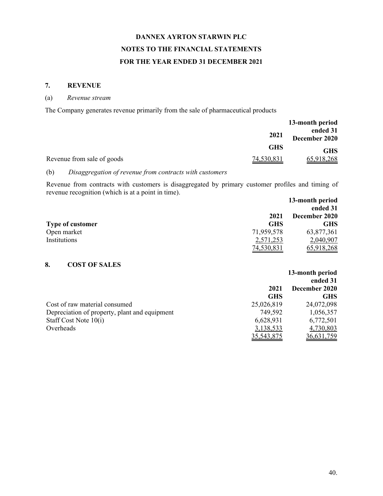### **7. REVENUE**

### (a) *Revenue stream*

The Company generates revenue primarily from the sale of pharmaceutical products

|                            |            | 13-month period           |
|----------------------------|------------|---------------------------|
|                            | 2021       | ended 31<br>December 2020 |
|                            | <b>GHS</b> | <b>GHS</b>                |
| Revenue from sale of goods | 74,530,831 | 65,918,268                |

### (b) *Disaggregation of revenue from contracts with customers*

Revenue from contracts with customers is disaggregated by primary customer profiles and timing of revenue recognition (which is at a point in time). **13-month period**

|                         |            | 13-month period |
|-------------------------|------------|-----------------|
|                         |            | ended 31        |
|                         | 2021       | December 2020   |
| <b>Type of customer</b> | <b>GHS</b> | <b>GHS</b>      |
| Open market             | 71,959,578 | 63,877,361      |
| Institutions            | 2,571,253  | 2,040,907       |
|                         | 74,530,831 | 65,918,268      |

## **8. COST OF SALES**

|                                               |              | 13-month period |
|-----------------------------------------------|--------------|-----------------|
|                                               |              | ended 31        |
|                                               | 2021         | December 2020   |
|                                               | <b>GHS</b>   | GHS             |
| Cost of raw material consumed                 | 25,026,819   | 24,072,098      |
| Depreciation of property, plant and equipment | 749,592      | 1,056,357       |
| Staff Cost Note 10(i)                         | 6,628,931    | 6,772,501       |
| Overheads                                     | 3,138,533    | 4,730,803       |
|                                               | 35, 543, 875 | 36,631,759      |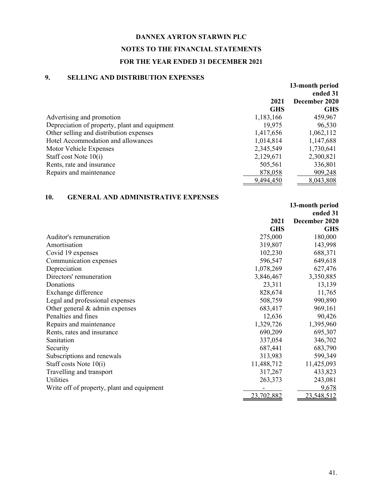### **DANNEX AYRTON STARWIN PLC**

# **NOTES TO THE FINANCIAL STATEMENTS**

# **FOR THE YEAR ENDED 31 DECEMBER 2021**

# **9. SELLING AND DISTRIBUTION EXPENSES**

|                                               |            | 13-month period<br>ended 31 |
|-----------------------------------------------|------------|-----------------------------|
|                                               | 2021       | December 2020               |
|                                               | <b>GHS</b> | <b>GHS</b>                  |
| Advertising and promotion                     | 1,183,166  | 459,967                     |
| Depreciation of property, plant and equipment | 19,975     | 96,530                      |
| Other selling and distribution expenses       | 1,417,656  | 1,062,112                   |
| Hotel Accommodation and allowances            | 1,014,814  | 1,147,688                   |
| Motor Vehicle Expenses                        | 2,345,549  | 1,730,641                   |
| Staff cost Note $10(i)$                       | 2,129,671  | 2,300,821                   |
| Rents, rate and insurance                     | 505,561    | 336,801                     |
| Repairs and maintenance                       | 878,058    | 909,248                     |
|                                               | 9,494,450  | 8,043,808                   |

### **10. GENERAL AND ADMINISTRATIVE EXPENSES**

|                                            |            | 13-month period<br>ended 31 |
|--------------------------------------------|------------|-----------------------------|
|                                            | 2021       | December 2020               |
|                                            | <b>GHS</b> | <b>GHS</b>                  |
| Auditor's remuneration                     | 275,000    | 180,000                     |
| Amortisation                               | 319,807    | 143,998                     |
| Covid 19 expenses                          | 102,230    | 688,371                     |
| Communication expenses                     | 596,547    | 649,618                     |
| Depreciation                               | 1,078,269  | 627,476                     |
| Directors' remuneration                    | 3,846,467  | 3,350,885                   |
| Donations                                  | 23,311     | 13,139                      |
| Exchange difference                        | 828,674    | 11,765                      |
| Legal and professional expenses            | 508,759    | 990,890                     |
| Other general $&$ admin expenses           | 683,417    | 969,161                     |
| Penalties and fines                        | 12,636     | 90,426                      |
| Repairs and maintenance                    | 1,329,726  | 1,395,960                   |
| Rents, rates and insurance                 | 690,209    | 695,307                     |
| Sanitation                                 | 337,054    | 346,702                     |
| Security                                   | 687,441    | 683,790                     |
| Subscriptions and renewals                 | 313,983    | 599,349                     |
| Staff costs Note 10(i)                     | 11,488,712 | 11,425,093                  |
| Travelling and transport                   | 317,267    | 433,823                     |
| Utilities                                  | 263,373    | 243,081                     |
| Write off of property, plant and equipment |            | 9,678                       |
|                                            | 23,702,882 | 23,548,512                  |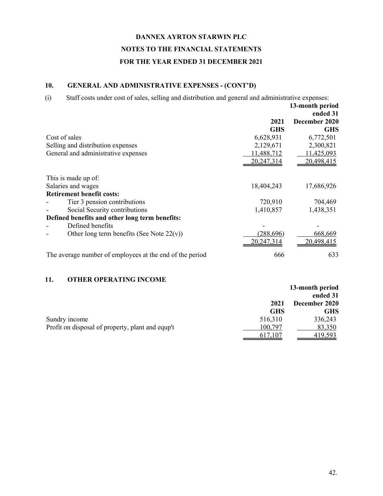### **10. GENERAL AND ADMINISTRATIVE EXPENSES - (CONT'D)**

(i) Staff costs under cost of sales, selling and distribution and general and administrative expenses: **2021 GHS 13-month period ended 31 December 2020 GHS** Cost of sales 6,628,931 6,772,501 Selling and distribution expenses 2,129,671 2,300,821 General and administrative expenses 11,488,712 11,425,093 20,247,314 20,498,415 This is made up of: Salaries and wages 18,404,243 17,686,926 **Retirement benefit costs:** Tier 3 pension contributions 720,910 704,469 Social Security contributions 1,410,857 1,438,351 **Defined benefits and other long term benefits:** - Defined benefits - Other long term benefits (See Note  $22(v)$ ) (288,696) 668,669 20,247,314 20,498,415 The average number of employees at the end of the period 666 633

## **11. OTHER OPERATING INCOME**

|                                                  |            | 13-month period |
|--------------------------------------------------|------------|-----------------|
|                                                  |            | ended 31        |
|                                                  | 2021       | December 2020   |
|                                                  | <b>GHS</b> | <b>GHS</b>      |
| Sundry income                                    | 516,310    | 336,243         |
| Profit on disposal of property, plant and equp't | 100,797    | 83,350          |
|                                                  | 617,107    | 419,593         |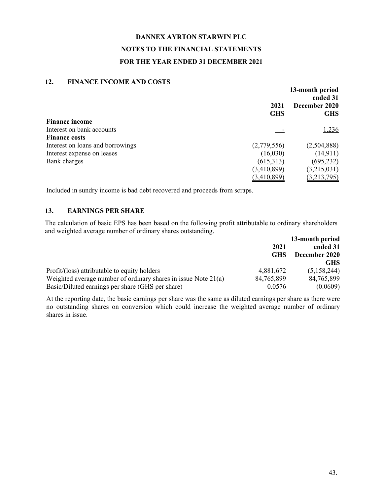### **12. FINANCE INCOME AND COSTS**

| 1 11 11 11 12 11 12 0 11 11 11 11 11 0 0 0 1 1 0 | 2021<br><b>GHS</b> | 13-month period<br>ended 31<br>December 2020<br><b>GHS</b> |
|--------------------------------------------------|--------------------|------------------------------------------------------------|
| <b>Finance income</b>                            |                    |                                                            |
| Interest on bank accounts                        |                    | 1,236                                                      |
| <b>Finance costs</b>                             |                    |                                                            |
| Interest on loans and borrowings                 | (2,779,556)        | (2,504,888)                                                |
| Interest expense on leases                       | (16,030)           | (14, 911)                                                  |
| Bank charges                                     | (615,313)          | (695, 232)                                                 |
|                                                  | (3,410,899)        | (3,215,031)                                                |
|                                                  | (3,410,899)        | (3,213,795)                                                |

Included in sundry income is bad debt recovered and proceeds from scraps.

## **13. EARNINGS PER SHARE**

The calculation of basic EPS has been based on the following profit attributable to ordinary shareholders and weighted average number of ordinary shares outstanding.

|                                                                  |            | 13-month period |
|------------------------------------------------------------------|------------|-----------------|
|                                                                  | 2021       | ended 31        |
|                                                                  | <b>GHS</b> | December 2020   |
|                                                                  |            | <b>GHS</b>      |
| Profit/(loss) attributable to equity holders                     | 4,881,672  | (5,158,244)     |
| Weighted average number of ordinary shares in issue Note $21(a)$ | 84,765,899 | 84,765,899      |
| Basic/Diluted earnings per share (GHS per share)                 | 0.0576     | (0.0609)        |

At the reporting date, the basic earnings per share was the same as diluted earnings per share as there were no outstanding shares on conversion which could increase the weighted average number of ordinary shares in issue.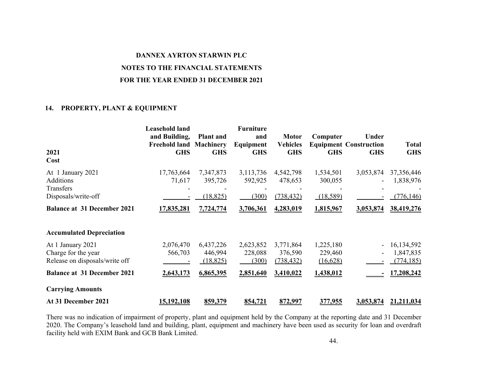### **DANNEX AYRTON STARWIN PLC**

### **NOTES TO THE FINANCIAL STATEMENTS**

#### **FOR THE YEAR ENDED 31 DECEMBER 2021**

### **14. PROPERTY, PLANT & EQUIPMENT**

| 2021<br>Cost                       | <b>Leasehold land</b><br>and Building,<br><b>Freehold land</b><br><b>GHS</b> | <b>Plant</b> and<br><b>Machinery</b><br><b>GHS</b> | <b>Furniture</b><br>and<br>Equipment<br><b>GHS</b> | <b>Motor</b><br><b>Vehicles</b><br><b>GHS</b> | Computer<br><b>GHS</b> | Under<br><b>Equipment Construction</b><br><b>GHS</b> | <b>Total</b><br><b>GHS</b> |
|------------------------------------|------------------------------------------------------------------------------|----------------------------------------------------|----------------------------------------------------|-----------------------------------------------|------------------------|------------------------------------------------------|----------------------------|
| At 1 January 2021                  | 17,763,664                                                                   | 7,347,873                                          | 3,113,736                                          | 4,542,798                                     | 1,534,501              | 3,053,874                                            | 37,356,446                 |
| <b>Additions</b>                   | 71,617                                                                       | 395,726                                            | 592,925                                            | 478,653                                       | 300,055                |                                                      | 1,838,976                  |
| Transfers<br>Disposals/write-off   |                                                                              | (18, 825)                                          | (300)                                              | (738, 432)                                    | (18,589)               |                                                      | (776, 146)                 |
| <b>Balance at 31 December 2021</b> | 17,835,281                                                                   | 7,724,774                                          | 3,706,361                                          | 4,283,019                                     | 1,815,967              | 3,053,874                                            | 38,419,276                 |
| <b>Accumulated Depreciation</b>    |                                                                              |                                                    |                                                    |                                               |                        |                                                      |                            |
| At 1 January 2021                  | 2,076,470                                                                    | 6,437,226                                          | 2,623,852                                          | 3,771,864                                     | 1,225,180              |                                                      | 16, 134, 592               |
| Charge for the year                | 566,703                                                                      | 446,994                                            | 228,088                                            | 376,590                                       | 229,460                |                                                      | 1,847,835                  |
| Release on disposals/write off     |                                                                              | (18, 825)                                          | (300)                                              | (738, 432)                                    | (16,628)               |                                                      | (774, 185)                 |
| <b>Balance at 31 December 2021</b> | 2,643,173                                                                    | 6,865,395                                          | 2,851,640                                          | 3,410,022                                     | 1,438,012              |                                                      | 17,208,242                 |
| <b>Carrying Amounts</b>            |                                                                              |                                                    |                                                    |                                               |                        |                                                      |                            |
| At 31 December 2021                | 15,192,108                                                                   | 859,379                                            | 854,721                                            | 872,997                                       | 377,955                | 3,053,874                                            | 21,211,034                 |

There was no indication of impairment of property, plant and equipment held by the Company at the reporting date and 31 December 2020. The Company's leasehold land and building, plant, equipment and machinery have been used as security for loan and overdraft facility held with EXIM Bank and GCB Bank Limited.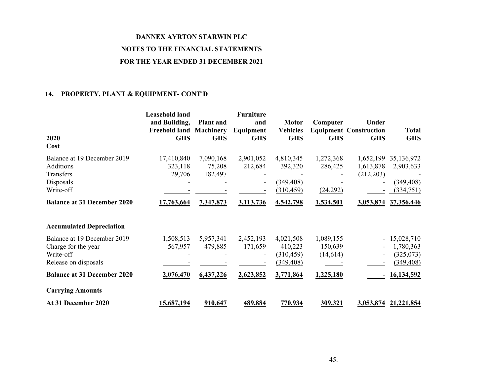## **14. PROPERTY, PLANT & EQUIPMENT- CONT'D**

| 2020<br>Cost                                                                            | <b>Leasehold land</b><br>and Building,<br><b>Freehold land</b><br><b>GHS</b> | <b>Plant</b> and<br><b>Machinery</b><br><b>GHS</b> | <b>Furniture</b><br>and<br>Equipment<br><b>GHS</b> | <b>Motor</b><br><b>Vehicles</b><br><b>GHS</b>    | Computer<br><b>GHS</b>           | Under<br><b>Equipment Construction</b><br><b>GHS</b> | <b>Total</b><br><b>GHS</b>                            |
|-----------------------------------------------------------------------------------------|------------------------------------------------------------------------------|----------------------------------------------------|----------------------------------------------------|--------------------------------------------------|----------------------------------|------------------------------------------------------|-------------------------------------------------------|
| Balance at 19 December 2019<br>Additions<br>Transfers<br>Disposals<br>Write-off         | 17,410,840<br>323,118<br>29,706                                              | 7,090,168<br>75,208<br>182,497                     | 2,901,052<br>212,684<br>۰                          | 4,810,345<br>392,320<br>(349, 408)<br>(310, 459) | 1,272,368<br>286,425<br>(24,292) | 1,652,199<br>1,613,878<br>(212,203)                  | 35,136,972<br>2,903,633<br>(349, 408)<br>(334, 751)   |
| <b>Balance at 31 December 2020</b><br><b>Accumulated Depreciation</b>                   | 17,763,664                                                                   | 7,347,873                                          | 3,113,736                                          | 4,542,798                                        | 1,534,501                        | 3,053,874                                            | 37,356,446                                            |
| Balance at 19 December 2019<br>Charge for the year<br>Write-off<br>Release on disposals | 1,508,513<br>567,957                                                         | 5,957,341<br>479,885                               | 2,452,193<br>171,659<br>$\overline{\phantom{a}}$   | 4,021,508<br>410,223<br>(310, 459)<br>(349, 408) | 1,089,155<br>150,639<br>(14,614) | $\overline{\phantom{a}}$                             | $-15,028,710$<br>1,780,363<br>(325,073)<br>(349, 408) |
| <b>Balance at 31 December 2020</b><br><b>Carrying Amounts</b><br>At 31 December 2020    | 2,076,470<br>15,687,194                                                      | 6,437,226<br>910,647                               | 2,623,852<br>489,884                               | 3,771,864<br>770,934                             | 1,225,180<br>309,321             | $\blacksquare$<br>3,053,874                          | 16,134,592<br>21, 221, 854                            |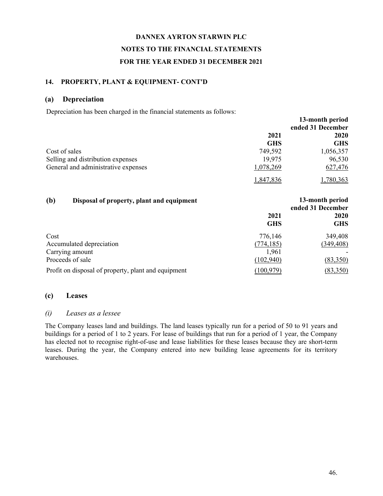### **14. PROPERTY, PLANT & EQUIPMENT- CONT'D**

#### **(a) Depreciation**

Depreciation has been charged in the financial statements as follows:

|                                                  |            | 13-month period                      |
|--------------------------------------------------|------------|--------------------------------------|
|                                                  |            | ended 31 December                    |
|                                                  | 2021       | 2020                                 |
|                                                  | <b>GHS</b> | <b>GHS</b>                           |
| Cost of sales                                    | 749,592    | 1,056,357                            |
| Selling and distribution expenses                | 19,975     | 96,530                               |
| General and administrative expenses              | 1,078,269  | 627,476                              |
|                                                  | 1,847,836  | 1,780,363                            |
| (b)<br>Disposal of property, plant and equipment |            | 13-month period<br>ended 31 December |
|                                                  | 2021       | 2020                                 |
|                                                  | <b>GHS</b> | <b>GHS</b>                           |
| Cost                                             | 776,146    | 349,408                              |
| Accumulated depreciation                         | (774, 185) | (349, 408)                           |
| Carrying amount                                  | 1,961      |                                      |
| Proceeds of sale                                 | (102, 940) | (83,350)                             |

Profit on disposal of property, plant and equipment (100,979) (83,350)

### **(c) Leases**

### *(i) Leases as a lessee*

The Company leases land and buildings. The land leases typically run for a period of 50 to 91 years and buildings for a period of 1 to 2 years. For lease of buildings that run for a period of 1 year, the Company has elected not to recognise right-of-use and lease liabilities for these leases because they are short-term leases. During the year, the Company entered into new building lease agreements for its territory warehouses.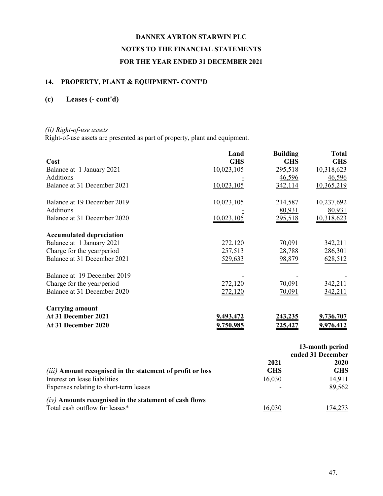# **14. PROPERTY, PLANT & EQUIPMENT- CONT'D**

# **(c) Leases (- cont'd)**

## *(ii) Right-of-use assets*

Right-of-use assets are presented as part of property, plant and equipment.

|                                 | Land             | <b>Building</b> | <b>Total</b>     |
|---------------------------------|------------------|-----------------|------------------|
| Cost                            | <b>GHS</b>       | <b>GHS</b>      | <b>GHS</b>       |
| Balance at 1 January 2021       | 10,023,105       | 295,518         | 10,318,623       |
| <b>Additions</b>                |                  | 46,596          | 46,596           |
| Balance at 31 December 2021     | 10,023,105       | 342,114         | 10,365,219       |
| Balance at 19 December 2019     | 10,023,105       | 214,587         | 10,237,692       |
| <b>Additions</b>                |                  | 80,931          | 80,931           |
| Balance at 31 December 2020     | 10,023,105       | 295,518         | 10,318,623       |
| <b>Accumulated depreciation</b> |                  |                 |                  |
| Balance at 1 January 2021       | 272,120          | 70,091          | 342,211          |
| Charge for the year/period      | 257,513          | 28,788          | 286,301          |
| Balance at 31 December 2021     | 529,633          | 98,879          | 628,512          |
| Balance at 19 December 2019     |                  |                 |                  |
| Charge for the year/period      | 272,120          | 70,091          | 342,211          |
| Balance at 31 December 2020     |                  | <u>70,091</u>   |                  |
| <b>Carrying amount</b>          |                  |                 |                  |
| At 31 December 2021             | <u>9,493,472</u> | <u>243,235</u>  | <u>9,736,707</u> |
| At 31 December 2020             | 9,750,985        | 225.42          | <u>9,976,412</u> |
|                                 |                  |                 |                  |

|                                                                   | 13-month period<br>ended 31 December |            |
|-------------------------------------------------------------------|--------------------------------------|------------|
|                                                                   | 2021                                 | 2020       |
| <i>(iii)</i> Amount recognised in the statement of profit or loss | <b>GHS</b>                           | <b>GHS</b> |
| Interest on lease liabilities                                     | 16,030                               | 14,911     |
| Expenses relating to short-term leases                            |                                      | 89,562     |
| $(iv)$ Amounts recognised in the statement of cash flows          |                                      |            |
| Total cash outflow for leases*                                    |                                      |            |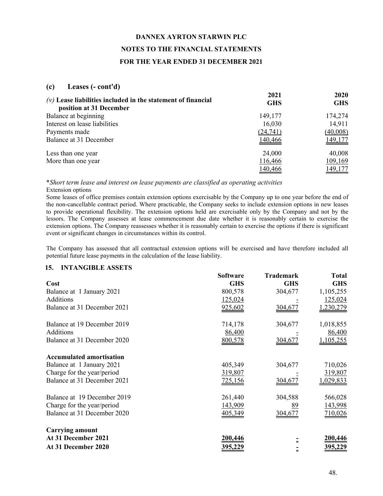### **(c) Leases (- cont'd)**

| $(v)$ Lease liabilities included in the statement of financial<br>position at 31 December | 2021<br><b>GHS</b> | 2020<br><b>GHS</b> |
|-------------------------------------------------------------------------------------------|--------------------|--------------------|
| Balance at beginning                                                                      | 149,177            | 174,274            |
| Interest on lease liabilities                                                             | 16,030             | 14,911             |
| Payments made                                                                             | (24,741)           | (40,008)           |
| Balance at 31 December                                                                    | 140,466            | <u>149,177</u>     |
| Less than one year                                                                        | 24,000             | 40,008             |
| More than one year                                                                        | 116,466            | 109,169            |
|                                                                                           | 140,466            | <u>149,177</u>     |

\**Short term lease and interest on lease payments are classified as operating activities* Extension options

Some leases of office premises contain extension options exercisable by the Company up to one year before the end of the non-cancellable contract period. Where practicable, the Company seeks to include extension options in new leases to provide operational flexibility. The extension options held are exercisable only by the Company and not by the lessors. The Company assesses at lease commencement due date whether it is reasonably certain to exercise the extension options. The Company reassesses whether it is reasonably certain to exercise the options if there is significant event or significant changes in circumstances within its control.

The Company has assessed that all contractual extension options will be exercised and have therefore included all potential future lease payments in the calculation of the lease liability.

#### **15. INTANGIBLE ASSETS**

|                                 | <b>Software</b> | <b>Trademark</b> | <b>Total</b>     |
|---------------------------------|-----------------|------------------|------------------|
| Cost                            | <b>GHS</b>      | <b>GHS</b>       | <b>GHS</b>       |
| Balance at 1 January 2021       | 800,578         | 304,677          | 1,105,255        |
| Additions                       | 125,024         |                  | 125,024          |
| Balance at 31 December 2021     | 925,602         | <u>304,677</u>   | <u>,230,279</u>  |
| Balance at 19 December 2019     | 714,178         | 304,677          | 1,018,855        |
| Additions                       | 86,400          |                  | 86,400           |
| Balance at 31 December 2020     | 800,578         | <u>304,671</u>   | ,105,255         |
| <b>Accumulated amortisation</b> |                 |                  |                  |
| Balance at 1 January 2021       | 405,349         | 304,677          | 710,026          |
| Charge for the year/period      | 319,807         |                  | 319,807          |
| Balance at 31 December 2021     | <u>725,156</u>  | 304,677          | <u>1,029,833</u> |
| Balance at 19 December 2019     | 261,440         | 304,588          | 566,028          |
| Charge for the year/period      | 143,909         | <u>89</u>        | 143,998          |
| Balance at 31 December 2020     | 405,349         | 304,677          | 710,026          |
| <b>Carrying amount</b>          |                 |                  |                  |
| At 31 December 2021             | 200,446         |                  | 200,446          |
| At 31 December 2020             |                 |                  | 395,229          |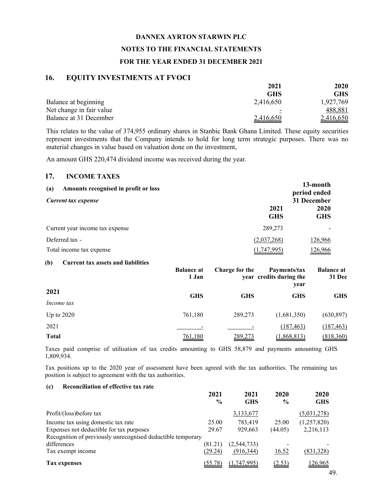#### **DANNEX AYRTON STARWIN PLC**

#### **NOTES TO THE FINANCIAL STATEMENTS**

### **FOR THE YEAR ENDED 31 DECEMBER 2021**

#### **16. EQUITY INVESTMENTS AT FVOCI**

|                          | 2021       | 2020      |
|--------------------------|------------|-----------|
|                          | <b>GHS</b> | GHS       |
| Balance at beginning     | 2,416,650  | 1,927,769 |
| Net change in fair value |            | 488,881   |
| Balance at 31 December   | 2,416,650  | 2,416,650 |

This relates to the value of 374,955 ordinary shares in Stanbic Bank Ghana Limited. These equity securities represent investments that the Company intends to hold for long term strategic purposes. There was no material changes in value based on valuation done on the investment,

An amount GHS 220,474 dividend income was received during the year.

### **17. INCOME TAXES**

| Amounts recognised in profit or loss<br>(a)<br>Current tax expense |                    | 13-month<br>period ended<br>31 December |
|--------------------------------------------------------------------|--------------------|-----------------------------------------|
|                                                                    | 2021<br><b>GHS</b> | 2020<br><b>GHS</b>                      |
| Current year income tax expense                                    | 289,273            |                                         |
| Deferred tax -                                                     | (2,037,268)        | 126,966                                 |
| Total income tax expense                                           | (1,747,995)        | 126,966                                 |

#### **(b) Current tax assets and liabilities**

|              | <b>Balance at</b><br>1 Jan | Charge for the | Payments/tax<br>year credits during the<br>year | <b>Balance at</b><br>31 Dec |
|--------------|----------------------------|----------------|-------------------------------------------------|-----------------------------|
| 2021         | <b>GHS</b>                 | <b>GHS</b>     | <b>GHS</b>                                      | <b>GHS</b>                  |
| Income tax   |                            |                |                                                 |                             |
| Up to $2020$ | 761,180                    | 289,273        | (1,681,350)                                     | (630, 897)                  |
| 2021         |                            |                | (187, 463)                                      | (187, 463)                  |
| <b>Total</b> | 761,180                    | 289,273        | (1,868,813)                                     | (818,360)                   |

Taxes paid comprise of utilisation of tax credits amounting to GHS 58,879 and payments amounting GHS 1,809,934.

Tax positions up to the 2020 year of assessment have been agreed with the tax authorities. The remaining tax position is subject to agreement with the tax authorities.

#### **(c) Reconciliation of effective tax rate**

|                                                             | 2021<br>$\frac{0}{0}$ | 2021<br><b>GHS</b> | 2020<br>$\frac{6}{9}$ | 2020<br><b>GHS</b> |
|-------------------------------------------------------------|-----------------------|--------------------|-----------------------|--------------------|
| Profit/(loss)before tax                                     |                       | 3,133,677          |                       | (5,031,278)        |
| Income tax using domestic tax rate                          | 25.00                 | 783,419            | 25.00                 | (1,257,820)        |
| Expenses not deductible for tax purposes                    | 29.67                 | 929,663            | (44.05)               | 2,216,113          |
| Recognition of previously unrecognised deductible temporary |                       |                    |                       |                    |
| differences                                                 | (81.21)               | (2, 544, 733)      |                       |                    |
| Tax exempt income                                           | (29.24)               | (916, 344)         | <u>16.52</u>          | (831,328)          |
| Tax expenses                                                | (55.78)               | (1.747.995)        | (2.53)                | 126.965            |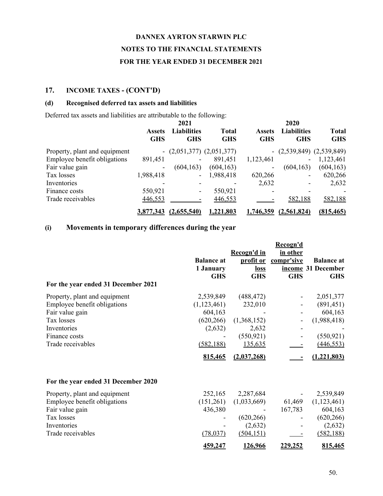## **17. INCOME TAXES - (CONT'D)**

### **(d) Recognised deferred tax assets and liabilities**

Deferred tax assets and liabilities are attributable to the following:

|                               | 2021                        |                                  |                            | 2020                        |                                  |                            |  |  |
|-------------------------------|-----------------------------|----------------------------------|----------------------------|-----------------------------|----------------------------------|----------------------------|--|--|
|                               | <b>Assets</b><br><b>GHS</b> | <b>Liabilities</b><br><b>GHS</b> | <b>Total</b><br><b>GHS</b> | <b>Assets</b><br><b>GHS</b> | <b>Liabilities</b><br><b>GHS</b> | <b>Total</b><br><b>GHS</b> |  |  |
| Property, plant and equipment |                             | $ (2,051,377)$ $(2,051,377)$     |                            |                             | $ (2,539,849)$ $(2,539,849)$     |                            |  |  |
| Employee benefit obligations  | 891,451                     | $\overline{\phantom{a}}$         | 891,451                    | 1,123,461                   |                                  | 1,123,461                  |  |  |
| Fair value gain               | -                           | (604, 163)                       | (604, 163)                 | $\overline{\phantom{a}}$    | (604, 163)                       | (604, 163)                 |  |  |
| Tax losses                    | 1,988,418                   | $\overline{\phantom{a}}$         | 1,988,418                  | 620,266                     | -                                | 620,266                    |  |  |
| Inventories                   |                             | $\overline{\phantom{a}}$         |                            | 2,632                       |                                  | 2,632                      |  |  |
| Finance costs                 | 550,921                     | $\overline{\phantom{a}}$         | 550,921                    |                             |                                  |                            |  |  |
| Trade receivables             | 446,553                     |                                  | 446,553                    |                             | 582,188                          | 582,188                    |  |  |
|                               | 3,877,343                   | (2,655,540)                      | 1,221,803                  | 1,746,359                   | (2, 561, 824)                    | (815, 465)                 |  |  |

# **(i) Movements in temporary differences during the year**

| For the year ended 31 December 2021 | <b>Balance</b> at<br>1 January<br><b>GHS</b> | Recogn'd in<br>profit or<br><u>loss</u><br><b>GHS</b> | Recogn'd<br>in other<br>compr'sive<br><b>GHS</b> | <b>Balance at</b><br>income 31 December<br><b>GHS</b> |
|-------------------------------------|----------------------------------------------|-------------------------------------------------------|--------------------------------------------------|-------------------------------------------------------|
| Property, plant and equipment       | 2,539,849                                    | (488, 472)                                            |                                                  | 2,051,377                                             |
| Employee benefit obligations        | (1,123,461)                                  | 232,010                                               |                                                  | (891, 451)                                            |
| Fair value gain                     | 604,163                                      |                                                       |                                                  | 604,163                                               |
| Tax losses                          | (620, 266)                                   | (1,368,152)                                           |                                                  | (1,988,418)                                           |
| Inventories                         | (2,632)                                      | 2,632                                                 |                                                  |                                                       |
| Finance costs                       |                                              | (550, 921)                                            |                                                  | (550, 921)                                            |
| Trade receivables                   | (582, 188)                                   | 135,635                                               |                                                  | (446, 553)                                            |
|                                     | 815,465                                      | (2,037,268)                                           |                                                  | (1,221,803)                                           |
| For the year ended 31 December 2020 |                                              |                                                       |                                                  |                                                       |
| Property, plant and equipment       | 252,165                                      | 2,287,684                                             |                                                  | 2,539,849                                             |
| Employee benefit obligations        | (151,261)                                    | (1,033,669)                                           | 61,469                                           | (1,123,461)                                           |
| Fair value gain                     | 436,380                                      |                                                       | 167,783                                          | 604,163                                               |
| Tax losses                          |                                              | (620, 266)                                            |                                                  | (620, 266)                                            |
| Inventories                         |                                              | (2,632)                                               |                                                  | (2,632)                                               |
| Trade receivables                   | (78, 037)                                    | (504, 151)                                            |                                                  | (582, 188)                                            |
|                                     | 459,247                                      | 126,966                                               | 229,252                                          | 815,465                                               |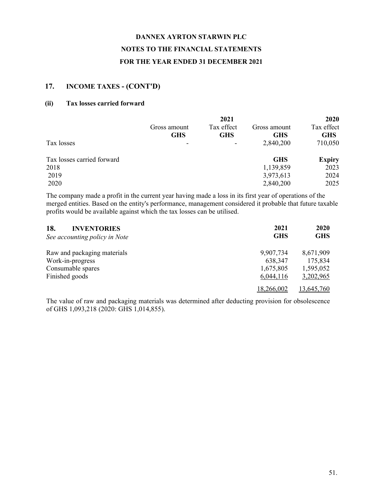# **17. INCOME TAXES - (CONT'D)**

### **(ii) Tax losses carried forward**

|                            |              | 2021       |              | 2020          |
|----------------------------|--------------|------------|--------------|---------------|
|                            | Gross amount | Tax effect | Gross amount | Tax effect    |
|                            | <b>GHS</b>   | <b>GHS</b> | <b>GHS</b>   | <b>GHS</b>    |
| Tax losses                 |              | -          | 2,840,200    | 710,050       |
| Tax losses carried forward |              |            | <b>GHS</b>   | <b>Expiry</b> |
| 2018                       |              |            | 1,139,859    | 2023          |
| 2019                       |              |            | 3,973,613    | 2024          |
| 2020                       |              |            | 2,840,200    | 2025          |

The company made a profit in the current year having made a loss in its first year of operations of the merged entities. Based on the entity's performance, management considered it probable that future taxable profits would be available against which the tax losses can be utilised.

| 18.<br><b>INVENTORIES</b><br>See accounting policy in Note | 2021<br><b>GHS</b> | 2020<br><b>GHS</b> |
|------------------------------------------------------------|--------------------|--------------------|
| Raw and packaging materials                                | 9,907,734          | 8,671,909          |
| Work-in-progress                                           | 638,347            | 175,834            |
| Consumable spares                                          | 1,675,805          | 1,595,052          |
| Finished goods                                             | 6,044,116          | 3,202,965          |
|                                                            | 18,266,002         | 13,645,760         |

The value of raw and packaging materials was determined after deducting provision for obsolescence of GHS 1,093,218 (2020: GHS 1,014,855).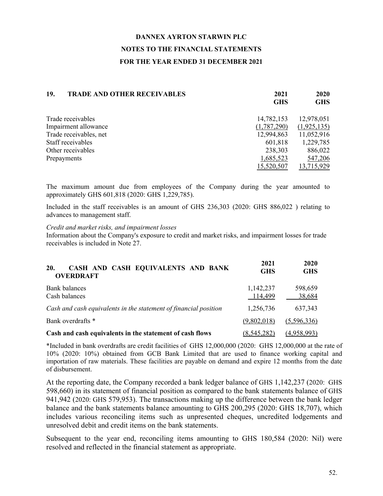| <b>TRADE AND OTHER RECEIVABLES</b><br>19. | 2021       | 2020        |
|-------------------------------------------|------------|-------------|
|                                           | <b>GHS</b> | <b>GHS</b>  |
| Trade receivables<br>14,782,153           |            | 12,978,051  |
| Impairment allowance<br>(1,787,290)       |            | (1,925,135) |
| Trade receivables, net<br>12,994,863      |            | 11,052,916  |
| Staff receivables<br>601,818              |            | 1,229,785   |
| Other receivables<br>238,303              |            | 886,022     |
| 1,685,523<br>Prepayments                  |            | 547,206     |
| 15,520,507                                |            | 13,715,929  |

The maximum amount due from employees of the Company during the year amounted to approximately GHS 601,818 (2020: GHS 1,229,785).

Included in the staff receivables is an amount of GHS 236,303 (2020: GHS 886,022 ) relating to advances to management staff.

### *Credit and market risks, and impairment losses*

Information about the Company's exposure to credit and market risks, and impairment losses for trade receivables is included in Note 27.

| CASH AND CASH EQUIVALENTS AND BANK<br><b>20.</b><br><b>OVERDRAFT</b> | 2021<br><b>GHS</b>   | 2020<br><b>GHS</b> |
|----------------------------------------------------------------------|----------------------|--------------------|
| Bank balances<br>Cash balances                                       | 1,142,237<br>114,499 | 598,659<br>38,684  |
| Cash and cash equivalents in the statement of financial position     | 1,256,736            | 637,343            |
| Bank overdrafts *                                                    | (9,802,018)          | (5,596,336)        |
| Cash and cash equivalents in the statement of cash flows             | (8, 545, 282)        | (4,958,993)        |

\*Included in bank overdrafts are credit facilities of GHS 12,000,000 (2020: GHS 12,000,000 at the rate of 10% (2020: 10%) obtained from GCB Bank Limited that are used to finance working capital and importation of raw materials. These facilities are payable on demand and expire 12 months from the date of disbursement.

At the reporting date, the Company recorded a bank ledger balance of GHS 1,142,237 (2020: GHS 598,660) in its statement of financial position as compared to the bank statements balance of GHS 941,942 (2020: GHS 579,953). The transactions making up the difference between the bank ledger balance and the bank statements balance amounting to GHS 200,295 (2020: GHS 18,707), which includes various reconciling items such as unpresented cheques, uncredited lodgements and unresolved debit and credit items on the bank statements.

Subsequent to the year end, reconciling items amounting to GHS 180,584 (2020: Nil) were resolved and reflected in the financial statement as appropriate.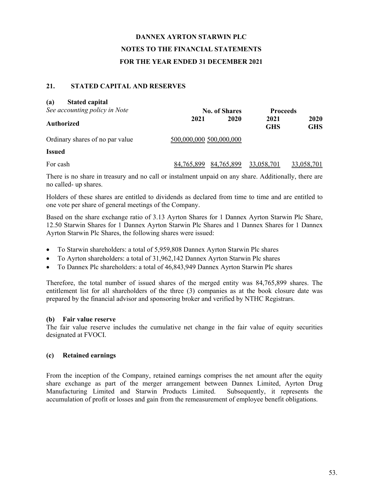### **21. STATED CAPITAL AND RESERVES**

| <b>Stated capital</b><br>(a)<br>See accounting policy in Note |                         | <b>No. of Shares</b> | <b>Proceeds</b>    |                    |
|---------------------------------------------------------------|-------------------------|----------------------|--------------------|--------------------|
| Authorized                                                    | 2021                    | 2020                 | 2021<br><b>GHS</b> | 2020<br><b>GHS</b> |
| Ordinary shares of no par value                               | 500,000,000 500,000,000 |                      |                    |                    |
| <b>Issued</b>                                                 |                         |                      |                    |                    |
| For cash                                                      | 84,765,899              | 84,765,899           | 33,058,701         | 33,058,701         |

There is no share in treasury and no call or instalment unpaid on any share. Additionally, there are no called- up shares.

Holders of these shares are entitled to dividends as declared from time to time and are entitled to one vote per share of general meetings of the Company.

Based on the share exchange ratio of 3.13 Ayrton Shares for 1 Dannex Ayrton Starwin Plc Share, 12.50 Starwin Shares for 1 Dannex Ayrton Starwin Plc Shares and 1 Dannex Shares for 1 Dannex Ayrton Starwin Plc Shares, the following shares were issued:

- To Starwin shareholders: a total of 5,959,808 Dannex Ayrton Starwin Plc shares
- To Ayrton shareholders: a total of 31,962,142 Dannex Ayrton Starwin Plc shares
- To Dannex Plc shareholders: a total of 46,843,949 Dannex Ayrton Starwin Plc shares

Therefore, the total number of issued shares of the merged entity was 84,765,899 shares. The entitlement list for all shareholders of the three (3) companies as at the book closure date was prepared by the financial advisor and sponsoring broker and verified by NTHC Registrars.

### **(b) Fair value reserve**

The fair value reserve includes the cumulative net change in the fair value of equity securities designated at FVOCI.

### **(c) Retained earnings**

From the inception of the Company, retained earnings comprises the net amount after the equity share exchange as part of the merger arrangement between Dannex Limited, Ayrton Drug Manufacturing Limited and Starwin Products Limited. Subsequently, it represents the accumulation of profit or losses and gain from the remeasurement of employee benefit obligations.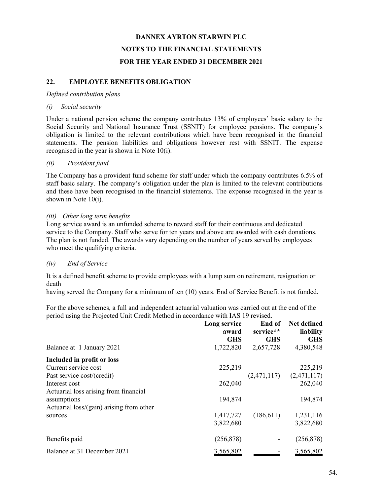## **22. EMPLOYEE BENEFITS OBLIGATION**

#### *Defined contribution plans*

### *(i) Social security*

Under a national pension scheme the company contributes 13% of employees' basic salary to the Social Security and National Insurance Trust (SSNIT) for employee pensions. The company's obligation is limited to the relevant contributions which have been recognised in the financial statements. The pension liabilities and obligations however rest with SSNIT. The expense recognised in the year is shown in Note 10(i).

### *(ii) Provident fund*

The Company has a provident fund scheme for staff under which the company contributes 6.5% of staff basic salary. The company's obligation under the plan is limited to the relevant contributions and these have been recognised in the financial statements. The expense recognised in the year is shown in Note 10(i).

### *(iii) Other long term benefits*

Long service award is an unfunded scheme to reward staff for their continuous and dedicated service to the Company. Staff who serve for ten years and above are awarded with cash donations. The plan is not funded. The awards vary depending on the number of years served by employees who meet the qualifying criteria.

### *(iv) End of Service*

It is a defined benefit scheme to provide employees with a lump sum on retirement, resignation or death

having served the Company for a minimum of ten (10) years. End of Service Benefit is not funded.

For the above schemes, a full and independent actuarial valuation was carried out at the end of the period using the Projected Unit Credit Method in accordance with IAS 19 revised.

|                                          | Long service<br>award<br><b>GHS</b> | End of<br>service**<br><b>GHS</b> | Net defined<br>liability<br><b>GHS</b> |
|------------------------------------------|-------------------------------------|-----------------------------------|----------------------------------------|
| Balance at 1 January 2021                | 1,722,820                           | 2,657,728                         | 4,380,548                              |
| Included in profit or loss               |                                     |                                   |                                        |
| Current service cost                     | 225,219                             |                                   | 225,219                                |
| Past service cost/(credit)               |                                     | (2,471,117)                       | (2,471,117)                            |
| Interest cost                            | 262,040                             |                                   | 262,040                                |
| Actuarial loss arising from financial    |                                     |                                   |                                        |
| assumptions                              | 194,874                             |                                   | 194,874                                |
| Actuarial loss/(gain) arising from other |                                     |                                   |                                        |
| sources                                  | 1,417,727                           | (186,611)                         | 1,231,116                              |
|                                          | 3,822,680                           |                                   | 3,822,680                              |
| Benefits paid                            | (256, 878)                          |                                   | (256, 878)                             |
| Balance at 31 December 2021              | 3,565,802                           |                                   | 3,565,802                              |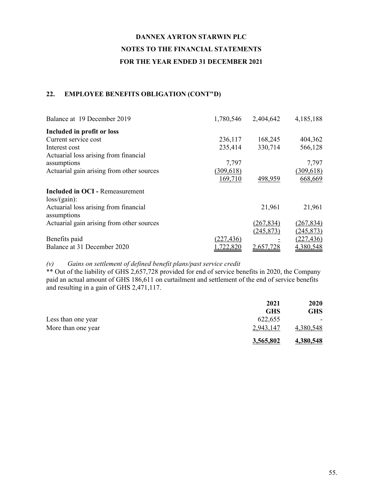# **22. EMPLOYEE BENEFITS OBLIGATION (CONT"D)**

| Balance at 19 December 2019               |            | 1,780,546 2,404,642 | 4,185,188  |
|-------------------------------------------|------------|---------------------|------------|
| Included in profit or loss                |            |                     |            |
| Current service cost                      | 236,117    | 168,245             | 404,362    |
| Interest cost                             | 235,414    | 330,714             | 566,128    |
| Actuarial loss arising from financial     |            |                     |            |
| assumptions                               | 7,797      |                     | 7,797      |
| Actuarial gain arising from other sources | (309, 618) |                     | (309,618)  |
|                                           | 169,710    | 498,959             | 668,669    |
| <b>Included in OCI - Remeasurement</b>    |            |                     |            |
| loss/(gain):                              |            |                     |            |
| Actuarial loss arising from financial     |            | 21,961              | 21,961     |
| assumptions                               |            |                     |            |
| Actuarial gain arising from other sources |            | (267, 834)          | (267, 834) |
|                                           |            | (245, 873)          | (245, 873) |
| Benefits paid                             | (227, 436) |                     | (227, 436) |
| Balance at 31 December 2020               | ,722,820   | 2,657,728           | 4,380,548  |

### *(v) Gains on settlement of defined benefit plans/past service credit*

\*\* Out of the liability of GHS 2,657,728 provided for end of service benefits in 2020, the Company paid an actual amount of GHS 186,611 on curtailment and settlement of the end of service benefits and resulting in a gain of GHS 2,471,117.

|                    | 2021       | 2020       |
|--------------------|------------|------------|
|                    | <b>GHS</b> | <b>GHS</b> |
| Less than one year | 622,655    |            |
| More than one year | 2.943.147  | 4,380,548  |
|                    | 3,565,802  | 4,380,548  |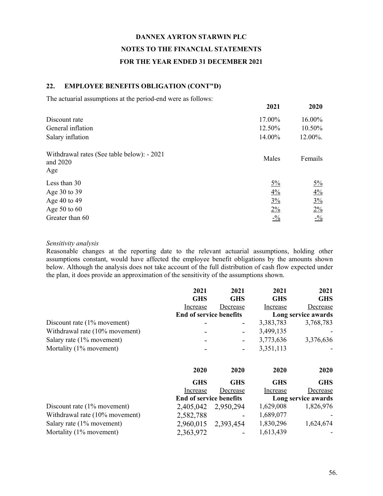### **22. EMPLOYEE BENEFITS OBLIGATION (CONT"D)**

The actuarial assumptions at the period-end were as follows:

|                                                               | 2021            | 2020            |
|---------------------------------------------------------------|-----------------|-----------------|
| Discount rate                                                 | 17.00%          | 16.00%          |
| General inflation                                             | 12.50%          | 10.50%          |
| Salary inflation                                              | 14.00%          | 12.00%.         |
| Withdrawal rates (See table below): - 2021<br>and 2020<br>Age | Males           | Femails         |
| Less than 30                                                  | $\frac{5\%}{2}$ | $\frac{5\%}{2}$ |
| Age 30 to 39                                                  | $4\%$           | $4\frac{6}{6}$  |
| Age 40 to 49                                                  | $3\%$           | $3\%$           |
| Age $50$ to $60$                                              | $2\frac{6}{6}$  | $2\%$           |
| Greater than 60                                               | $- \frac{0}{2}$ | $-\frac{0}{2}$  |

#### *Sensitivity analysis*

Reasonable changes at the reporting date to the relevant actuarial assumptions, holding other assumptions constant, would have affected the employee benefit obligations by the amounts shown below. Although the analysis does not take account of the full distribution of cash flow expected under the plan, it does provide an approximation of the sensitivity of the assumptions shown.

|                                | 2021                           | 2021       | 2021       | 2021                |
|--------------------------------|--------------------------------|------------|------------|---------------------|
|                                | <b>GHS</b>                     | <b>GHS</b> | <b>GHS</b> | <b>GHS</b>          |
|                                | Increase                       | Decrease   | Increase   | Decrease            |
|                                | <b>End of service benefits</b> |            |            | Long service awards |
| Discount rate $(1\%$ movement) |                                |            | 3,383,783  | 3,768,783           |
| Withdrawal rate (10% movement) |                                |            | 3,499,135  |                     |
| Salary rate (1% movement)      |                                |            | 3,773,636  | 3,376,636           |
| Mortality (1% movement)        |                                |            | 3,351,113  |                     |
|                                | 2020                           | 2020       | 2020       | 2020                |
|                                | <b>GHS</b>                     | <b>GHS</b> | <b>GHS</b> | <b>GHS</b>          |
|                                | Increase                       | Decrease   | Increase   | Decrease            |
|                                | <b>End of service benefits</b> |            |            | Long service awards |
| Discount rate (1% movement)    | 2,405,042                      | 2,950,294  | 1,629,008  | 1,826,976           |
| Withdrawal rate (10% movement) | 2,582,788                      |            | 1,689,077  |                     |
| Salary rate (1% movement)      | 2,960,015                      | 2,393,454  | 1,830,296  | 1,624,674           |
| Mortality (1% movement)        | 2,363,972                      |            | 1,613,439  |                     |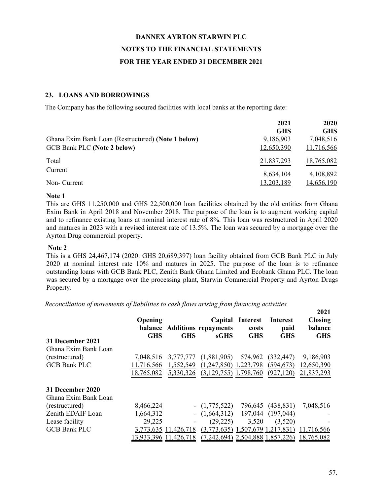### **23. LOANS AND BORROWINGS**

The Company has the following secured facilities with local banks at the reporting date:

|                                                    | 2021       | 2020       |
|----------------------------------------------------|------------|------------|
|                                                    | <b>GHS</b> | <b>GHS</b> |
| Ghana Exim Bank Loan (Restructured) (Note 1 below) | 9,186,903  | 7,048,516  |
| <b>GCB Bank PLC (Note 2 below)</b>                 | 12,650,390 | 11,716,566 |
| Total                                              | 21,837,293 | 18,765,082 |
| Current                                            | 8,634,104  | 4,108,892  |
| Non- Current                                       | 13,203,189 | 14,656,190 |

#### **Note 1**

This are GHS 11,250,000 and GHS 22,500,000 loan facilities obtained by the old entities from Ghana Exim Bank in April 2018 and November 2018. The purpose of the loan is to augment working capital and to refinance existing loans at nominal interest rate of 8%. This loan was restructured in April 2020 and matures in 2023 with a revised interest rate of 13.5%. The loan was secured by a mortgage over the Ayrton Drug commercial property.

#### **Note 2**

This is a GHS 24,467,174 (2020: GHS 20,689,397) loan facility obtained from GCB Bank PLC in July 2020 at nominal interest rate 10% and matures in 2025. The purpose of the loan is to refinance outstanding loans with GCB Bank PLC, Zenith Bank Ghana Limited and Ecobank Ghana PLC. The loan was secured by a mortgage over the processing plant, Starwin Commercial Property and Ayrton Drugs Property.

*Reconciliation of movements of liabilities to cash flows arising from financing activities*

| 31 December 2021<br>Ghana Exim Bank Loan | Opening<br><b>GHS</b> | <b>GHS</b>           | Capital<br>balance Additions repayments<br>sGHS | Interest<br>costs<br><b>GHS</b> | <b>Interest</b><br>paid<br><b>GHS</b> | 2021.<br><b>Closing</b><br><b>balance</b><br><b>GHS</b> |
|------------------------------------------|-----------------------|----------------------|-------------------------------------------------|---------------------------------|---------------------------------------|---------------------------------------------------------|
| (restructured)                           | 7.048.516             | 3,777,777            | (1,881,905)                                     | 574,962                         | (332, 447)                            | 9,186,903                                               |
| <b>GCB Bank PLC</b>                      | 11,716,566            | 1,552,549            | (1,247,850)                                     | ,223,798                        | (594, 673)                            | 12,650,390                                              |
|                                          | 18,765,082            | 5,330,326            | $(3,129,755)$ 1,798,760                         |                                 | (927, 120)                            | 21,837,293                                              |
| 31 December 2020                         |                       |                      |                                                 |                                 |                                       |                                                         |
| Ghana Exim Bank Loan                     |                       |                      |                                                 |                                 |                                       |                                                         |
| (restructured)                           | 8,466,224             |                      | $ (1,775,522)$                                  | 796,645                         | (438, 831)                            | 7,048,516                                               |
| Zenith EDAIF Loan                        | 1,664,312             |                      | $- (1,664,312)$                                 |                                 | 197,044 (197,044)                     |                                                         |
| Lease facility                           | 29,225                |                      | (29, 225)                                       | 3,520                           | (3,520)                               |                                                         |
| <b>GCB Bank PLC</b>                      |                       | 3,773,635 11,426,718 | $(3,773,635)$ 1,507,679 1,217,831)              |                                 |                                       | 11,716,566                                              |
|                                          | 13.933.396            | .426.718             | (7, 242, 694)                                   |                                 | 2,504,888 1,857,226)                  | 18,765,082                                              |

**2021**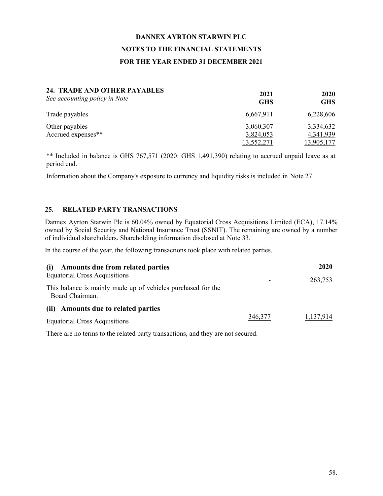| 24. TRADE AND OTHER PAYABLES<br>See accounting policy in Note | 2021<br><b>GHS</b> | 2020<br><b>GHS</b> |
|---------------------------------------------------------------|--------------------|--------------------|
| Trade payables                                                | 6,667,911          | 6,228,606          |
| Other payables                                                | 3,060,307          | 3,334,632          |
| Accrued expenses**                                            | 3,824,053          | 4,341,939          |
|                                                               | 13,552,271         | <u>13,905,177</u>  |

\*\* Included in balance is GHS 767,571 (2020: GHS 1,491,390) relating to accrued unpaid leave as at period end.

Information about the Company's exposure to currency and liquidity risks is included in Note 27.

#### **25. RELATED PARTY TRANSACTIONS**

Dannex Ayrton Starwin Plc is 60.04% owned by Equatorial Cross Acquisitions Limited (ECA), 17.14% owned by Social Security and National Insurance Trust (SSNIT). The remaining are owned by a number of individual shareholders. Shareholding information disclosed at Note 33.

In the course of the year, the following transactions took place with related parties.

| Amounts due from related parties<br>(i)                                                                                 |         | <b>2020</b> |
|-------------------------------------------------------------------------------------------------------------------------|---------|-------------|
| <b>Equatorial Cross Acquisitions</b><br>This balance is mainly made up of vehicles purchased for the<br>Board Chairman. |         | 263,753     |
| (ii) Amounts due to related parties<br><b>Equatorial Cross Acquisitions</b>                                             | 346,377 | 1,137,914   |

There are no terms to the related party transactions, and they are not secured.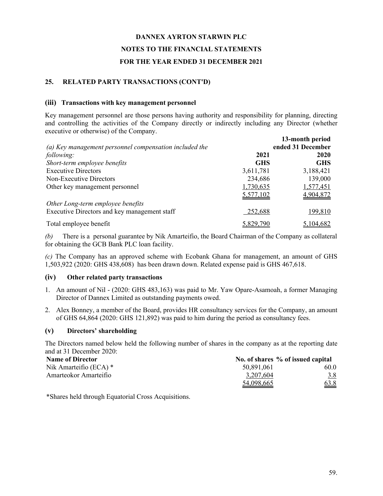## **25. RELATED PARTY TRANSACTIONS (CONT'D)**

### **(iii) Transactions with key management personnel**

Key management personnel are those persons having authority and responsibility for planning, directing and controlling the activities of the Company directly or indirectly including any Director (whether executive or otherwise) of the Company.

|                                                        |            | 13-month period   |
|--------------------------------------------------------|------------|-------------------|
| (a) Key management personnel compensation included the |            | ended 31 December |
| following:                                             | 2021       | 2020              |
| Short-term employee benefits                           | <b>GHS</b> | <b>GHS</b>        |
| <b>Executive Directors</b>                             | 3,611,781  | 3,188,421         |
| Non-Executive Directors                                | 234,686    | 139,000           |
| Other key management personnel                         | 1,730,635  | 1,577,451         |
|                                                        | 5,577,102  | 4,904,872         |
| Other Long-term employee benefits                      |            |                   |
| Executive Directors and key management staff           | 252,688    | 199,810           |
| Total employee benefit                                 | 5,829,790  | 5,104,682         |

*(b)* There is a personal guarantee by Nik Amarteifio, the Board Chairman of the Company as collateral for obtaining the GCB Bank PLC loan facility.

*(c)* The Company has an approved scheme with Ecobank Ghana for management, an amount of GHS 1,503,922 (2020: GHS 438,608) has been drawn down. Related expense paid is GHS 467,618.

### **(iv) Other related party transactions**

- 1. An amount of Nil (2020: GHS 483,163) was paid to Mr. Yaw Opare-Asamoah, a former Managing Director of Dannex Limited as outstanding payments owed.
- 2. Alex Bonney, a member of the Board, provides HR consultancy services for the Company, an amount of GHS 64,864 (2020: GHS 121,892) was paid to him during the period as consultancy fees.

### **(v) Directors' shareholding**

The Directors named below held the following number of shares in the company as at the reporting date and at 31 December 2020:

| <b>Name of Director</b>  |            | No. of shares % of issued capital |
|--------------------------|------------|-----------------------------------|
| Nik Amarteifio (ECA) $*$ | 50.891,061 | 60.0                              |
| Amarteokor Amarteifio    | 3.207.604  | <u>3.8</u>                        |
|                          | 54,098,665 | 63.8                              |

\*Shares held through Equatorial Cross Acquisitions.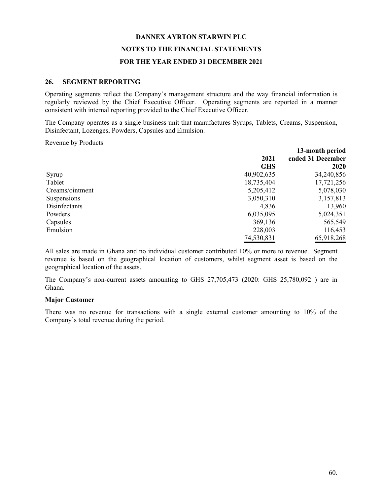#### **26. SEGMENT REPORTING**

Operating segments reflect the Company's management structure and the way financial information is regularly reviewed by the Chief Executive Officer. Operating segments are reported in a manner consistent with internal reporting provided to the Chief Executive Officer.

The Company operates as a single business unit that manufactures Syrups, Tablets, Creams, Suspension, Disinfectant, Lozenges, Powders, Capsules and Emulsion.

Revenue by Products

|                 |            | 13-month period   |
|-----------------|------------|-------------------|
|                 | 2021       | ended 31 December |
|                 | <b>GHS</b> | 2020              |
| Syrup           | 40,902,635 | 34,240,856        |
| Tablet          | 18,735,404 | 17,721,256        |
| Creams/ointment | 5,205,412  | 5,078,030         |
| Suspensions     | 3,050,310  | 3,157,813         |
| Disinfectants   | 4,836      | 13,960            |
| Powders         | 6,035,095  | 5,024,351         |
| Capsules        | 369,136    | 565,549           |
| Emulsion        | 228,003    | 116,453           |
|                 | 74,530,831 | 65,918,268        |

All sales are made in Ghana and no individual customer contributed 10% or more to revenue. Segment revenue is based on the geographical location of customers, whilst segment asset is based on the geographical location of the assets.

The Company's non-current assets amounting to GHS 27,705,473 (2020: GHS 25,780,092 ) are in Ghana.

### **Major Customer**

There was no revenue for transactions with a single external customer amounting to 10% of the Company's total revenue during the period.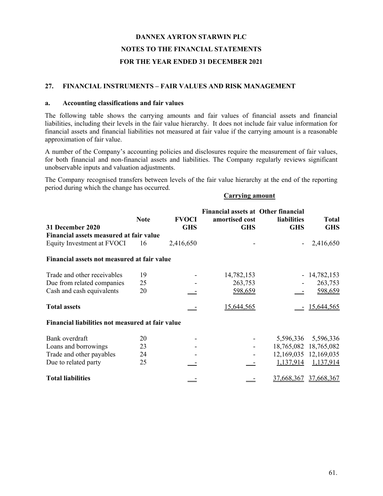### **27. FINANCIAL INSTRUMENTS – FAIR VALUES AND RISK MANAGEMENT**

#### **a. Accounting classifications and fair values**

The following table shows the carrying amounts and fair values of financial assets and financial liabilities, including their levels in the fair value hierarchy. It does not include fair value information for financial assets and financial liabilities not measured at fair value if the carrying amount is a reasonable approximation of fair value.

A number of the Company's accounting policies and disclosures require the measurement of fair values, for both financial and non-financial assets and liabilities. The Company regularly reviews significant unobservable inputs and valuation adjustments.

The Company recognised transfers between levels of the fair value hierarchy at the end of the reporting period during which the change has occurred.

#### **Carrying amount**

| 31 December 2020                                 | <b>Note</b> | <b>FVOCI</b><br><b>GHS</b> | <b>Financial assets at Other financial</b><br>amortised cost<br><b>GHS</b> | liabilities<br><b>GHS</b> | <b>Total</b><br><b>GHS</b> |
|--------------------------------------------------|-------------|----------------------------|----------------------------------------------------------------------------|---------------------------|----------------------------|
| Financial assets measured at fair value          |             |                            |                                                                            |                           |                            |
| Equity Investment at FVOCI                       | 16          | 2,416,650                  |                                                                            |                           | 2,416,650                  |
| Financial assets not measured at fair value      |             |                            |                                                                            |                           |                            |
| Trade and other receivables                      | 19          |                            | 14,782,153                                                                 |                           | 14,782,153                 |
| Due from related companies                       | 25          |                            | 263,753                                                                    |                           | 263,753                    |
| Cash and cash equivalents                        | 20          |                            | 598,659                                                                    |                           | 598,659                    |
| <b>Total assets</b>                              |             |                            | 15,644,565                                                                 |                           | 15,644,565                 |
| Financial liabilities not measured at fair value |             |                            |                                                                            |                           |                            |
| Bank overdraft                                   | 20          |                            |                                                                            | 5,596,336                 | 5,596,336                  |
| Loans and borrowings                             | 23          |                            |                                                                            |                           | 18,765,082 18,765,082      |
| Trade and other payables                         | 24          |                            |                                                                            |                           | 12,169,035 12,169,035      |
| Due to related party                             | 25          |                            |                                                                            | 1,137,914                 | 1,137,914                  |
| <b>Total liabilities</b>                         |             |                            |                                                                            | 37,668,367                | 37,668,367                 |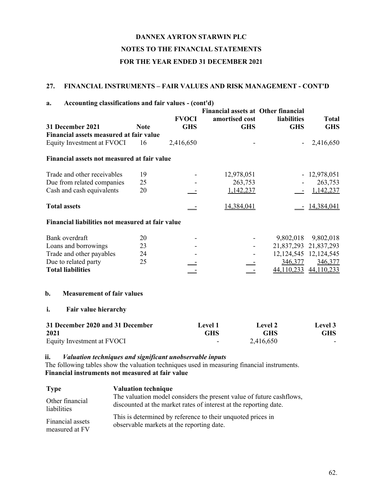# **27. FINANCIAL INSTRUMENTS – FAIR VALUES AND RISK MANAGEMENT - CONT'D**

| Accounting classifications and fair values - (cont'd)<br>a. |             |              |                                                              |                    |                           |
|-------------------------------------------------------------|-------------|--------------|--------------------------------------------------------------|--------------------|---------------------------|
|                                                             |             | <b>FVOCI</b> | <b>Financial assets at Other financial</b><br>amortised cost | <b>liabilities</b> | <b>Total</b>              |
| 31 December 2021                                            | <b>Note</b> | <b>GHS</b>   | <b>GHS</b>                                                   | <b>GHS</b>         | <b>GHS</b>                |
| Financial assets measured at fair value                     |             |              |                                                              |                    |                           |
| Equity Investment at FVOCI                                  | 16          | 2,416,650    |                                                              |                    | 2,416,650                 |
| Financial assets not measured at fair value                 |             |              |                                                              |                    |                           |
| Trade and other receivables                                 | 19          |              | 12,978,051                                                   |                    | $-12,978,051$             |
| Due from related companies                                  | 25          |              | 263,753                                                      |                    | 263,753                   |
| Cash and cash equivalents                                   | 20          |              | 1,142,237                                                    |                    | 1,142,237                 |
| <b>Total assets</b>                                         |             |              | 14,384,041                                                   |                    | 14,384,041                |
| Financial liabilities not measured at fair value            |             |              |                                                              |                    |                           |
| Bank overdraft                                              | 20          |              |                                                              | 9,802,018          | 9,802,018                 |
| Loans and borrowings                                        | 23          |              |                                                              |                    | 21,837,293 21,837,293     |
| Trade and other payables                                    | 24          |              |                                                              |                    | 12, 124, 545 12, 124, 545 |
| Due to related party                                        | 25          |              |                                                              | 346,377            | 346,377                   |
| <b>Total liabilities</b>                                    |             |              |                                                              | 44,110,233         | 44,110,233                |
| b.<br><b>Measurement of fair values</b>                     |             |              |                                                              |                    |                           |
| Fair value hierarchy<br>i.                                  |             |              |                                                              |                    |                           |
| 31 December 2020 and 31 December                            |             |              | Level 1                                                      | Level 2            | Level 3                   |
| 2021                                                        |             |              | <b>GHS</b>                                                   | <b>GHS</b>         | <b>GHS</b>                |
| Equity Investment at FVOCI                                  |             |              |                                                              | 2,416,650          |                           |

## **ii.** *Valuation techniques and significant unobservable inputs*

The following tables show the valuation techniques used in measuring financial instruments. **Financial instruments not measured at fair value**

| <b>Type</b>      | <b>Valuation technique</b>                                           |
|------------------|----------------------------------------------------------------------|
| Other financial  | The valuation model considers the present value of future cashflows, |
| liabilities      | discounted at the market rates of interest at the reporting date.    |
| Financial assets | This is determined by reference to their unquoted prices in          |
| measured at FV   | observable markets at the reporting date.                            |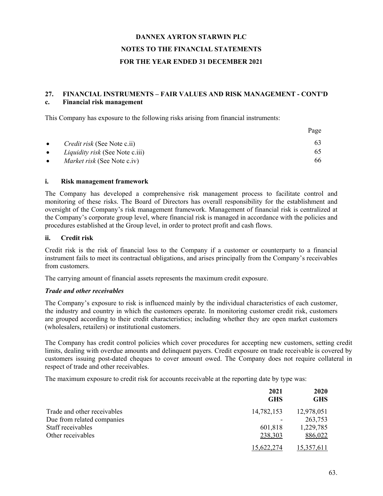### **27. FINANCIAL INSTRUMENTS – FAIR VALUES AND RISK MANAGEMENT - CONT'D c. Financial risk management**

This Company has exposure to the following risks arising from financial instruments:

|           |                                        | Page |
|-----------|----------------------------------------|------|
| $\bullet$ | <i>Credit risk</i> (See Note c.ii)     | 63   |
| $\bullet$ | <i>Liquidity risk</i> (See Note c.iii) | 65   |
| $\bullet$ | <i>Market risk</i> (See Note c.iv)     | 66   |

### **i. Risk management framework**

The Company has developed a comprehensive risk management process to facilitate control and monitoring of these risks. The Board of Directors has overall responsibility for the establishment and oversight of the Company's risk management framework. Management of financial risk is centralized at the Company's corporate group level, where financial risk is managed in accordance with the policies and procedures established at the Group level, in order to protect profit and cash flows.

### **ii. Credit risk**

Credit risk is the risk of financial loss to the Company if a customer or counterparty to a financial instrument fails to meet its contractual obligations, and arises principally from the Company's receivables from customers.

The carrying amount of financial assets represents the maximum credit exposure.

### *Trade and other receivables*

The Company's exposure to risk is influenced mainly by the individual characteristics of each customer, the industry and country in which the customers operate. In monitoring customer credit risk, customers are grouped according to their credit characteristics; including whether they are open market customers (wholesalers, retailers) or institutional customers.

The Company has credit control policies which cover procedures for accepting new customers, setting credit limits, dealing with overdue amounts and delinquent payers. Credit exposure on trade receivable is covered by customers issuing post-dated cheques to cover amount owed. The Company does not require collateral in respect of trade and other receivables.

The maximum exposure to credit risk for accounts receivable at the reporting date by type was:

|                             | 2021<br><b>GHS</b> | 2020<br><b>GHS</b> |
|-----------------------------|--------------------|--------------------|
| Trade and other receivables | 14,782,153         | 12,978,051         |
| Due from related companies  |                    | 263,753            |
| Staff receivables           | 601,818            | 1,229,785          |
| Other receivables           | 238,303            | 886,022            |
|                             | 15.622.274         | 15.357.611         |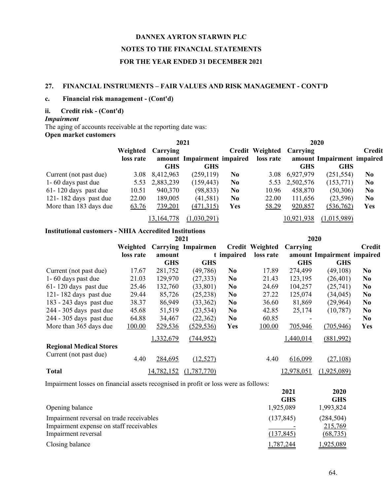### **27. FINANCIAL INSTRUMENTS – FAIR VALUES AND RISK MANAGEMENT - CONT'D**

#### **c. Financial risk management - (Cont'd)**

#### **ii. Credit risk - (Cont'd)**

## *Impairment*

The aging of accounts receivable at the reporting date was:

#### **Open market customers**

|                          | 2021      |            |                            |                | 2020                     |                |                            |                |
|--------------------------|-----------|------------|----------------------------|----------------|--------------------------|----------------|----------------------------|----------------|
|                          | Weighted  | Carrying   |                            |                | Credit Weighted Carrying |                |                            | Credit         |
|                          | loss rate |            | amount Impairment impaired |                | loss rate                |                | amount Impairment impaired |                |
|                          |           | GHS        | <b>GHS</b>                 |                |                          | <b>GHS</b>     | <b>GHS</b>                 |                |
| Current (not past due)   | 3.08      | 8,412,963  | (259, 119)                 | N <sub>0</sub> | 3.08                     | 6,927,979      | (251, 554)                 | N <sub>0</sub> |
| 1 - 60 days past due     | 5.53      | 2,883,239  | (159, 443)                 | N <sub>0</sub> |                          | 5.53 2,502,576 | (153,771)                  | N <sub>0</sub> |
| $61 - 120$ days past due | 10.51     | 940,370    | (98, 833)                  | N <sub>0</sub> | 10.96                    | 458,870        | (50,306)                   | N <sub>0</sub> |
| 121-182 days past due    | 22.00     | 189,005    | (41,581)                   | N <sub>0</sub> | 22.00                    | 111,656        | (23,596)                   | N <sub>0</sub> |
| More than 183 days due   | 63.76     | 739,201    | (471, 315)                 | Yes            | 58.29                    | 920,857        | (536,762)                  | Yes            |
|                          |           | 13,164,778 | (1,030,291)                |                |                          | 10,921,938     | (1,015,989)                |                |

# **Institutional customers - NHIA Accredited Institutions**

|                                | 2021      |            |                           |                | 2020                   |            |                            |                |
|--------------------------------|-----------|------------|---------------------------|----------------|------------------------|------------|----------------------------|----------------|
|                                | Weighted  |            | <b>Carrying Impairmen</b> |                | <b>Credit Weighted</b> | Carrying   |                            | <b>Credit</b>  |
|                                | loss rate | amount     |                           | t impaired     | loss rate              |            | amount Impairment impaired |                |
|                                |           | <b>GHS</b> | <b>GHS</b>                |                |                        | <b>GHS</b> | <b>GHS</b>                 |                |
| Current (not past due)         | 17.67     | 281,752    | (49, 786)                 | N <sub>0</sub> | 17.89                  | 274,499    | (49, 108)                  | N <sub>0</sub> |
| 1-60 days past due             | 21.03     | 129,970    | (27, 333)                 | N <sub>0</sub> | 21.43                  | 123,195    | (26, 401)                  | N <sub>0</sub> |
| 61-120 days past due           | 25.46     | 132,760    | (33, 801)                 | N <sub>0</sub> | 24.69                  | 104,257    | (25,741)                   | N <sub>0</sub> |
| 121-182 days past due          | 29.44     | 85,726     | (25, 238)                 | N <sub>0</sub> | 27.22                  | 125,074    | (34, 045)                  | N <sub>0</sub> |
| 183 - 243 days past due        | 38.37     | 86,949     | (33,362)                  | N <sub>0</sub> | 36.60                  | 81,869     | (29,964)                   | N <sub>0</sub> |
| 244 - 305 days past due        | 45.68     | 51,519     | (23, 534)                 | N <sub>0</sub> | 42.85                  | 25,174     | (10, 787)                  | N <sub>0</sub> |
| 244 - 305 days past due        | 64.88     | 34,467     | (22, 362)                 | N <sub>0</sub> | 60.85                  |            |                            | N <sub>0</sub> |
| More than 365 days due         | 100.00    | 529,536    | (529, 536)                | Yes            | 100.00                 | 705,946    | (705, 946)                 | Yes            |
|                                |           | 1,332,679  | (744, 952)                |                |                        | 1,440,014  | (881,992)                  |                |
| <b>Regional Medical Stores</b> |           |            |                           |                |                        |            |                            |                |
| Current (not past due)         | 4.40      | 284,695    | (12, 527)                 |                | 4.40                   | 616,099    | (27, 108)                  |                |
| <b>Total</b>                   |           | 14,782,152 | (1,787,770)               |                |                        | 12,978,051 | (1,925,089)                |                |

Impairment losses on financial assets recognised in profit or loss were as follows:

|                                          | 2021       | 2020       |
|------------------------------------------|------------|------------|
|                                          | <b>GHS</b> | <b>GHS</b> |
| Opening balance                          | 1,925,089  | 1,993,824  |
| Impairment reversal on trade receivables | (137, 845) | (284, 504) |
| Impairment expense on staff receivables  |            | 215,769    |
| Impairment reversal                      | (137, 845) | (68, 735)  |
| Closing balance                          | 1,787,244  | 1,925,089  |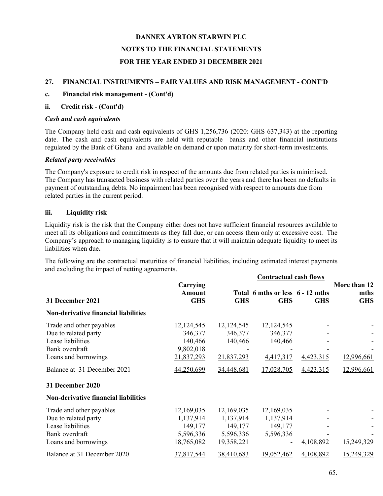### **27. FINANCIAL INSTRUMENTS – FAIR VALUES AND RISK MANAGEMENT - CONT'D**

### **c. Financial risk management - (Cont'd)**

### **ii. Credit risk - (Cont'd)**

### *Cash and cash equivalents*

The Company held cash and cash equivalents of GHS 1,256,736 (2020: GHS 637,343) at the reporting date. The cash and cash equivalents are held with reputable banks and other financial institutions regulated by the Bank of Ghana and available on demand or upon maturity for short-term investments.

### *Related party receivables*

The Company's exposure to credit risk in respect of the amounts due from related parties is minimised. The Company has transacted business with related parties over the years and there has been no defaults in payment of outstanding debts. No impairment has been recognised with respect to amounts due from related parties in the current period.

### **iii. Liquidity risk**

Liquidity risk is the risk that the Company either does not have sufficient financial resources available to meet all its obligations and commitments as they fall due, or can access them only at excessive cost. The Company's approach to managing liquidity is to ensure that it will maintain adequate liquidity to meet its liabilities when due**.**

The following are the contractual maturities of financial liabilities, including estimated interest payments and excluding the impact of netting agreements.

|                                                                                                                 |                                                               |                                                               | <b>Contractual cash flows</b>                   |            |                                    |  |  |
|-----------------------------------------------------------------------------------------------------------------|---------------------------------------------------------------|---------------------------------------------------------------|-------------------------------------------------|------------|------------------------------------|--|--|
| 31 December 2021                                                                                                | Carrying<br>Amount<br><b>GHS</b>                              | <b>GHS</b>                                                    | Total 6 mths or less 6 - 12 mths<br><b>GHS</b>  | <b>GHS</b> | More than 12<br>mths<br><b>GHS</b> |  |  |
| <b>Non-derivative financial liabilities</b>                                                                     |                                                               |                                                               |                                                 |            |                                    |  |  |
| Trade and other payables<br>Due to related party<br>Lease liabilities<br>Bank overdraft<br>Loans and borrowings | 12,124,545<br>346,377<br>140,466<br>9,802,018<br>21,837,293   | 12, 124, 545<br>346,377<br>140,466<br>21,837,293              | 12,124,545<br>346,377<br>140,466<br>4,417,317   | 4,423,315  | 12,996,661                         |  |  |
| Balance at 31 December 2021<br>31 December 2020                                                                 | 44,250,699                                                    | 34,448,681                                                    | 17,028,705                                      | 4,423,315  | 12,996,661                         |  |  |
| <b>Non-derivative financial liabilities</b>                                                                     |                                                               |                                                               |                                                 |            |                                    |  |  |
| Trade and other payables<br>Due to related party<br>Lease liabilities<br>Bank overdraft<br>Loans and borrowings | 12,169,035<br>1,137,914<br>149,177<br>5,596,336<br>18,765,082 | 12,169,035<br>1,137,914<br>149,177<br>5,596,336<br>19,358,221 | 12,169,035<br>1,137,914<br>149,177<br>5,596,336 | 4,108,892  | 15,249,329                         |  |  |
| Balance at 31 December 2020                                                                                     | 37,817,544                                                    | 38,410,683                                                    | 19,052,462                                      | 4,108,892  | 15,249,329                         |  |  |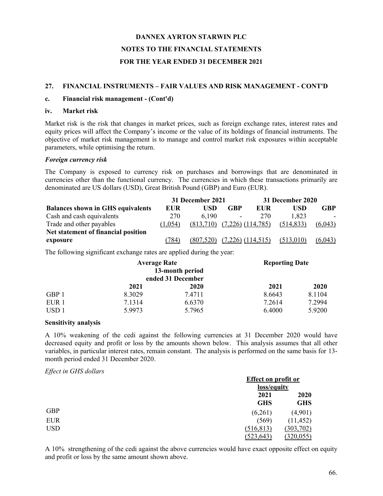### **27. FINANCIAL INSTRUMENTS – FAIR VALUES AND RISK MANAGEMENT - CONT'D**

### **c. Financial risk management - (Cont'd)**

#### **iv. Market risk**

Market risk is the risk that changes in market prices, such as foreign exchange rates, interest rates and equity prices will affect the Company's income or the value of its holdings of financial instruments. The objective of market risk management is to manage and control market risk exposures within acceptable parameters, while optimising the return.

### *Foreign currency risk*

The Company is exposed to currency risk on purchases and borrowings that are denominated in currencies other than the functional currency. The currencies in which these transactions primarily are denominated are US dollars (USD), Great British Pound (GBP) and Euro (EUR).

|                                          | 31 December 2021 |            |                       | 31 December 2020 |            |         |  |
|------------------------------------------|------------------|------------|-----------------------|------------------|------------|---------|--|
| <b>Balances shown in GHS equivalents</b> | EUR              | USD        | <b>GBP</b>            | EUR              | USD        | GBP     |  |
| Cash and cash equivalents                | 270              | 6.190      | ۰                     | 270              | 1.823      |         |  |
| Trade and other payables                 | (1.054)          | (813,710)  | $(7,226)$ $(114,785)$ |                  | (514, 833) | (6,043) |  |
| Net statement of financial position      |                  |            |                       |                  |            |         |  |
| exposure                                 | (784)            | (807, 520) | $(7,226)$ (114,515)   |                  | (513,010)  | (6,043) |  |

The following significant exchange rates are applied during the year:

|                  | <b>Average Rate</b><br>13-month period<br>ended 31 December |        | <b>Reporting Date</b> |        |
|------------------|-------------------------------------------------------------|--------|-----------------------|--------|
|                  | 2021                                                        | 2020   | 2021                  | 2020   |
| GBP 1            | 8.3029                                                      | 7.4711 | 8.6643                | 8.1104 |
| EUR <sub>1</sub> | 7.1314                                                      | 6.6370 | 7.2614                | 7.2994 |
| USD <sub>1</sub> | 5.9973                                                      | 5.7965 | 6.4000                | 5.9200 |

### **Sensitivity analysis**

A 10% weakening of the cedi against the following currencies at 31 December 2020 would have decreased equity and profit or loss by the amounts shown below. This analysis assumes that all other variables, in particular interest rates, remain constant. The analysis is performed on the same basis for 13 month period ended 31 December 2020.

#### *Effect in GHS dollars*

|            | <b>Effect on profit or</b> |             |  |
|------------|----------------------------|-------------|--|
|            |                            | loss/equity |  |
|            | 2021                       | 2020        |  |
|            | <b>GHS</b>                 | <b>GHS</b>  |  |
| <b>GBP</b> | (6,261)                    | (4,901)     |  |
| <b>EUR</b> | (569)                      | (11, 452)   |  |
| <b>USD</b> | (516, 813)                 | (303, 702)  |  |
|            | (523, 643)                 | (320, 055)  |  |

A 10% strengthening of the cedi against the above currencies would have exact opposite effect on equity and profit or loss by the same amount shown above.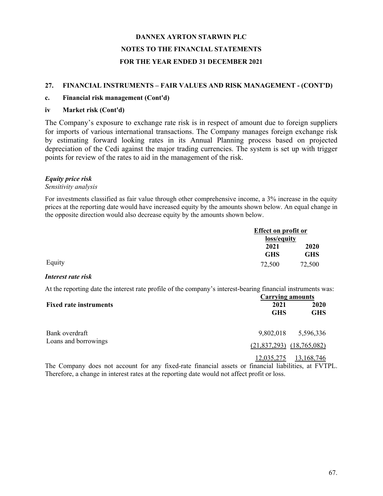### **27. FINANCIAL INSTRUMENTS – FAIR VALUES AND RISK MANAGEMENT - (CONT'D)**

### **c. Financial risk management (Cont'd)**

### **iv Market risk (Cont'd)**

The Company's exposure to exchange rate risk is in respect of amount due to foreign suppliers for imports of various international transactions. The Company manages foreign exchange risk by estimating forward looking rates in its Annual Planning process based on projected depreciation of the Cedi against the major trading currencies. The system is set up with trigger points for review of the rates to aid in the management of the risk.

### *Equity price risk*

#### *Sensitivity analysis*

For investments classified as fair value through other comprehensive income, a 3% increase in the equity prices at the reporting date would have increased equity by the amounts shown below. An equal change in the opposite direction would also decrease equity by the amounts shown below.

|        |            | <b>Effect on profit or</b> |  |
|--------|------------|----------------------------|--|
|        |            | loss/equity                |  |
|        | 2021       | 2020                       |  |
|        | <b>GHS</b> | GHS                        |  |
| Equity | 72,500     | 72,500                     |  |

### *Interest rate risk*

At the reporting date the interest rate profile of the company's interest-bearing financial instruments was:

|                               | <b>Carrying amounts</b>       |                    |  |
|-------------------------------|-------------------------------|--------------------|--|
| <b>Fixed rate instruments</b> | 2021<br><b>GHS</b>            | 2020<br><b>GHS</b> |  |
| Bank overdraft                | 9,802,018                     | 5,596,336          |  |
| Loans and borrowings          | $(21,837,293)$ $(18,765,082)$ |                    |  |
|                               | 12,035,275                    | 13,168,746         |  |

The Company does not account for any fixed-rate financial assets or financial liabilities, at FVTPL. Therefore, a change in interest rates at the reporting date would not affect profit or loss.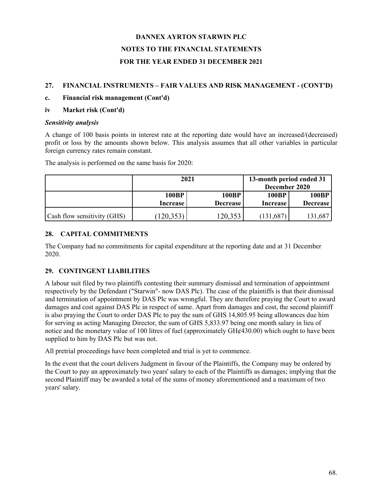## **27. FINANCIAL INSTRUMENTS – FAIR VALUES AND RISK MANAGEMENT - (CONT'D)**

**c. Financial risk management (Cont'd)**

## **iv Market risk (Cont'd)**

## *Sensitivity analysis*

A change of 100 basis points in interest rate at the reporting date would have an increased/(decreased) profit or loss by the amounts shown below. This analysis assumes that all other variables in particular foreign currency rates remain constant.

|                             | 2021                     |                                 | 13-month period ended 31<br>December 2020 |                   |
|-----------------------------|--------------------------|---------------------------------|-------------------------------------------|-------------------|
|                             | <b>100BP</b><br>Increase | <b>100BP</b><br><b>Decrease</b> | <b>100BP</b><br>Increase                  | 100BP<br>Decrease |
| Cash flow sensitivity (GHS) | (120, 353)               | 120,353                         | (131, 687)                                | 131,687           |

The analysis is performed on the same basis for 2020:

# **28. CAPITAL COMMITMENTS**

The Company had no commitments for capital expenditure at the reporting date and at 31 December 2020.

# **29. CONTINGENT LIABILITIES**

A labour suit filed by two plaintiffs contesting their summary dismissal and termination of appointment respectively by the Defendant ("Starwin"- now DAS Plc). The case of the plaintiffs is that their dismissal and termination of appointment by DAS Plc was wrongful. They are therefore praying the Court to award damages and cost against DAS Plc in respect of same. Apart from damages and cost, the second plaintiff is also praying the Court to order DAS Plc to pay the sum of GHS 14,805.95 being allowances due him for serving as acting Managing Director, the sum of GHS 5,833.97 being one month salary in lieu of notice and the monetary value of 100 litres of fuel (approximately GH¢430.00) which ought to have been supplied to him by DAS Plc but was not.

All pretrial proceedings have been completed and trial is yet to commence.

In the event that the court delivers Judgment in favour of the Plaintiffs, the Company may be ordered by the Court to pay an approximately two years' salary to each of the Plaintiffs as damages; implying that the second Plaintiff may be awarded a total of the sums of money aforementioned and a maximum of two years' salary.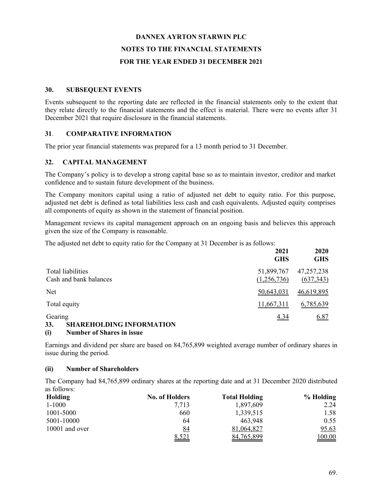### **30. SUBSEQUENT EVENTS**

Events subsequent to the reporting date are reflected in the financial statements only to the extent that they relate directly to the financial statements and the effect is material. There were no events after 31 December 2021 that require disclosure in the financial statements.

### **31**. **COMPARATIVE INFORMATION**

The prior year financial statements was prepared for a 13 month period to 31 December.

## **32. CAPITAL MANAGEMENT**

The Company's policy is to develop a strong capital base so as to maintain investor, creditor and market confidence and to sustain future development of the business.

The Company monitors capital using a ratio of adjusted net debt to equity ratio. For this purpose, adjusted net debt is defined as total liabilities less cash and cash equivalents. Adjusted equity comprises all components of equity as shown in the statement of financial position.

Management reviews its capital management approach on an ongoing basis and believes this approach given the size of the Company is reasonable.

The adjusted net debt to equity ratio for the Company at 31 December is as follows:

|                                                   | 2021<br><b>GHS</b>        | 2020<br><b>GHS</b>         |
|---------------------------------------------------|---------------------------|----------------------------|
| Total liabilities<br>Cash and bank balances       | 51,899,767<br>(1,256,736) | 47, 257, 238<br>(637, 343) |
| Net                                               | 50,643,031                | 46,619,895                 |
| Total equity                                      | 11,667,311                | 6,785,639                  |
| Gearing<br>33.<br><b>SHAREHOLDING INFORMATION</b> | 4.34                      | 6.87                       |

### **(i) Number of Shares in issue**

Earnings and dividend per share are based on 84,765,899 weighted average number of ordinary shares in issue during the period.

### **(ii) Number of Shareholders**

The Company had 84,765,899 ordinary shares at the reporting date and at 31 December 2020 distributed as follows:

| Holding        | <b>No. of Holders</b> | <b>Total Holding</b> | % Holding      |
|----------------|-----------------------|----------------------|----------------|
| $1 - 1000$     | 7.713                 | 1,897,609            | 2.24           |
| 1001-5000      | 660                   | 1,339,515            | 1.58           |
| 5001-10000     | 64                    | 463.948              | 0.55           |
| 10001 and over | <u>84</u>             | 81,064,827           | <u>95.63</u>   |
|                | 8,521                 | 84,765,899           | <u> 100.00</u> |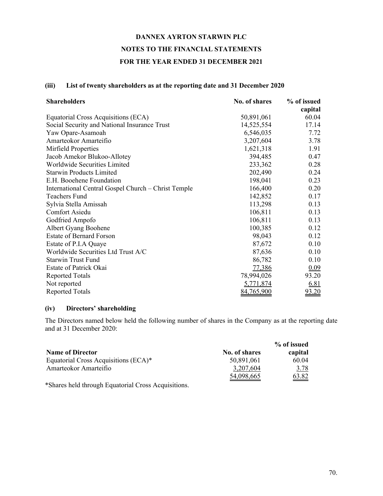### **(iii) List of twenty shareholders as at the reporting date and 31 December 2020**

| <b>Shareholders</b>                                 | No. of shares | % of issued |
|-----------------------------------------------------|---------------|-------------|
|                                                     |               | capital     |
| Equatorial Cross Acquisitions (ECA)                 | 50,891,061    | 60.04       |
| Social Security and National Insurance Trust        | 14,525,554    | 17.14       |
| Yaw Opare-Asamoah                                   | 6,546,035     | 7.72        |
| Amarteokor Amarteifio                               | 3,207,604     | 3.78        |
| Mirfield Properties                                 | 1,621,318     | 1.91        |
| Jacob Amekor Blukoo-Allotey                         | 394,485       | 0.47        |
| Worldwide Securities Limited                        | 233,362       | 0.28        |
| <b>Starwin Products Limited</b>                     | 202,490       | 0.24        |
| E.H. Booehene Foundation                            | 198,041       | 0.23        |
| International Central Gospel Church – Christ Temple | 166,400       | 0.20        |
| Teachers Fund                                       | 142,852       | 0.17        |
| Sylvia Stella Amissah                               | 113,298       | 0.13        |
| Comfort Asiedu                                      | 106,811       | 0.13        |
| Godfried Ampofo                                     | 106,811       | 0.13        |
| Albert Gyang Boohene                                | 100,385       | 0.12        |
| <b>Estate of Bernard Forson</b>                     | 98,043        | 0.12        |
| Estate of P.I.A Quaye                               | 87,672        | 0.10        |
| Worldwide Securities Ltd Trust A/C                  | 87,636        | 0.10        |
| <b>Starwin Trust Fund</b>                           | 86,782        | 0.10        |
| Estate of Patrick Okai                              | 77,386        | 0.09        |
| <b>Reported Totals</b>                              | 78,994,026    | 93.20       |
| Not reported                                        | 5,771,874     | <u>6.81</u> |
| <b>Reported Totals</b>                              | 84,765,900    | 93.20       |

### **(iv) Directors' shareholding**

The Directors named below held the following number of shares in the Company as at the reporting date and at 31 December 2020:

|                                      |               | % of issued  |
|--------------------------------------|---------------|--------------|
| <b>Name of Director</b>              | No. of shares | capital      |
| Equatorial Cross Acquisitions (ECA)* | 50,891,061    | 60.04        |
| Amarteokor Amarteifio                | 3,207,604     | 3.78         |
|                                      | 54,098,665    | <u>63.82</u> |

\*Shares held through Equatorial Cross Acquisitions.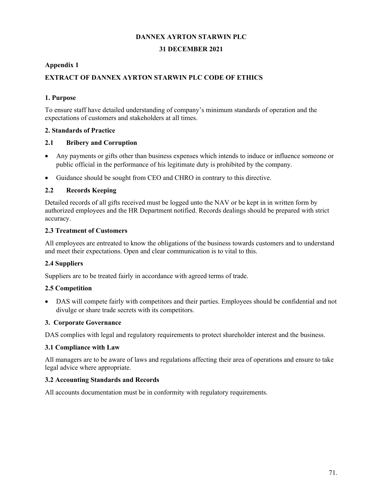### **DANNEX AYRTON STARWIN PLC**

### **31 DECEMBER 2021**

### **Appendix 1**

## **EXTRACT OF DANNEX AYRTON STARWIN PLC CODE OF ETHICS**

### **1. Purpose**

To ensure staff have detailed understanding of company's minimum standards of operation and the expectations of customers and stakeholders at all times.

### **2. Standards of Practice**

### **2.1 Bribery and Corruption**

- Any payments or gifts other than business expenses which intends to induce or influence someone or public official in the performance of his legitimate duty is prohibited by the company.
- Guidance should be sought from CEO and CHRO in contrary to this directive.

### **2.2 Records Keeping**

Detailed records of all gifts received must be logged unto the NAV or be kept in in written form by authorized employees and the HR Department notified. Records dealings should be prepared with strict accuracy.

### **2.3 Treatment of Customers**

All employees are entreated to know the obligations of the business towards customers and to understand and meet their expectations. Open and clear communication is to vital to this.

## **2.4 Suppliers**

Suppliers are to be treated fairly in accordance with agreed terms of trade.

### **2.5 Competition**

 DAS will compete fairly with competitors and their parties. Employees should be confidential and not divulge or share trade secrets with its competitors.

### **3. Corporate Governance**

DAS complies with legal and regulatory requirements to protect shareholder interest and the business.

### **3.1 Compliance with Law**

All managers are to be aware of laws and regulations affecting their area of operations and ensure to take legal advice where appropriate.

### **3.2 Accounting Standards and Records**

All accounts documentation must be in conformity with regulatory requirements.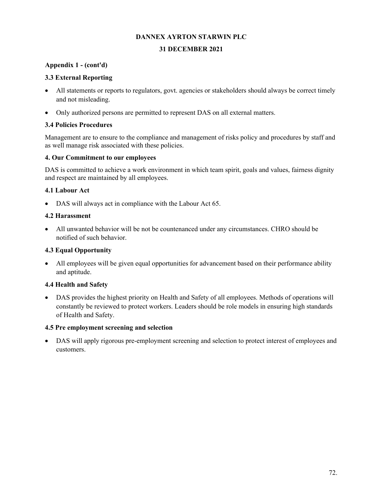## **DANNEX AYRTON STARWIN PLC**

#### **31 DECEMBER 2021**

### **Appendix 1 - (cont'd)**

### **3.3 External Reporting**

- All statements or reports to regulators, govt. agencies or stakeholders should always be correct timely and not misleading.
- Only authorized persons are permitted to represent DAS on all external matters.

## **3.4 Policies Procedures**

Management are to ensure to the compliance and management of risks policy and procedures by staff and as well manage risk associated with these policies.

### **4. Our Commitment to our employees**

DAS is committed to achieve a work environment in which team spirit, goals and values, fairness dignity and respect are maintained by all employees.

## **4.1 Labour Act**

DAS will always act in compliance with the Labour Act 65.

## **4.2 Harassment**

 All unwanted behavior will be not be countenanced under any circumstances. CHRO should be notified of such behavior.

## **4.3 Equal Opportunity**

 All employees will be given equal opportunities for advancement based on their performance ability and aptitude.

# **4.4 Health and Safety**

 DAS provides the highest priority on Health and Safety of all employees. Methods of operations will constantly be reviewed to protect workers. Leaders should be role models in ensuring high standards of Health and Safety.

### **4.5 Pre employment screening and selection**

 DAS will apply rigorous pre-employment screening and selection to protect interest of employees and customers.